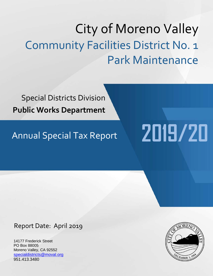# City of Moreno Valley Community Facilities District No. 1 Park Maintenance

Special Districts Division **Public Works Department**

# Annual Special Tax Report **2019/20**

Report Date: April 2019

14177 Frederick Street PO Box 88005 Moreno Valley, CA 92552 [specialdistricts@moval.org](mailto:specialdistricts@moval.org) 951.413.3480

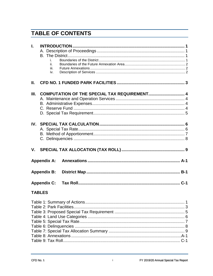## **TABLE OF CONTENTS**

| L.            | i.<br>ii.<br>iii.  |  |
|---------------|--------------------|--|
|               | iv.                |  |
| Ш.            |                    |  |
| Ш.            |                    |  |
|               |                    |  |
|               |                    |  |
|               |                    |  |
|               |                    |  |
| IV.           |                    |  |
|               |                    |  |
|               |                    |  |
|               |                    |  |
|               |                    |  |
|               | <b>Appendix A:</b> |  |
|               | <b>Appendix B:</b> |  |
|               | <b>Appendix C:</b> |  |
| <b>TABLES</b> |                    |  |
|               |                    |  |
|               |                    |  |
|               |                    |  |
|               |                    |  |
|               |                    |  |
|               |                    |  |
|               |                    |  |
|               |                    |  |
|               |                    |  |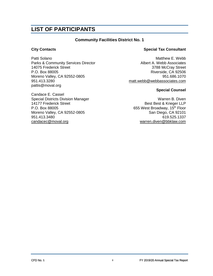## **LIST OF PARTICIPANTS**

## **Community Facilities District No. 1**

Patti Solano **Matthew E. Webb Patti Solano** Matthew E. Webb Parks & Community Services Director **Albert A. Webb Associates**<br>14075 Frederick Street **Albert A. Webb Associates** P.O. Box 88005 Riverside, CA 92506 Moreno Valley, CA 92552-0805 951.686.1070 951.413.3280 [matt.webb@webbassociates.com](mailto:matt.webb@webbassociates.com) pattis@moval.org

Candace E. Cassel Special Districts Division Manager<br>14177 Frederick Street National Best & Krieger LLP P.O. Box 88005 655 West Broadway, 15<sup>th</sup> Floor Moreno Valley, CA 92552-0805 San Diego, CA 92101 951.413.3480 619.525.1337 [candacec@moval.org](mailto:candacec@moval.org) [warren.diven@bbklaw.com](mailto:warren.diven@bbklaw.com)

## **City Contacts Special Tax Consultant**

3788 McCray Street

## **Special Counsel**

Best Best & Krieger LLP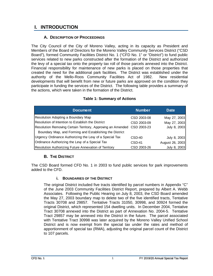## <span id="page-4-0"></span>**I. INTRODUCTION**

## **A. DESCRIPTION OF PROCEEDINGS**

<span id="page-4-1"></span>The City Council of the City of Moreno Valley, acting in its capacity as President and Members of the Board of Directors for the Moreno Valley Community Services District ("CSD Board"), formed Community Facilities District No. 1 ("CFD No. 1" or "District") to fund public services related to new parks constructed after the formation of the District and authorized the levy of a special tax onto the property tax roll of those parcels annexed into the District. Financial responsibility for maintenance of new parks is placed on those properties that created the need for the additional park facilities. The District was established under the authority of the Mello-Roos Community Facilities Act of 1982. New residential developments that will benefit from new or future parks are approved on the condition they participate in funding the services of the District. The following table provides a summary of the actions, which were taken in the formation of the District.

<span id="page-4-4"></span>

| <b>Document</b>                                             | <b>Number</b> | <b>Date</b>     |
|-------------------------------------------------------------|---------------|-----------------|
| Resolution Adopting a Boundary Map                          | CSD 2003-08   | May 27, 2003    |
| Resolution of Intention to Establish the District           | CSD 2003-09   | May 27, 2003    |
| Resolution Removing Certain Territory, Approving an Amended | CSD 2003-23   | July 8, 2003    |
| Boundary Map, and Forming and Establishing the District     |               |                 |
| Urgency Ordinance Authorizing the Levy of a Special Tax     | $CSD-40$      | July 8, 2003    |
| Ordinance Authorizing the Levy of a Special Tax             | $CSD-41$      | August 26, 2003 |
| Resolution Authorizing Future Annexation of Territory       | CSD 2003-26   | July 8, 2003    |

## **Table 1: Summary of Actions**

## **B. THE DISTRICT**

<span id="page-4-3"></span><span id="page-4-2"></span>The CSD Board formed CFD No. 1 in 2003 to fund public services for park improvements added to the CFD.

## **i. BOUNDARIES OF THE DISTRICT**

The original District included five tracts identified by parcel numbers in Appendix "C" of the June 2003 Community Facilities District Report, prepared by Albert A. Webb Associates. Following the Public Hearing on July 8, 2003, the CSD Board amended the May 27, 2003 boundary map to delete two of the five identified tracts, Tentative Tracts 30708 and 29857. Tentative Tracts 31050, 30998, and 30924 formed the original District, which represented 154 dwelling units. In December 2004, Tentative Tract 30708 annexed into the District as part of Annexation No. 2004-5. Tentative Tract 29857 may be annexed into the District in the future. The parcel associated with Tentative Tract 30998 was later acquired by the Moreno Valley Unified School District and is now exempt from the special tax under the rates and method of apportionment of special tax (RMA), adjusting the original parcel count of the District to 107 parcels.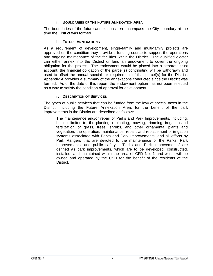## **ii. BOUNDARIES OF THE FUTURE ANNEXATION AREA**

<span id="page-5-0"></span>The boundaries of the future annexation area encompass the City boundary at the time the District was formed.

## **iii. FUTURE ANNEXATIONS**

<span id="page-5-1"></span>As a requirement of development, single-family and multi-family projects are approved on the condition they provide a funding source to support the operations and ongoing maintenance of the facilities within the District. The qualified elector can either annex into the District or fund an endowment to cover the ongoing obligation for the project. The endowment would be placed into a separate trust account; the financial obligation of the parcel(s) contributing will be withdrawn and used to offset the annual special tax requirement of that parcel(s) for the District. Appendix A provides a summary of the annexations conducted since the District was formed. As of the date of this report, the endowment option has not been selected as a way to satisfy the condition of approval for development.

## **iv. DESCRIPTION OF SERVICES**

<span id="page-5-2"></span>The types of public services that can be funded from the levy of special taxes in the District, including the Future Annexation Area, for the benefit of the park improvements in the District are described as follows:

The maintenance and/or repair of Parks and Park Improvements, including, but not limited to, the planting, replanting, mowing, trimming, irrigation and fertilization of grass, trees, shrubs, and other ornamental plants and vegetation; the operation, maintenance, repair, and replacement of irrigation systems associated with Parks and Park Improvements; and all efforts by Park Rangers that are devoted to the maintenance of the Parks, Park Improvements, and public safety. "Parks and Park Improvements" are defined as park improvements, which are to be developed, constructed, installed, and maintained within the area of CFD No. 1 and which will be owned and operated by the CSD for the benefit of the residents of the District.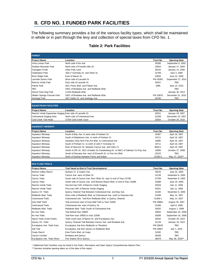## <span id="page-6-0"></span>**II. CFD NO. 1 FUNDED PARK FACILITIES**

The following summary provides a list of the various facility types, which shall be maintained in whole or in part through the levy and collection of special taxes from CFD No. 1.

## **Table 2: Park Facilities**

<span id="page-6-1"></span>

| <b>PARKS*</b>                                             |                                                                                                                       |                |                     |  |
|-----------------------------------------------------------|-----------------------------------------------------------------------------------------------------------------------|----------------|---------------------|--|
| Project Name                                              | Location                                                                                                              | Tract No.      | <b>Opening Date</b> |  |
| Vista Lomas Park                                          | North side of Iris Ave.                                                                                               | 30286          | September 9, 2003   |  |
| Shadow Mountain Park                                      | North side of Presidio Hills Dr.                                                                                      | 23553          | January 27, 2004    |  |
| Towngate II Park                                          | Arbor Park Lane                                                                                                       | 29143          | January 14, 2005    |  |
| Celebration Park                                          | John F Kennedy Dr. and Oliver St.                                                                                     |                |                     |  |
| Rock Ridge Park                                           | East of Nason St.                                                                                                     | 32834          | June 22, 2009       |  |
| Lasselle Sports Park                                      | West side of Lasselle St.                                                                                             | PM 30352       | September 27, 2014  |  |
| Rancho Verde Park                                         | East side of Lasselle St.                                                                                             | 30321          | <b>TBD</b>          |  |
| <b>Patriot Park</b>                                       | SEC Perris Blvd. and Filaree Ave.                                                                                     | 2995           | June 14, 2010       |  |
| TBD                                                       | SWC of Brodiaea Ave. and Redlands Blvd.                                                                               |                | TBD                 |  |
| Hound Town Dog Park                                       | 11150 Redlands Blvd.                                                                                                  |                | January 30, 2014    |  |
| Hidden Springs Passive Park                               | SWC of Brodiaea Ave. and Redlands Blvd.                                                                               | PM 20970       | December 31, 2015   |  |
| Santiago Park                                             | SEC Indian St. and Santiago Ave.                                                                                      | 36760          | TBD                 |  |
| <b>EQUESTRIAN FACILITIES</b>                              |                                                                                                                       |                |                     |  |
| Project Name                                              | Location                                                                                                              | Tract No.      | <b>Opening Date</b> |  |
| Rancho Verde Equestrian Staging East side of Lasselle St. |                                                                                                                       | 30321          | January 29, 2007    |  |
| Cottonwood Staging Area                                   | North side of Cottonwood Ave.                                                                                         | 31269          | December 10, 2007   |  |
| Cold Creek Trail Head                                     | 27334 Cold Creek Court                                                                                                | 32834          | October 26, 2010    |  |
|                                                           |                                                                                                                       |                |                     |  |
| <b>AQUEDUCT BIKEWAY</b>                                   |                                                                                                                       |                |                     |  |
| Project Name                                              | Location                                                                                                              | Tract No.      | <b>Opening Date</b> |  |
| Aqueduct Bikeway                                          | South of Bay Ave. to west side of Graham St.                                                                          | 15387          | April 18, 2007      |  |
| Aqueduct Bikeway                                          | South of Delphinium Ave. to north of Perham Ct.                                                                       | 19711          | April 18, 2007      |  |
| Aqueduct Bikeway                                          | Aqueduct Way from Pan Am Blvd. to Cottonwood Ave.                                                                     | 10895          | April 18, 2007      |  |
| Aqueduct Bikeway                                          | South of Perham Ct. to north of John F Kennedy Dr.                                                                    | 19711          | April 18, 2007      |  |
| <b>Aqueduct Bikeway</b>                                   | East of Heacock St. between Cactus Ave. and Unity Ct.                                                                 | 9829-1         | April 18, 2007      |  |
| Aqueduct Bikeway                                          | South of JFK Dr. SEC of Indian St./Vandenberg Dr. to NWC of Oakham Ct./Fay Ave.                                       | 10006          | October 27, 2009    |  |
| Aqueduct Bikeway                                          | South of Dracaea Ave. east of Elsworth St. to Pan Am Blvd.                                                            | 32215          | TBD                 |  |
| <b>Aqueduct Bikeway</b>                                   | North of Gentian between Perris and Indian                                                                            | 22180-2        | May 27, 2019**      |  |
| <b>MULTI-USE TRAILS</b>                                   |                                                                                                                       |                |                     |  |
| <b>Project Name</b>                                       | Trail Head to End of Trail Development                                                                                | Tract No.      | <b>Opening Date</b> |  |
| Moreno Valley Ranch                                       | Durham Cr. & Avalon Ave.                                                                                              | 30233          | June 23, 2005       |  |
| Cactus Trails                                             | Cactus Ave. west of Oliver St.                                                                                        | 31128          | November 8, 2005    |  |
| Cactus Trails                                             | South side of Cactus Ave. from Oliver St. east to end of Tract 22709                                                  | 22709          | November 8, 2005    |  |
| <b>Cactus Trails</b>                                      | South side of Cactus Ave. w/of Moreno Beach Blvd. to end of Tract 31889                                               | 31889          | June 19, 2006       |  |
| Rancho Verde Trails                                       | Second tract N/E of Rancho Verde Staging                                                                              | 30318          | July 11, 2006       |  |
| Rancho Verde Trails                                       | First tract N/E of Rancho Verde Staging                                                                               | 30321          | July 11, 2006       |  |
| Quincy Ch. Trails                                         | Quincy Channel Trail Between Cottonwood Ave. and Bay Ave.                                                             | 31284          | November 8, 2006    |  |
| Redlands Blvd. Trails                                     | West side of Redlands Blvd. at Cottonwood Ave. north to Dracaea Ave.                                                  | 31269          |                     |  |
| <b>Cottonwood Trails</b>                                  |                                                                                                                       | 31269-1        | May 14, 2007        |  |
| Auto Mall Trails                                          | Cottonwood Ave. Trail from Redlands Blvd. to Quincy Channel<br>Trail extension east of Auto Mall Trail to Tract 32835 | PM 30882       | May 14, 2007        |  |
|                                                           |                                                                                                                       |                | August 20, 2007     |  |
| <b>Cottonwood Trails</b>                                  | Cottonwood Ave. east of Quincy St.                                                                                    | 31269<br>32625 | April 8, 2008       |  |
| Redlands Blvd. Trails                                     | Redlands Blvd. Trails South of Cottonwood Ave.                                                                        |                | August 1, 2008      |  |
| Iris Ave Trails                                           | Trail behind tract 29920                                                                                              | 29920          | September 16, 2008  |  |
| Iris Ave Trails                                           | Trail from tract 29920 to tract 22936                                                                                 | 30268          | September 16, 2008  |  |
| Nason Trails (Cold Creek)                                 | Trails south east of Nason St. and Eucalyptus Ave.                                                                    | 32834          | October 26, 2010    |  |
| Quincy Ch. Trails                                         | Quincy Channel Trail Between Cactus Ave. and Brodiaea Ave.                                                            | 31129          | January 16, 2012    |  |
| Eucalyptus Ave. Trails East                               | Eucalyptus Ave from Redlands to Theodore                                                                              | PM 35629       | TBD                 |  |
| Aldi Trail                                                | Eucalyptus Ave from Quincy to Redlands Blvd.                                                                          | PM 35607       | July 1, 2015        |  |
| Covey Ranch                                               | East Perris Blvd. at Covey                                                                                            | 31592          | TBD                 |  |
| Cactus Corridor                                           | <b>Brodiaea and Quincy</b>                                                                                            | 36436          | TBD                 |  |
| Eucalyptus Ave. Trails West                               | Fire Station 58 to Quincy                                                                                             | 35679          | May 30, 2019**      |  |

\* Additional Park Facilities may be listed in the Parks, Recreation and Open Space Comprehensive Master Plan.

\*\* Denotes tentative opening dates as of the date of this report.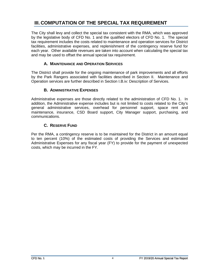## <span id="page-7-0"></span>**III. COMPUTATION OF THE SPECIAL TAX REQUIREMENT**

The City shall levy and collect the special tax consistent with the RMA, which was approved by the legislative body of CFD No. 1 and the qualified electors of CFD No. 1. The special tax requirement includes the costs related to maintenance and operation services for District facilities, administrative expenses, and replenishment of the contingency reserve fund for each year. Other available revenues are taken into account when calculating the special tax and may be used to offset the annual special tax requirement.

## **A. MAINTENANCE AND OPERATION SERVICES**

<span id="page-7-1"></span>The District shall provide for the ongoing maintenance of park improvements and all efforts by the Park Rangers associated with facilities described in Section II. Maintenance and Operation services are further described in Section I.B.iv: Description of Services.

## **B. ADMINISTRATIVE EXPENSES**

<span id="page-7-2"></span>Administrative expenses are those directly related to the administration of CFD No. 1. In addition, the Administrative expense includes but is not limited to costs related to the City's general administrative services, overhead for personnel support, space rent and maintenance, insurance, CSD Board support, City Manager support, purchasing, and communications.

## **C. RESERVE FUND**

<span id="page-7-3"></span>Per the RMA, a contingency reserve is to be maintained for the District in an amount equal to ten percent (10%) of the estimated costs of providing the Services and estimated Administrative Expenses for any fiscal year (FY) to provide for the payment of unexpected costs, which may be incurred in the FY.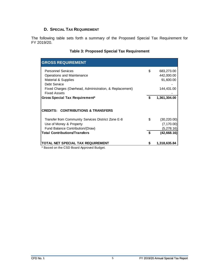## **D. SPECIAL TAX REQUIREMENT**

<span id="page-8-1"></span><span id="page-8-0"></span>The following table sets forth a summary of the Proposed Special Tax Requirement for FY 2019/20.

| <b>GROSS REQUIREMENT</b>                                |    |              |
|---------------------------------------------------------|----|--------------|
| <b>Personnel Services</b>                               | \$ | 683,273.00   |
| Operations and Maintenance                              |    | 442,000.00   |
| <b>Material &amp; Supplies</b><br>Debt Service          |    | 91,600.00    |
| Fixed Charges (Overhead, Administration, & Replacement) |    | 144,431.00   |
| <b>Fixed Assets</b>                                     |    |              |
| <b>Gross Special Tax Requirement*</b>                   | \$ | 1,361,304.00 |
| <b>CREDITS: CONTRIBUTIONS &amp; TRANSFERS</b>           |    |              |
| Transfer from Community Services District Zone E-8      | \$ | (30, 220.00) |
| Use of Money & Property                                 |    | (7, 170.00)  |
| Fund Balance Contribution/(Draw)                        |    | (5, 278.16)  |
| <b>Total Contributions/Transfers</b>                    | \$ | (42,668.16)  |
| TOTAL NET SPECIAL TAX REQUIREMENT                       | S  | 1,318,635.84 |
| * Desed on the CCD Deard Approved Dudget                |    |              |

## **Table 3: Proposed Special Tax Requirement**

Based on the CSD Board Approved Budget.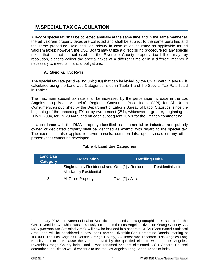## <span id="page-9-0"></span>**IV.SPECIAL TAX CALCULATION**

A levy of special tax shall be collected annually at the same time and in the same manner as the ad valorem property taxes are collected and shall be subject to the same penalties and the same procedure, sale and lien priority in case of delinquency as applicable for ad valorem taxes; however, the CSD Board may utilize a direct billing procedure for any special taxes that cannot be collected on the Riverside County property tax bill or may, by resolution, elect to collect the special taxes at a different time or in a different manner if necessary to meet its financial obligations.

## **A. SPECIAL TAX RATE**

<span id="page-9-1"></span>The special tax rate per dwelling unit (DU) that can be levied by the CSD Board in any FY is calculated using the Land Use Categories listed in Table 4 and the Special Tax Rate listed in Table 5.

The maximum special tax rate shall be increased by the percentage increase in the Los Angeles-Long Beach-Anaheim<sup>[1](#page-9-3)</sup> Regional Consumer Price Index (CPI) for All Urban Consumers, as published by the Department of Labor's Bureau of Labor Statistics, since the beginning of the preceding FY, or by two percent (2%), whichever is greater, beginning on July 1, 2004, for FY 2004/05 and on each subsequent July 1 for the FY then commencing.

In accordance with the RMA, property classified as commercial or industrial and publicly owned or dedicated property shall be identified as exempt with regard to the special tax. The exemption also applies to sliver parcels, common lots, open space, or any other property that cannot be developed.

<span id="page-9-2"></span>

| <b>Land Use</b><br><b>Category</b> | <b>Description</b>             | <b>Dwelling Units</b>                                                 |
|------------------------------------|--------------------------------|-----------------------------------------------------------------------|
|                                    | <b>Multifamily Residential</b> | Single-family Residential and One (1) / Residence or Residential Unit |
| າ                                  | All Other Property             | Two $(2)$ / Acre                                                      |

## **Table 4: Land Use Categories**

<span id="page-9-3"></span> $1$  In January 2018, the Bureau of Labor Statistics introduced a new geographic area sample for the CPI. Riverside, CA, which was previously included in the Los Angeles-Riverside-Orange County, CA MSA (Metropolitan Statistical Area), will now be included in a separate CBSA (Core Based Statistical Area) and will be considered a new index named Riverside-San Bernardino-Ontario, starting at 100.000. The Los Angeles-Riverside-Orange County, CA index was renamed "Los Angeles-Long Beach-Anaheim". Because the CPI approved by the qualified electors was the Los Angeles-Riverside-Orange County index, and it was renamed and not eliminated, CSD General Counsel determined the District would continue to use the Los Angeles-Long Beach-Anaheim index.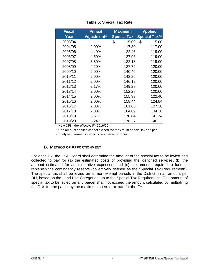<span id="page-10-1"></span>

| <b>Fiscal</b> | <b>Annual</b> | <b>Maximum</b>     | <b>Applied</b>       |
|---------------|---------------|--------------------|----------------------|
| Year          | Adjustment*   | <b>Special Tax</b> | <b>Special Tax**</b> |
| 2003/04       |               | \$<br>115.00       | \$<br>115.00         |
| 2004/05       | 2.00%         | 117.30             | 117.00               |
| 2005/06       | 4.40%         | 122.46             | 119.00               |
| 2006/07       | 4.50%         | 127.96             | 119.00               |
| 2007/08       | 3.30%         | 132.18             | 119.00               |
| 2008/09       | 4.20%         | 137.72             | 120.00               |
| 2009/10       | 2.00%         | 140.46             | 120.00               |
| 2010/11       | 2.00%         | 143.26             | 120.00               |
| 2011/12       | 2.00%         | 146.12             | 120.00               |
| 2012/13       | 2.17%         | 149.29             | 120.00               |
| 2013/14       | 2.00%         | 152.28             | 120.00               |
| 2014/15       | 2.00%         | 155.33             | 122.40               |
| 2015/16       | 2.00%         | 158.44             | 124.84               |
| 2016/17       | 2.03%         | 161.66             | 127.36               |
| 2017/18       | 2.00%         | 164.89             | 134.36               |
| 2018/19       | 3.61%         | 170.84             | 141.74               |
| 2019/20       | 3.24%         | 176.37             | 146.32               |

## **Table 5: Special Tax Rate**

\* New CPI Index effective FY 2019/20.

\*\*The amount applied cannot exceed the maximum special tax and per County requirements can only be an even number.

## **B. METHOD OF APPORTIONMENT**

<span id="page-10-0"></span>For each FY, the CSD Board shall determine the amount of the special tax to be levied and collected to pay for (a) the estimated costs of providing the identified services, (b) the amount estimated for administrative expenses, and (c) the amount required to fund or replenish the contingency reserve (collectively defined as the "Special Tax Requirement"). The special tax shall be levied on all non-exempt parcels in the District, in an amount per DU, based on the Land Use Categories, up to the Special Tax Requirement. The amount of special tax to be levied on any parcel shall not exceed the amount calculated by multiplying the DUs for the parcel by the maximum special tax rate for the FY.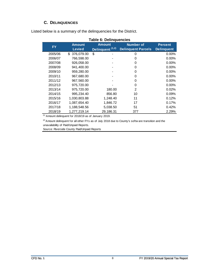## **C. DELINQUENCIES**

<span id="page-11-1"></span><span id="page-11-0"></span>Listed below is a summary of the delinquencies for the District.

| <b>FY</b> | <b>Amount</b>     | <b>Amount</b>               | <b>Number of</b>          | <b>Percent</b>    |
|-----------|-------------------|-----------------------------|---------------------------|-------------------|
|           | <b>Levied</b>     | Delinquent <sup>(1,2)</sup> | <b>Delinquent Parcels</b> | <b>Delinquent</b> |
| 2005/06   | 376,079.00<br>\$. | \$                          | 0                         | $0.00\%$          |
| 2006/07   | 766,598.00        |                             | 0                         | $0.00\%$          |
| 2007/08   | 926,058.00        |                             | 0                         | 0.00%             |
| 2008/09   | 941,400.00        |                             | 0                         | $0.00\%$          |
| 2009/10   | 959,280.00        |                             | 0                         | $0.00\%$          |
| 2010/11   | 967,680.00        |                             | 0                         | $0.00\%$          |
| 2011/12   | 967,560.00        |                             | 0                         | $0.00\%$          |
| 2012/13   | 975,720.00        |                             | 0                         | $0.00\%$          |
| 2013/14   | 975,720.00        | 180.00                      | 2                         | 0.02%             |
| 2014/15   | 995,234.40        | 856.80                      | 10                        | 0.09%             |
| 2015/16   | 1,030,803.88      | 1,248.40                    | 11                        | 0.12%             |
| 2016/17   | 1,087,654.40      | 1,846.72                    | 17                        | 0.17%             |
| 2017/18   | 1,188,548.56      | 5,038.50                    | 51                        | 0.42%             |
| 2018/19   | 1,277,219.14      | 29,186.31                   | 377                       | 2.29%             |

 $<sup>(1)</sup>$  Amount delinquent for 2018/19 as of January 2019.</sup>

 $(2)$  Amount delinquent for all other FYs as of July 2018 due to County's softw are transition and the unavailability of Paid/Unpaid Reports.

Source: Riverside County Paid/Unpaid Reports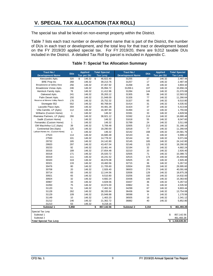## <span id="page-12-0"></span>**V. SPECIAL TAX ALLOCATION (TAX ROLL)**

The special tax shall be levied on non-exempt property within the District.

Table 7 lists each tract number or development name that is part of the District, the number of DUs in each tract or development, and the total levy for that tract or development based on the FY 2019/20 applied special tax. For FY 2019/20, there are 9,012 taxable DUs included in the District. A detailed Tax Roll by parcel is included in Appendix C.

<span id="page-12-1"></span>

| <b>Tract No./</b>               |              | <b>Applied</b> | <b>Total Special</b> | Tract No./              |            | <b>Applied</b> | <b>Total Special</b> |
|---------------------------------|--------------|----------------|----------------------|-------------------------|------------|----------------|----------------------|
| <b>Development Name</b>         | <b>DUs</b>   | Tax per DU     | <b>Tax Levy</b>      | <b>Development Name</b> | <b>DUs</b> | Tax per DU     | <b>Tax Levy</b>      |
| Alessandro Apts.                | 320          | \$<br>146.32   | \$<br>46,822.40      | 31255                   | 17         | 146.32         | 2.487.44             |
| <b>BRE</b> Prop Inc             | 268          | 146.32         | 39,213.76            | 31257                   | 17         | 146.32         | 2,487.44             |
| Broadstone at Valley View       | 256          | 146.32         | 37,457.92            | 31268                   | 26         | 146.32         | 3,804.32             |
| Broadstone Vistas Apts.         | 246          | 146.32         | 35,994.72            | 31269-1                 | 107        | 146.32         | 15,656.24            |
| Hemlock Family Apts.            | 78           | 146.32         | 11,412.96            | 31284                   | 144        | 146.32         | 21,070.08            |
| Oakwood Apts.                   | 241          | 146.32         | 35,263.12            | 31305                   | 86         | 146.32         | 12,583.52            |
| Palm Desert Apts.               | 150          | 146.32         | 21,948.00            | 31326                   | 77         | 146.32         | 11,266.64            |
| Reserve at Moreno Valley Ranch  | 176          | 146.32         | 25,752.32            | 31327                   | 65         | 146.32         | 9,510.80             |
| Stonegate 552                   | 552          | 146.32         | 80,768.64            | 31414                   | 31         | 146.32         | 4,535.92             |
| Lasselle Place Apts.            | 304          | 146.32         | 44,481.28            | 31424                   | 37         | 146.32         | 5,413.84             |
| Villa Camille, LP (Apts)        | 112          | 146.32         | 16,387.84            | 31494                   | 12         | 146.32         | 1,755.84             |
| Williams (Custom Home)          | $\mathbf{1}$ | 146.32         | 146.32               | 31591                   | 33         | 146.32         | 4,828.56             |
| Riverview Partners, LP (Apts)   | 266          | 146.32         | 38,921.12            | 31592                   | 114        | 146.32         | 16,680.48            |
| Sadik (Custom Home)             | $\mathbf{1}$ | 146.32         | 146.32               | 31618                   | 55         | 146.32         | 8,047.60             |
| Fernandez (Custom Home)         | $\mathbf{1}$ | 146.32         | 146.32               | 31789                   | 24         | 146.32         | 3,511.68             |
| OM MacArthur LLC (Apts)         | 39           | 146.32         | 5,706.48             | 32005                   | 213        | 146.32         | 31,166.16            |
| Continental Dev (Apts)          | 125          | 146.32         | 18,290.00            | 32018                   | 77         | 146.32         | 11,266.64            |
| Latham Homes Inc. (Custom Home) | $\mathbf{1}$ | 146.32         | 146.32               | 32142                   | 168        | 146.32         | 24,581.76            |
| 27523                           | 114          | 146.32         | 16,680.48            | 32143                   | 41         | 146.32         | 5,999.12             |
| 27593                           | 101          | 146.32         | 14,778.32            | 32144                   | 62         | 146.32         | 9,071.84             |
| 29732                           | 165          | 146.32         | 24,142.80            | 32145                   | 165        | 146.32         | 24,142.80            |
| 29920                           | 297          | 146.32         | 43,457.04            | 32146                   | 125        | 146.32         | 18,290.00            |
| 30233                           | 92           | 146.32         | 13,461.44            | 32194                   | 32         | 146.32         | 4,682.24             |
| 30316                           | 189          | 146.32         | 27,654.48            | 32210                   | 20         | 146.32         | 2,926.40             |
| 30318                           | 171          | 146.32         | 25,020.72            | 32505                   | 71         | 146.32         | 10,388.72            |
| 30319                           | 111          | 146.32         | 16,241.52            | 32515                   | 174        | 146.32         | 25,459.68            |
| 30320                           | 319          | 146.32         | 46,676.08            | 32625                   | 20         | 146.32         | 2,926.40             |
| 30321                           | 133          | 146.32         | 19,460.56            | 32715                   | 36         | 146.32         | 5,267.52             |
| 30476                           | 80           | 146.32         | 11,705.60            | 32834                   | 205        | 146.32         | 29,995.60            |
| 30708                           | 20           | 146.32         | 2,926.40             | 36933                   | 274        | 146.32         | 40,091.68            |
| 30714                           | 83           | 146.32         | 12,144.56            | 32836                   | 129        | 146.32         | 18,875.28            |
| 30921                           | 65           | 146.32         | 9,510.80             | 33256                   | 100        | 146.32         | 14,632.00            |
| 30924                           | 32           | 146.32         | 4,682.24             | 33436                   | 105        | 146.32         | 15,363.60            |
| 30967                           | 33           | 146.32         | 4,828.56             | 33437                   | 36         | 146.32         | 5,267.52             |
| 31050                           | 75           | 146.32         |                      | 33962                   | 31         | 146.32         | 4,535.92             |
| 31120                           | 51           |                | 10,974.00            | 34299                   | 67         |                | 9,803.44             |
|                                 | 262          | 146.32         | 7,462.32             |                         |            | 146.32         |                      |
| 31128                           |              | 146.32         | 38,335.84            | 36436                   | 94         | 146.32         | 13,754.08            |
| 31129                           | 109          | 146.32         | 15,948.88            | 36598                   | 8          | 146.32         | 1,170.56             |
| 31149                           | 10           | 146.32         | 1,463.20             | 36505                   | 16         | 146.32         | 2,341.12             |
| 31212                           | 146          | 146.32         | 21,362.72            | 36882                   | 40         | 146.32         | 5,852.80             |
| 31213                           | 63           | 146.32         | 9,218.16             |                         |            |                |                      |
| Subtotal 1                      | 5,858        |                | \$<br>857,142.56     | Subtotal 2              | 3,154      |                | \$<br>461,493.28     |
| Special Tax Levy                |              |                |                      |                         |            |                |                      |
| Subtotal 1                      |              |                |                      |                         |            |                | \$<br>857,142.56     |
| Subtotal 2                      |              |                |                      |                         |            |                | 461,493.28           |
| <b>Total Special Tax Levy</b>   |              |                |                      |                         |            |                | \$<br>1,318,635.84   |

## **Table 7: Special Tax Allocation Summary**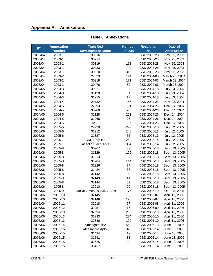## <span id="page-13-0"></span>**Appendix A: Annexations**

<span id="page-13-1"></span>

| <b>FY</b> | <b>Annexation</b> | Tract No./                     | <b>Number</b> | <b>Resolution</b> | Date of           |  |
|-----------|-------------------|--------------------------------|---------------|-------------------|-------------------|--|
|           | <b>Number</b>     | <b>Development Name</b>        | of DUs        | No.               | <b>Annexation</b> |  |
| 2003/04   | 2003-1            | 30316                          | 189           | CSD 2003-28       | Nov. 25, 2003     |  |
| 2003/04   | 2003-1            | 30714                          | 83            | CSD 2003-28       | Nov. 25, 2003     |  |
| 2003/04   | 2003-1            | 30319                          | 111           | CSD 2003-28       | Nov. 25, 2003     |  |
| 2003/04   | 2003-1            | 30233                          | 92            | CSD 2003-28       | Nov. 25, 2003     |  |
| 2003/04   | 2003-1            | 30320                          | 319           | CSD 2003-28       | Nov. 25, 2003     |  |
| 2003/04   | 2003-2            | 27523                          | 114           | CSD 2004-03       | March 23, 2004    |  |
| 2003/04   | 2003-2            | 30318                          | 171           | CSD 2004-03       | March 23, 2004    |  |
| 2003/04   | 2003-2            | 30476                          | 80            | CSD 2004-03       | March 23, 2004    |  |
| 2004/05   | 2004-3            | 30321                          | 133           | CSD 2004-18       | July 13, 2004     |  |
| 2004/05   | 2004-3            | 31120                          | 51            | CSD 2004-18       | July 13, 2004     |  |
| 2004/05   | 2004-3            | 31255                          | 17            | CSD 2004-18       | July 13, 2004     |  |
| 2004/05   | 2004-4            | 29732                          | 165           | CSD 2004-25       | Nov. 23, 2004     |  |
| 2004/05   | 2004-5            | 27593                          | 101           | CSD 2004-26       | Dec. 14, 2004     |  |
| 2004/05   | 2004-5            | 30708                          | 20            | CSD 2004-26       | Dec. 14, 2004     |  |
| 2004/05   | 2004-5            | 31128                          | 262           | CSD 2004-26       | Dec. 14, 2004     |  |
| 2004/05   | 2004-5            | 31268                          | 26            | CSD 2004-26       | Dec. 14, 2004     |  |
| 2004/05   | 2004-5            | 31269-1                        | 107           | CSD 2004-26       | Dec. 14, 2004     |  |
| 2005/06   | 2005-6            | 29920                          | 297           | CSD 2005-13       | July 12, 2005     |  |
| 2005/06   | 2005-6            | 31212                          | 146           | CSD 2005-13       | July 12, 2005     |  |
| 2005/06   | 2005-6            | 31327                          | 65            | CSD 2005-13       | July 12, 2005     |  |
| 2005/06   | 2005-7            | <b>BRE Prop Inc</b>            | 268           | CSD 2005-14       | July 12, 2005     |  |
| 2005/06   | 2005-7            | Lasselle Place Apts.           | 304           | CSD 2005-14       | July 12, 2005     |  |
| 2005/06   | 2005-8            | 30967                          | 33            | CSD 2005-18       | Sept. 13, 2005    |  |
| 2005/06   | 2005-8            | 31129                          | 109           | CSD 2005-18       | Sept. 13, 2005    |  |
| 2005/06   | 2005-8            | 31213                          | 63            | CSD 2005-18       | Sept. 13, 2005    |  |
| 2005/06   | 2005-8            | 31284                          | 144           | CSD 2005-18       | Sept. 13, 2005    |  |
| 2005/06   | 2005-8            | 31326                          | 77            | CSD 2005-18       | Sept. 13, 2005    |  |
| 2005/06   | 2005-8            | 31424                          | 37            | CSD 2005-18       | Sept. 13, 2005    |  |
| 2005/06   | 2005-8            | 32142                          | 168           | CSD 2005-18       | Sept. 13, 2005    |  |
| 2005/06   | 2005-8            | 32143                          | 41            | CSD 2005-18       | Sept. 13, 2005    |  |
| 2005/06   | 2005-8            | 32144                          | 62            | CSD 2005-18       | Sept. 13, 2005    |  |
| 2005/06   | 2005-8            | 32210                          | 20            | CSD 2005-18       | Sept. 13, 2005    |  |
| 2005/06   | 2005-9            | Reserve at Moreno Valley Ranch | 176           | CSD 2005-19       | Oct. 25, 2005     |  |
| 2005/06   | 2005-10           | 32145                          | 165           | CSD 2006-07       | April 11, 2006    |  |
| 2005/06   | 2005-10           | 32146                          | 125           | CSD 2006-07       | April 11, 2006    |  |
| 2005/06   | 2005-11           | 32018                          | 77            | CSD 2006-08       | April 11, 2006    |  |
| 2005/06   | 2006-12           | 31257                          | 17            | CSD 2006-09       | April 11, 2006    |  |
| 2005/06   | 2006-13           | 32834                          | 205           | CSD 2006-10       | April 11, 2006    |  |
| 2005/06   | 2006-13           | 36933                          | 274           | CSD 2006-10       | April 11, 2006    |  |
| 2005/06   | 2006-13           | 32836                          | 129           | CSD 2006-10       | April 11, 2006    |  |
| 2005/06   | 2006-14           | Stonegate 552                  | 552           | CSD 2006-13       | June 13, 2006     |  |
| 2005/06   | 2006-15           | Alessandro Apts.               | 320           | CSD 2006-14       | June 13, 2006     |  |
| 2005/06   | 2006-15           | 31494                          | 12            | CSD 2006-14       | June 13, 2006     |  |
| 2005/06   | 2006-15           | 31591                          | 33            | CSD 2006-14       | June 13, 2006     |  |
| 2005/06   | 2006-15           | 32625                          | 20            | CSD 2006-14       | June 13, 2006     |  |
| 2005/06   | 2006-15           | 33437                          | 36            | CSD 2006-14       | June 13, 2006     |  |

## **Table 8: Annexations**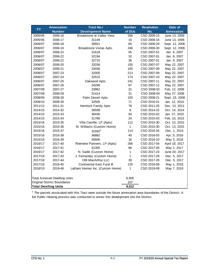| <b>FY</b> | <b>Annexation</b>                   | <b>Tract No./</b>               | <b>Number</b> | <b>Resolution</b> | Date of           |
|-----------|-------------------------------------|---------------------------------|---------------|-------------------|-------------------|
|           | <b>Number</b>                       | <b>Development Name</b>         | of DUs        | No.               | <b>Annexation</b> |
| 2005/06   | 2006-16                             | Broadstone at Valley View       | 256           | CSD 2006-15       | June 13, 2006     |
| 2005/06   | 2006-17                             | 31149                           | 10            | CSD 2006-16       | June 13, 2006     |
| 2006/07   | 2006-18                             | 30921                           | 65            | CSD 2006-29       | Sept. 12, 2006    |
| 2006/07   | 2006-19                             | Broadstone Vistas Apts.         | 246           | CSD 2006-30       | Sept. 12, 2006    |
| 2006/07   | 2006-22                             | 31618                           | 55            | CSD 2007-01       | Jan. 9, 2007      |
| 2006/07   | 2006-22                             | 32194                           | 32            | CSD 2007-01       | Jan. 9, 2007      |
| 2006/07   | 2006-22                             | 32715                           | 36            | CSD 2007-01       | Jan. 9, 2007      |
| 2006/07   | 2006-20                             | 33256                           | 100           | CSD 2007-07       | May 22, 2007      |
| 2006/07   | 2006-21                             | 33436                           | 105           | CSD 2007-08       | May 22, 2007      |
| 2006/07   | 2007-23                             | 32005                           | 213           | CSD 2007-09       | May 22, 2007      |
| 2006/07   | 2007-24                             | 32515                           | 174           | CSD 2007-10       | May 22, 2007      |
| 2006/07   | 2007-25                             | Oakwood Apts.                   | 241           | CSD 2007-11       | May 22, 2007      |
| 2006/07   | 2007-26                             | 34299                           | 67            | CSD 2007-12       | May 22, 2007      |
| 2007/08   | 2007-27                             | 33962                           | 31            | CSD 2008-02       | Feb. 12, 2008     |
| 2007/08   | 2008-28                             | 31414                           | 31            | CSD 2008-04       | May 27, 2008      |
| 2008/09   | 2008-29                             | Palm Desert Apts.               | 150           | CSD 2008-21       | Sept. 23, 2008    |
| 2009/10   | 2009-30                             | 32505                           | 71            | CSD 2010-01       | Jan. 12, 2010     |
| 2011/12   | 2011-31                             | Hemlock Family Apts.            | 78            | CSD 2011-25       | Dec. 13, 2011     |
| 2014/15   | 2014-32                             | 36598                           | 8             | CSD 2014-22       | Oct. 14, 2014     |
| 2014/15   | 2015-33                             | 36436                           | 94            | CSD 2015-02       | Jan. 27, 2015     |
| 2014/15   | 2015-34                             | 31789                           | 24            | CSD 2015-03       | Feb. 10, 2015     |
| 2015/16   | 2015-35                             | Villa Camille, LP (Apts)        | 112           | CSD 2015-30       | Oct. 13, 2015     |
| 2015/16   | 2015-36                             | M. Williams (Custom Home)       | 1             | CSD 2015-30       | Oct. 13, 2015     |
| 2015/16   | 2015-37                             | 315921                          | 114           | CSD 2015-34       | Dec. 1, 2015      |
| 2015/16   | 2016-38                             | 36882                           | 40            | CSD 2016-03       | Apr. 5, 2016      |
| 2015/16   | 2016-39                             | 35606                           | 16            | CSD 2016-10       | May 3, 2016       |
| 2016/17   | 2017-40                             | Riverview Partners, LP (Apts)   | 266           | CSD 2017-04       | April 18, 2017    |
| 2016/17   | 2017-41                             | 31305                           | 86            | CSD 2017-05       | May 2, 2017       |
| 2016/17   | 2017-42                             | N. Sadik (Custom Home)          | $\mathbf{1}$  | CSD 2017-23       | June 20, 2017     |
| 2017/18   | 2017-43                             | J. Fernandez (Custom Home)      | $\mathbf{1}$  | CSD 2017-28       | Dec. 5, 2017      |
| 2017/18   | 2017-44                             | <b>OM MacArthur LLC</b>         | 39            | CSD 2017-28       | Dec. 5, 2017      |
| 2017/18   | 2018-45                             | Continental East Fund III       | 125           | CSD 2018-08       | May 1, 2018       |
| 2018/19   | 2019-46                             | Latham Homes Inc. (Custom Home) | 1             | CSD 2019-09       | May 7, 2019       |
|           |                                     |                                 |               |                   |                   |
|           | <b>Total Annexed Dwelling Units</b> |                                 | 8,905         |                   |                   |
|           | <b>Original District Boundaries</b> |                                 | 107           |                   |                   |
|           | <b>Total Dwelling Units</b>         |                                 | 9,012         |                   |                   |

 $1$  The parcels associated with this Tract were outside the future annexation area boundaries of the District. A full Public Hearing process was conducted to annex this development into the District.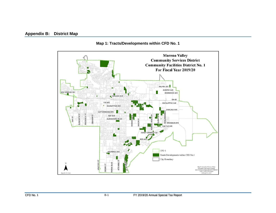## **Appendix B: District Map**

<span id="page-15-0"></span>

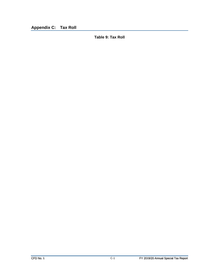<span id="page-16-1"></span><span id="page-16-0"></span>**Appendix C: Tax Roll**

**Table 9: Tax Roll**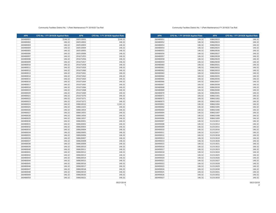| <b>APN</b> | CFD No. 1 FY 2019/20 Applied Rate | <b>APN</b> | CFD No. 1 FY 2019/20 Applied Rate |
|------------|-----------------------------------|------------|-----------------------------------|
| 260480051  | 146.32                            | 308620022  | 146.32                            |
| 260480052  | 146.32                            | 308620023  | 146.32                            |
| 260480053  | 146.32                            | 308620024  | 146.32                            |
| 260480054  | 146.32                            | 308620025  | 146.32                            |
| 260480055  | 146.32                            | 308620026  | 146.32                            |
| 260480056  | 146.32                            | 308620027  | 146.32                            |
| 260480057  | 146.32                            | 308620028  | 146.32                            |
| 260480058  | 146.32                            | 308620029  | 146.32                            |
| 260480059  | 146.32                            | 308620030  | 146.32                            |
| 260480060  | 146.32                            | 308620031  | 146.32                            |
| 260480061  | 146.32                            | 308620032  | 146.32                            |
| 260480062  | 146.32                            | 308620033  | 146.32                            |
| 260480063  | 146.32                            | 308620034  | 146.32                            |
| 260480064  | 146.32                            | 308620035  | 146.32                            |
| 260480065  | 146.32                            | 308620036  | 146.32                            |
| 260480066  | 146.32                            | 308620037  | 146.32                            |
| 260480067  | 146.32                            | 308620038  | 146.32                            |
| 260480068  | 146.32                            | 308620039  | 146.32                            |
| 260480069  | 146.32                            | 308620040  | 146.32                            |
| 260480070  | 146.32                            | 308620045  | 146.32                            |
| 260480071  | 146.32                            | 308621001  | 146.32                            |
| 260480072  | 146.32                            | 308621002  | 146.32                            |
| 260480073  | 146.32                            | 308621003  | 146.32                            |
| 260490001  | 146.32                            | 308621004  | 146.32                            |
| 260490002  | 146.32                            | 308621005  | 146.32                            |
| 260490003  | 146.32                            | 308621006  | 146.32                            |
| 260490004  | 146.32                            | 308621007  | 146.32                            |
| 260490005  | 146.32                            | 308621008  | 146.32                            |
| 260490006  | 146.32                            | 308621009  | 146.32                            |
| 260490007  | 146.32                            | 312313013  | 146.32                            |
| 260490008  | 146.32                            | 312313014  | 146.32                            |
| 260490009  | 146.32                            | 312313015  | 146.32                            |
| 260490010  | 146.32                            | 312313016  | 146.32                            |
| 260490011  | 146.32                            | 312313017  | 146.32                            |
| 260490012  | 146.32                            | 312313018  | 146.32                            |
| 260490013  | 146.32                            | 312313019  | 146.32                            |
| 260490014  | 146.32                            | 312313020  | 146.32                            |
| 260490015  | 146.32                            | 312313021  | 146.32                            |
| 260490016  | 146.32                            | 312313022  | 146.32                            |
| 260490017  | 146.32                            | 312313023  | 146.32                            |
| 260490018  | 146.32                            | 312313024  | 146.32                            |
| 260490019  | 146.32                            | 312313025  | 146.32                            |
| 260490020  | 146.32                            | 312313026  | 146.32                            |
| 260490021  | 146.32                            | 312313027  | 146.32                            |
| 260490022  | 146.32                            | 312313028  | 146.32                            |
| 260490023  | 146.32                            | 312313029  | 146.32                            |
| 260490024  | 146.32                            | 312313030  | 146.32                            |
| 260490025  | 146.32                            | 312313031  | 146.32                            |
| 260490026  | 146.32                            | 312313032  | 146.32                            |
| 260490027  | 146.32                            | 312313033  | 146.32                            |

#### Community Facilties District No. 1 (Park Maintenance) FY 2019/20 Tax Roll

| <b>APN</b> | CFD No. 1 FY 2019/20 Applied Rate | <b>APN</b> | CFD No. 1 FY 2019/20 Applied Rate |
|------------|-----------------------------------|------------|-----------------------------------|
| 260480001  | \$146.32                          | 260510001  | \$146.32                          |
| 260480002  | 146.32                            | 260510002  | 146.32                            |
| 260480003  | 146.32                            | 260510003  | 146.32                            |
| 260480004  | 146.32                            | 260510004  | 146.32                            |
| 260480005  | 146.32                            | 260510005  | 146.32                            |
| 260480006  | 146.32                            | 260510006  | 146.32                            |
| 260480007  | 146.32                            | 291671055  | 146.32                            |
| 260480008  | 146.32                            | 291671056  | 146.32                            |
| 260480009  | 146.32                            | 291671057  | 146.32                            |
| 260480010  | 146.32                            | 291671058  | 146.32                            |
| 260480011  | 146.32                            | 291671059  | 146.32                            |
| 260480012  | 146.32                            | 291671060  | 146.32                            |
| 260480013  | 146.32                            | 291671061  | 146.32                            |
| 260480014  | 146.32                            | 291671062  | 146.32                            |
| 260480015  | 146.32                            | 291671063  | 146.32                            |
| 260480016  | 146.32                            | 291671064  | 146.32                            |
| 260480017  | 146.32                            | 291671065  | 146.32                            |
| 260480018  | 146.32                            | 291671066  | 146.32                            |
| 260480019  | 146.32                            | 291671068  | 146.32                            |
| 260480020  | 146.32                            | 291671069  | 146.32                            |
| 260480021  | 146.32                            | 291671070  | 146.32                            |
| 260480022  | 146.32                            | 291671071  | 146.32                            |
| 260480023  | 146.32                            | 291671072  | 146.32                            |
| 260480024  | 146.32                            | 308610010  | 2,341.12                          |
| 260480025  | 146.32                            | 308611025  | 146.32                            |
| 260480026  | 146.32                            | 308613054  | 146.32                            |
| 260480027  | 146.32                            | 308613055  | 146.32                            |
| 260480028  | 146.32                            | 308613056  | 146.32                            |
| 260480029  | 146.32                            | 308613057  | 146.32                            |
| 260480030  | 146.32                            | 308620001  | 146.32                            |
| 260480031  | 146.32                            | 308620002  | 146.32                            |
| 260480032  | 146.32                            | 308620003  | 146.32                            |
| 260480033  | 146.32                            | 308620004  | 146.32                            |
| 260480034  | 146.32                            | 308620005  | 146.32                            |
| 260480035  | 146.32                            | 308620006  | 146.32                            |
| 260480036  | 146.32                            | 308620007  | 146.32                            |
| 260480037  | 146.32                            | 308620008  | 146.32                            |
| 260480038  | 146.32                            | 308620009  | 146.32                            |
| 260480039  | 146.32                            | 308620010  | 146.32                            |
| 260480040  | 146.32                            | 308620011  | 146.32                            |
| 260480041  | 146.32                            | 308620012  | 146.32                            |
| 260480042  | 146.32                            | 308620013  | 146.32                            |
| 260480043  | 146.32                            | 308620014  | 146.32                            |
| 260480044  | 146.32                            | 308620015  | 146.32                            |
| 260480045  | 146.32                            | 308620016  | 146.32                            |
| 260480046  | 146.32                            | 308620017  | 146.32                            |
| 260480047  | 146.32                            | 308620018  | 146.32                            |
| 260480048  | 146.32                            | 308620019  | 146.32                            |
| 260480049  | 146.32                            | 308620020  | 146.32                            |
| 260480050  | 146.32                            | 308620021  | 146.32                            |
|            |                                   |            |                                   |

05/21/2019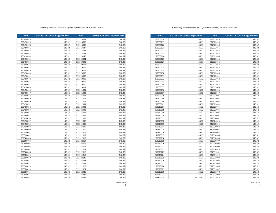| <b>APN</b> | CFD No. 1 FY 2019/20 Applied Rate | <b>APN</b> | CFD No. 1 FY 2019/20 Applied Rate |
|------------|-----------------------------------|------------|-----------------------------------|
| 260500018  | 146.32                            | 312322028  | 146.32                            |
| 260500019  | 146.32                            | 312322029  | 146.32                            |
| 260500020  | 146.32                            | 312322030  | 146.32                            |
| 260500021  | 146.32                            | 312322031  | 146.32                            |
| 260500022  | 146.32                            | 312322032  | 146.32                            |
| 260500023  | 146.32                            | 312322033  | 146.32                            |
| 260500024  | 146.32                            | 312322034  | 146.32                            |
| 260500025  | 146.32                            | 312322035  | 146.32                            |
| 260500026  | 146.32                            | 312322036  | 146.32                            |
| 260500027  | 146.32                            | 312322037  | 146.32                            |
| 260500028  | 146.32                            | 312322038  | 146.32                            |
| 260500029  | 146.32                            | 312322039  | 146.32                            |
| 260500030  | 146.32                            | 312322040  | 146.32                            |
| 260500031  | 146.32                            | 312322041  | 146.32                            |
| 260500032  | 146.32                            | 312322042  | 146.32                            |
| 260500033  | 146.32                            | 312322043  | 146.32                            |
| 260500034  | 146.32                            | 312322044  | 146.32                            |
| 260500035  | 146.32                            | 312322045  | 146.32                            |
| 260500036  | 146.32                            | 312322046  | 146.32                            |
| 260500037  | 146.32                            | 312322047  | 146.32                            |
| 260500038  | 146.32                            | 312323001  | 146.32                            |
| 260500039  | 146.32                            | 312323002  | 146.32                            |
| 260500040  | 146.32                            | 312323003  | 146.32                            |
| 260500041  | 146.32                            | 312323004  | 146.32                            |
| 260510007  | 146.32                            | 312323005  | 146.32                            |
| 260510008  | 146.32                            | 312323006  | 146.32                            |
| 260510009  | 146.32                            | 312323007  | 146.32                            |
| 260510010  | 146.32                            | 312324001  | 146.32                            |
| 260510011  | 146.32                            | 312324002  | 146.32                            |
| 260510012  | 146.32                            | 312324003  | 146.32                            |
| 260510013  | 146.32                            | 312330001  | 146.32                            |
| 260510014  | 146.32                            | 312330002  | 146.32                            |
| 260510015  | 146.32                            | 312330003  | 146.32                            |
| 260510016  | 146.32                            | 312330004  | 146.32                            |
| 260510017  | 146.32                            | 312330005  | 146.32                            |
| 260510018  | 146.32                            | 312330006  | 146.32                            |
| 260510019  | 146.32                            | 312330007  | 146.32                            |
| 260510020  | 146.32                            | 312330008  | 146.32                            |
| 260510021  | 146.32                            | 312330009  | 146.32                            |
| 260510022  | 146.32                            | 312330010  | 146.32                            |
| 260510023  | 146.32                            | 312331001  | 146.32                            |
| 260510024  | 146.32                            | 312331002  | 146.32                            |
| 260510025  | 146.32                            | 312331003  | 146.32                            |
| 260510026  | 146.32                            | 312331004  | 146.32                            |
| 260510027  | 146.32                            | 312331005  | 146.32                            |
| 260510028  | 146.32                            | 312331006  | 146.32                            |
| 260510029  | 146.32                            | 312331007  | 146.32                            |
| 260510030  | 146.32                            | 312331008  | 146.32                            |
| 260510031  | 146.32                            | 312331009  | 146.32                            |
| 263120028  | 16,387.84                         | 312331010  | 146.32                            |

#### Community Facilties District No. 1 (Park Maintenance) FY 2019/20 Tax Roll

| <b>APN</b> | CFD No. 1 FY 2019/20 Applied Rate | <b>APN</b> | CFD No. 1 FY 2019/20 Applied Rate |
|------------|-----------------------------------|------------|-----------------------------------|
| 260490028  | 146.32                            | 312313034  | 146.32                            |
| 260490029  | 146.32                            | 312313035  | 146.32                            |
| 260490030  | 146.32                            | 312313036  | 146.32                            |
| 260490031  | 146.32                            | 312313037  | 146.32                            |
| 260490032  | 146.32                            | 312313038  | 146.32                            |
| 260490033  | 146.32                            | 312313039  | 146.32                            |
| 260490034  | 146.32                            | 312313040  | 146.32                            |
| 260490035  | 146.32                            | 312320001  | 146.32                            |
| 260490036  | 146.32                            | 312320002  | 146.32                            |
| 260490037  | 146.32                            | 312320003  | 146.32                            |
| 260490038  | 146.32                            | 312320004  | 146.32                            |
| 260490039  | 146.32                            | 312320005  | 146.32                            |
| 260490040  | 146.32                            | 312320006  | 146.32                            |
| 260490041  | 146.32                            | 312320007  | 146.32                            |
| 260490042  | 146.32                            | 312320008  | 146.32                            |
| 260490043  | 146.32                            | 312320009  | 146.32                            |
| 260490044  | 146.32                            | 312320010  | 146.32                            |
| 260490045  | 146.32                            | 312320011  | 146.32                            |
| 260490046  | 146.32                            | 312321001  | 146.32                            |
| 260490047  | 146.32                            | 312321002  | 146.32                            |
| 260490048  | 146.32                            | 312321003  | 146.32                            |
| 260490049  | 146.32                            | 312321004  | 146.32                            |
| 260490050  | 146.32                            | 312321005  | 146.32                            |
| 260490051  | 146.32                            | 312322001  | 146.32                            |
| 260490052  | 146.32                            | 312322002  | 146.32                            |
| 260490053  | 146.32                            | 312322003  | 146.32                            |
| 260490054  | 146.32                            | 312322004  | 146.32                            |
| 260490055  | 146.32                            | 312322005  | 146.32                            |
| 260490056  | 146.32                            | 312322006  | 146.32                            |
| 260490057  | 146.32                            | 312322007  | 146.32                            |
| 260490058  | 146.32                            | 312322008  | 146.32                            |
| 260490059  | 146.32                            | 312322009  | 146.32                            |
| 260490060  | 146.32                            | 312322010  | 146.32                            |
| 260500001  | 146.32                            | 312322011  | 146.32                            |
| 260500002  | 146.32                            | 312322012  | 146.32                            |
| 260500003  | 146.32                            | 312322013  | 146.32                            |
| 260500004  | 146.32                            | 312322014  | 146.32                            |
| 260500005  | 146.32                            | 312322015  | 146.32                            |
| 260500006  | 146.32                            | 312322016  | 146.32                            |
| 260500007  | 146.32                            | 312322017  | 146.32                            |
| 260500008  | 146.32                            | 312322018  | 146.32                            |
| 260500009  | 146.32                            | 312322019  | 146.32                            |
| 260500010  | 146.32                            | 312322020  | 146.32                            |
| 260500011  | 146.32                            | 312322021  | 146.32                            |
| 260500012  | 146.32                            | 312322022  | 146.32                            |
| 260500013  | 146.32                            | 312322023  | 146.32                            |
| 260500014  | 146.32                            | 312322024  | 146.32                            |
| 260500015  | 146.32                            | 312322025  | 146.32                            |
| 260500016  | 146.32                            | 312322026  | 146.32                            |
| 260500017  | 146.32                            | 312322027  | 146.32                            |
|            |                                   |            |                                   |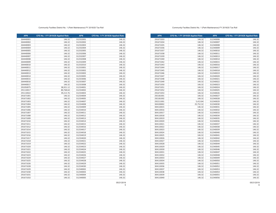| <b>APN</b> | CFD No. 1 FY 2019/20 Applied Rate | <b>APN</b> | CFD No. 1 FY 2019/20 Applied Rate |
|------------|-----------------------------------|------------|-----------------------------------|
| 291671033  | 146.32                            | 312340006  | 146.32                            |
| 291671034  | 146.32                            | 312340007  | 146.32                            |
| 291671035  | 146.32                            | 312340008  | 146.32                            |
| 291671036  | 146.32                            | 312340009  | 146.32                            |
| 291671037  | 146.32                            | 312340010  | 146.32                            |
| 291671038  | 146.32                            | 312340011  | 146.32                            |
| 291671039  | 146.32                            | 312340013  | 146.32                            |
| 291671040  | 146.32                            | 312340014  | 146.32                            |
| 291671042  | 146.32                            | 312340015  | 146.32                            |
| 291671043  | 146.32                            | 312340016  | 146.32                            |
| 291671044  | 146.32                            | 312340017  | 146.32                            |
| 291671045  | 146.32                            | 312340018  | 146.32                            |
| 291671046  | 146.32                            | 312340019  | 146.32                            |
| 291671047  | 146.32                            | 312340020  | 146.32                            |
| 291671048  | 146.32                            | 312340021  | 146.32                            |
| 291671049  | 146.32                            | 312340022  | 146.32                            |
| 291671050  | 146.32                            | 312340023  | 146.32                            |
| 291671051  | 146.32                            | 312340024  | 146.32                            |
| 291671052  | 146.32                            | 312340025  | 146.32                            |
| 291671053  | 146.32                            | 312340026  | 146.32                            |
| 292181001  | 146.32                            | 312340027  | 146.32                            |
| 292181002  | 146.32                            | 312340028  | 146.32                            |
| 292211001  | 5,413.84                          | 312340029  | 146.32                            |
| 304100002  | 25,752.32                         | 312340030  | 146.32                            |
| 304110015  | 146.32                            | 312340031  | 146.32                            |
| 304110016  | 146.32                            | 312340032  | 146.32                            |
| 304110017  | 146.32                            | 312340033  | 146.32                            |
| 304110018  | 146.32                            | 312340034  | 146.32                            |
| 304110019  | 146.32                            | 312340035  | 146.32                            |
| 304110020  | 146.32                            | 312340036  | 146.32                            |
| 304110021  | 146.32                            | 312340037  | 146.32                            |
| 304110022  | 146.32                            | 312340038  | 146.32                            |
| 304110023  | 146.32                            | 312340039  | 146.32                            |
| 304110024  | 146.32                            | 312340040  | 146.32                            |
| 304110025  | 146.32                            | 312340041  | 146.32                            |
| 304110026  | 146.32                            | 312340042  | 146.32                            |
| 304110027  | 146.32                            | 312340043  | 146.32                            |
| 304110028  | 146.32                            | 312340044  | 146.32                            |
| 304110029  | 146.32                            | 312340045  | 146.32                            |
| 304110030  | 146.32                            | 312340046  | 146.32                            |
| 304110031  | 146.32                            | 312340047  | 146.32                            |
| 304110032  | 146.32                            | 312340048  | 146.32                            |
| 304110033  | 146.32                            | 312340049  | 146.32                            |
| 304110034  | 146.32                            | 312340050  | 146.32                            |
| 304110035  | 146.32                            | 312340051  | 146.32                            |
| 304110036  | 146.32                            | 312340052  | 146.32                            |
| 304110037  | 146.32                            | 312340053  | 146.32                            |
| 304110038  | 146.32                            | 312340054  | 146.32                            |
| 304110039  | 146.32                            | 312340055  | 146.32                            |
| 304110040  | 146.32                            | 312340056  | 146.32                            |

#### Community Facilties District No. 1 (Park Maintenance) FY 2019/20 Tax Roll

| <b>APN</b> | CFD No. 1 FY 2019/20 Applied Rate | <b>APN</b> | CFD No. 1 FY 2019/20 Applied Rate |
|------------|-----------------------------------|------------|-----------------------------------|
| 264440001  | 146.32                            | 312332001  | 146.32                            |
| 264440002  | 146.32                            | 312332002  | 146.32                            |
| 264440003  | 146.32                            | 312332003  | 146.32                            |
| 264440004  | 146.32                            | 312332004  | 146.32                            |
| 264440005  | 146.32                            | 312332005  | 146.32                            |
| 264440006  | 146.32                            | 312332006  | 146.32                            |
| 264440007  | 146.32                            | 312332007  | 146.32                            |
| 264440008  | 146.32                            | 312332008  | 146.32                            |
| 264440009  | 146.32                            | 312332009  | 146.32                            |
| 264440010  | 146.32                            | 312332010  | 146.32                            |
| 264440011  | 146.32                            | 312333001  | 146.32                            |
| 264440012  | 146.32                            | 312333002  | 146.32                            |
| 264440013  | 146.32                            | 312333003  | 146.32                            |
| 264440014  | 146.32                            | 312333005  | 146.32                            |
| 264440015  | 146.32                            | 312333006  | 146.32                            |
| 264440016  | 146.32                            | 312333007  | 146.32                            |
| 264440017  | 146.32                            | 312333008  | 146.32                            |
| 291050075  | 38,921.12                         | 312334001  | 146.32                            |
| 291110017  | 80,768.64                         | 312334002  | 146.32                            |
| 291110022  | 39,213.76                         | 312334003  | 146.32                            |
| 291671001  | 146.32                            | 312334004  | 146.32                            |
| 291671002  | 146.32                            | 312334005  | 146.32                            |
| 291671003  | 146.32                            | 312334007  | 146.32                            |
| 291671004  | 146.32                            | 312334008  | 146.32                            |
| 291671005  | 146.32                            | 312334009  | 146.32                            |
| 291671006  | 146.32                            | 312334010  | 146.32                            |
| 291671007  | 146.32                            | 312334011  | 146.32                            |
| 291671008  | 146.32                            | 312334012  | 146.32                            |
| 291671009  | 146.32                            | 312334013  | 146.32                            |
| 291671010  | 146.32                            | 312334014  | 146.32                            |
| 291671011  | 146.32                            | 312334015  | 146.32                            |
| 291671012  | 146.32                            | 312334016  | 146.32                            |
| 291671014  | 146.32                            | 312334017  | 146.32                            |
| 291671015  | 146.32                            | 312334018  | 146.32                            |
| 291671016  | 146.32                            | 312334019  | 146.32                            |
| 291671017  | 146.32                            | 312334020  | 146.32                            |
| 291671018  | 146.32                            | 312334021  | 146.32                            |
| 291671019  | 146.32                            | 312334022  | 146.32                            |
| 291671020  | 146.32                            | 312334023  | 146.32                            |
| 291671021  | 146.32                            | 312334024  | 146.32                            |
| 291671022  | 146.32                            | 312334025  | 146.32                            |
| 291671023  | 146.32                            | 312334026  | 146.32                            |
| 291671024  | 146.32                            | 312334027  | 146.32                            |
| 291671025  | 146.32                            | 312334028  | 146.32                            |
| 291671026  | 146.32                            | 312334029  | 146.32                            |
| 291671028  |                                   | 312334030  |                                   |
| 291671029  | 146.32<br>146.32                  | 312340002  | 146.32<br>146.32                  |
| 291671030  | 146.32                            | 312340003  | 146.32                            |
| 291671031  | 146.32                            | 312340004  | 146.32                            |
| 291671032  | 146.32                            | 312340005  | 146.32                            |
|            |                                   |            |                                   |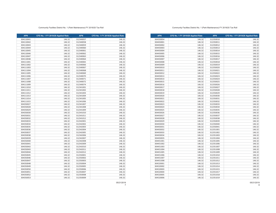**APN CFD No. 1 FY 2019/20 Applied Rate APN CFD No. 1 FY 2019/20 Applied Rate** 146.32 312350010 146.32 304450001 146.32 312350011 146.32 146.32 312350012 146.32 304450003 146.32 312350013 146.32 312350014 146.32 31450004 146.32 31450004 146.32 146.32 312350014 146.32 146.32 312350015 146.32 146.32 312350016 146.32 146.32 312350017 146.32 146.32 312350018 146.32 146.32 312350019 146.32 146.32 312350020 146.32 146.32 312350021 146.32 146.32 312350022 146.32 146.32 312350023 146.32 146.32 312350024 146.32 146.32 312350025 146.32 146.32 312350026 146.32 146.32 312350027 146.32 146.32 312350028 146.32 146.32 312350029 146.32 146.32 312350030 146.32 146.32 312350031 146.32 146.32 312350032 146.32 146.32 312350033 146.32 146.32 312350034 146.32 146.32 312350035 146.32 146.32 312350036 146.32 146.32 312350037 146.32 146.32 312350038 146.32 146.32 312350039 146.32 146.32 312350040 146.32 146.32 312350041 146.32 146.32 312351001 146.32 146.32 312351002 146.32 146.32 312351003 146.32 146.32 312351004 146.32 146.32 312351005 146.32 146.32 312351006 146.32 146.32 312351007 146.32 146.32 312351008 146.32 146.32 312351009 146.32 146.32 312351010 146.32 146.32 312351011 146.32 146.32 312351012 146.32 146.32 312351013 146.32 146.32 312351014 146.32 146.32 312351015 146.32 146.32 312351017 146.32 146.32 312351018 146.32 146.32 312351019 146.32

#### Community Facilties District No. 1 (Park Maintenance) FY 2019/20 Tax Roll

| <b>APN</b> | CFD No. 1 FY 2019/20 Applied Rate | <b>APN</b> | CFD No. 1 FY 2019/20 Applied Rate |
|------------|-----------------------------------|------------|-----------------------------------|
| 304110041  | 146.32                            | 312340057  | 146.32                            |
| 304110042  | 146.32                            | 312340058  | 146.32                            |
| 304110043  | 146.32                            | 312340059  | 146.32                            |
| 304110044  | 146.32                            | 312340060  | 146.32                            |
| 304110045  | 146.32                            | 312340061  | 146.32                            |
| 304110046  | 146.32                            | 312340062  | 146.32                            |
| 304110047  | 146.32                            | 312340063  | 146.32                            |
| 304110048  | 146.32                            | 312340064  | 146.32                            |
| 304111001  | 146.32                            | 312340065  | 146.32                            |
| 304111002  | 146.32                            | 312340066  | 146.32                            |
| 304111003  | 146.32                            | 312340067  | 146.32                            |
| 304111004  | 146.32                            | 312340068  | 146.32                            |
| 304111005  | 146.32                            | 312340069  | 146.32                            |
| 304111006  | 146.32                            | 312340070  | 146.32                            |
| 304111007  | 146.32                            | 312340071  | 146.32                            |
| 304111008  | 146.32                            | 312340072  | 146.32                            |
| 304111009  | 146.32                            | 312340074  | 146.32                            |
| 304111010  | 146.32                            | 312341001  | 146.32                            |
| 304111011  | 146.32                            | 312341002  | 146.32                            |
| 304111012  | 146.32                            | 312341003  | 146.32                            |
| 304111013  | 146.32                            | 312341004  | 146.32                            |
| 304111014  | 146.32                            | 312341005  | 146.32                            |
| 304111015  | 146.32                            | 312341006  | 146.32                            |
| 304350027  | 146.32                            | 312341007  | 146.32                            |
| 304350028  | 146.32                            | 312341008  | 146.32                            |
| 304350029  | 146.32                            | 312341009  | 146.32                            |
| 304350030  | 146.32                            | 312341010  | 146.32                            |
| 304350031  | 146.32                            | 312341011  | 146.32                            |
| 304350032  | 146.32                            | 312341012  | 146.32                            |
| 304350033  | 146.32                            | 312342001  | 146.32                            |
| 304350034  | 146.32                            | 312342002  | 146.32                            |
| 304350035  | 146.32                            | 312342003  | 146.32                            |
| 304350036  | 146.32                            | 312342004  | 146.32                            |
| 304350037  | 146.32                            | 312342005  | 146.32                            |
| 304350038  | 146.32                            | 312342006  | 146.32                            |
| 304350039  | 146.32                            | 312342007  | 146.32                            |
| 304350040  | 146.32                            | 312342008  | 146.32                            |
| 304350041  | 146.32                            | 312342009  | 146.32                            |
| 304350042  | 146.32                            | 312342010  | 146.32                            |
| 304350043  | 146.32                            | 312342011  | 146.32                            |
| 304350044  | 146.32                            | 312342012  | 146.32                            |
| 304350045  | 146.32                            | 312350001  | 146.32                            |
| 304350046  | 146.32                            | 312350002  | 146.32                            |
| 304350047  | 146.32                            | 312350003  | 146.32                            |
| 304350048  | 146.32                            | 312350004  | 146.32                            |
| 304350049  | 146.32                            | 312350005  | 146.32                            |
| 304350050  | 146.32                            | 312350006  | 146.32                            |
| 304350051  | 146.32                            | 312350007  | 146.32                            |
| 304350052  | 146.32                            | 312350008  | 146.32                            |
| 304350053  | 146.32                            | 312350009  | 146.32                            |
|            |                                   |            |                                   |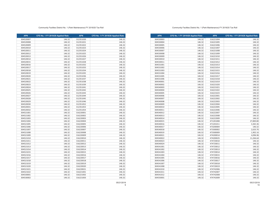**APN CFD No. 1 FY 2019/20 Applied Rate APN CFD No. 1 FY 2019/20 Applied Rate** 146.32 316221004 146.32 146.32 316221005 146.32 146.32 316221006 146.32 304530006 146.32 | | 316221007 | 146.32 146.32 316221008 146.32 146.32 316221009 146.32 146.32 316221010 146.32 146.32 316221011 146.32 146.32 316221012 146.32 146.32 316221013 146.32 146.32 316221014 146.32 146.32 316221015 146.32 146.32 316221016 146.32 146.32 316221017 146.32 146.32 316221018 146.32 146.32 316221019 146.32 146.32 316221020 146.32 146.32 316221021 146.32 146.32 316221022 146.32 146.32 316221023 146.32 146.32 316222001 146.32 146.32 316222002 146.32 146.32 316222003 146.32 146.32 316222004 146.32 146.32 316222005 146.32 146.32 316222006 146.32 146.32 316222007 146.32 146.32 316222008 146.32 146.32 316222009 146.32 146.32 471201008 27,800.80 146.32 471201011 3,365.36 146.32 473200004 146.32 **146.32** 473300002 **2,633.76**  146.32 473300009 1,902.16 146.32 474200014 4,096.96 146.32 474200025 11,266.64 146.32 474720010 146.32 146.32 474720011 146.32 146.32 474720012 146.32 146.32 474720013 146.32 146.32 474720014 146.32 146.32 474720015 146.32 146.32 474720016 146.32 146.32 474720017 146.32 146.32 474720018 146.32 146.32 474720019 146.32 146.32 474742006 146.32 146.32 474742007 146.32 146.32 474742008 146.32 146.32 474742009 146.32

#### Community Facilties District No. 1 (Park Maintenance) FY 2019/20 Tax Roll

| <b>APN</b> | CFD No. 1 FY 2019/20 Applied Rate | <b>APN</b> | CFD No. 1 FY 2019/20 Applied Rate |
|------------|-----------------------------------|------------|-----------------------------------|
| 304520007  | 146.32                            | 312351020  | 146.32                            |
| 304520008  | 146.32                            | 312351021  | 146.32                            |
| 304520009  | 146.32                            | 312351022  | 146.32                            |
| 304520010  | 146.32                            | 312351023  | 146.32                            |
| 304520011  | 146.32                            | 312351024  | 146.32                            |
| 304520012  | 146.32                            | 312351025  | 146.32                            |
| 304520013  | 146.32                            | 312351026  | 146.32                            |
| 304520014  | 146.32                            | 312351027  | 146.32                            |
| 304520015  | 146.32                            | 312351028  | 146.32                            |
| 304520016  | 146.32                            | 312351032  | 146.32                            |
| 304520017  | 146.32                            | 312351033  | 146.32                            |
| 304520018  | 146.32                            | 312351034  | 146.32                            |
| 304520019  | 146.32                            | 312351035  | 146.32                            |
| 304520020  | 146.32                            | 312351036  | 146.32                            |
| 304520021  | 146.32                            | 312351037  | 146.32                            |
| 304520022  | 146.32                            | 312351038  | 146.32                            |
| 304520023  | 146.32                            | 312351039  | 146.32                            |
| 304520024  | 146.32                            | 312351041  | 146.32                            |
| 304520025  | 146.32                            | 312351042  | 146.32                            |
| 304520026  | 146.32                            | 312351043  | 146.32                            |
| 304520027  | 146.32                            | 312351044  | 146.32                            |
| 304520028  | 146.32                            | 312351045  | 146.32                            |
| 304520029  | 146.32                            | 312351046  | 146.32                            |
| 304520030  | 146.32                            | 312351052  | 146.32                            |
| 304520031  | 146.32                            | 312351053  | 146.32                            |
| 304520032  | 146.32                            | 312351054  | 146.32                            |
| 304521001  | 146.32                            | 316220001  | 146.32                            |
| 304521002  | 146.32                            | 316220002  | 146.32                            |
| 304521003  | 146.32                            | 316220003  | 146.32                            |
| 304521004  | 146.32                            | 316220004  | 146.32                            |
| 304521005  | 146.32                            | 316220005  | 146.32                            |
| 304521006  | 146.32                            | 316220006  | 146.32                            |
| 304521007  | 146.32                            | 316220007  | 146.32                            |
| 304521008  | 146.32                            | 316220008  | 146.32                            |
| 304521009  | 146.32                            | 316220009  | 146.32                            |
| 304521010  | 146.32                            | 316220010  | 146.32                            |
| 304521011  | 146.32                            | 316220011  | 146.32                            |
| 304521012  | 146.32                            | 316220012  | 146.32                            |
| 304521013  | 146.32                            | 316220013  | 146.32                            |
| 304521014  | 146.32                            | 316220014  | 146.32                            |
| 304521015  | 146.32                            | 316220015  | 146.32                            |
| 304521016  | 146.32                            | 316220016  | 146.32                            |
| 304521017  | 146.32                            | 316220017  | 146.32                            |
| 304521018  | 146.32                            | 316220018  | 146.32                            |
| 304521019  | 146.32                            | 316220019  | 146.32                            |
| 304521020  | 146.32                            | 316220020  | 146.32                            |
| 304521021  | 146.32                            | 316220021  | 146.32                            |
| 304521022  | 146.32                            | 316221001  | 146.32                            |
| 304530001  | 146.32                            | 316221002  | 146.32                            |
| 304530002  | 146.32                            | 316221003  | 146.32                            |
|            |                                   |            |                                   |

05/21/2019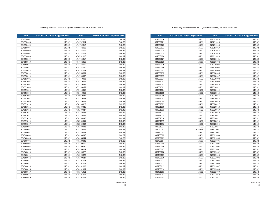| <b>APN</b> | CFD No. 1 FY 2019/20 Applied Rate | <b>APN</b> | CFD No. 1 FY 2019/20 Applied Rate |
|------------|-----------------------------------|------------|-----------------------------------|
| 304560020  | 146.32                            | 478291014  | 146.32                            |
| 304560021  | 146.32                            | 478291015  | 146.32                            |
| 304560022  | 146.32                            | 478291016  | 146.32                            |
| 304560023  | 146.32                            | 478291017  | 146.32                            |
| 304560024  | 146.32                            | 478291018  | 146.32                            |
| 304560025  | 146.32                            | 478291019  | 146.32                            |
| 304560026  | 146.32                            | 478291020  | 146.32                            |
| 304560027  | 146.32                            | 478320001  | 146.32                            |
| 304560028  | 146.32                            | 478320002  | 146.32                            |
| 304560029  | 146.32                            | 478320003  | 146.32                            |
| 304560030  | 146.32                            | 478320004  | 146.32                            |
| 304560031  | 146.32                            | 478320005  | 146.32                            |
| 304560032  | 146.32                            | 478320006  | 146.32                            |
| 304560033  | 146.32                            | 478320007  | 146.32                            |
| 304560034  | 146.32                            | 478320008  | 146.32                            |
| 304561001  | 146.32                            | 478320009  | 146.32                            |
| 304561002  | 146.32                            | 478320010  | 146.32                            |
| 304561003  | 146.32                            | 478320011  | 146.32                            |
| 304561004  | 146.32                            | 478320012  | 146.32                            |
| 304561005  | 146.32                            | 478320013  | 146.32                            |
| 304561006  | 146.32                            | 478320014  | 146.32                            |
| 304561007  | 146.32                            | 478320015  | 146.32                            |
| 304561008  | 146.32                            | 478320016  | 146.32                            |
| 304561009  | 146.32                            | 478320017  | 146.32                            |
| 304561010  | 146.32                            | 478320018  | 146.32                            |
| 304561011  | 146.32                            | 478320019  | 146.32                            |
| 304561012  | 146.32                            | 478320020  | 146.32                            |
| 304561013  | 146.32                            | 478320021  | 146.32                            |
| 304561014  | 146.32                            | 478320022  | 146.32                            |
| 304561015  | 146.32                            | 478320023  | 146.32                            |
| 304561016  | 146.32                            | 478320024  | 146.32                            |
| 304561017  | 146.32                            | 478320025  | 146.32                            |
| 308040052  | 18,290.00                         | 478321001  | 146.32                            |
| 308450001  | 146.32                            | 478321002  | 146.32                            |
| 308450002  | 146.32                            | 478321003  | 146.32                            |
| 308450003  | 146.32                            | 478321004  | 146.32                            |
| 308450004  | 146.32                            | 478321005  | 146.32                            |
| 308450005  | 146.32                            | 478321006  | 146.32                            |
| 308450006  | 146.32                            | 478321007  | 146.32                            |
| 308450007  | 146.32                            | 478322001  | 146.32                            |
| 308450008  | 146.32                            | 478322002  | 146.32                            |
| 308450009  | 146.32                            | 478322003  | 146.32                            |
| 308450010  | 146.32                            | 478322004  | 146.32                            |
| 308450011  | 146.32                            | 478322005  | 146.32                            |
| 308450012  | 146.32                            | 478322006  | 146.32                            |
| 308450013  | 146.32                            | 478322007  | 146.32                            |
| 308450014  | 146.32                            | 478322008  | 146.32                            |
| 308451001  | 146.32                            | 478322009  | 146.32                            |
| 308451002  | 146.32                            | 478322010  | 146.32                            |
| 308451003  | 146.32                            | 478322011  | 146.32                            |

### Community Facilties District No. 1 (Park Maintenance) FY 2019/20 Tax Roll

| <b>APN</b> | CFD No. 1 FY 2019/20 Applied Rate | <b>APN</b> | CFD No. 1 FY 2019/20 Applied Rate |
|------------|-----------------------------------|------------|-----------------------------------|
| 304550002  | 146.32                            | 474742010  | 146.32                            |
| 304550003  | 146.32                            | 474742011  | 146.32                            |
| 304550004  | 146.32                            | 474742012  | 146.32                            |
| 304550005  | 146.32                            | 474742013  | 146.32                            |
| 304550006  | 146.32                            | 474742014  | 146.32                            |
| 304550007  | 146.32                            | 474742015  | 146.32                            |
| 304550008  | 146.32                            | 474742016  | 146.32                            |
| 304550009  | 146.32                            | 474742017  | 146.32                            |
| 304550010  | 146.32                            | 474742018  | 146.32                            |
| 304550011  | 146.32                            | 474742019  | 146.32                            |
| 304550012  | 146.32                            | 474742020  | 146.32                            |
| 304550013  | 146.32                            | 474742021  | 146.32                            |
| 304550014  | 146.32                            | 474750001  | 146.32                            |
| 304550015  | 146.32                            | 474750002  | 146.32                            |
| 304551001  | 146.32                            | 474750003  | 146.32                            |
| 304551002  | 146.32                            | 475150055  | 146.32                            |
| 304551003  | 146.32                            | 475150056  | 146.32                            |
| 304551004  | 146.32                            | 475150057  | 146.32                            |
| 304551005  | 146.32                            | 475150058  | 146.32                            |
| 304551006  | 146.32                            | 475150059  | 146.32                            |
| 304551007  | 146.32                            | 478040032  | 146.32                            |
| 304551008  | 146.32                            | 478280023  | 146.32                            |
| 304551009  | 146.32                            | 478280024  | 146.32                            |
| 304551010  | 146.32                            | 478280025  | 146.32                            |
| 304551011  | 146.32                            | 478280026  | 146.32                            |
| 304551012  | 146.32                            | 478280027  | 146.32                            |
| 304551013  | 146.32                            | 478280028  | 146.32                            |
| 304551014  | 146.32                            | 478280029  | 146.32                            |
| 304551015  | 146.32                            | 478280030  | 146.32                            |
| 304551016  | 146.32                            | 478280031  | 146.32                            |
| 304551017  | 146.32                            | 478280032  | 146.32                            |
| 304560001  | 146.32                            | 478280033  | 146.32                            |
| 304560002  | 146.32                            | 478280034  | 146.32                            |
| 304560003  | 146.32                            | 478280035  | 146.32                            |
| 304560004  | 146.32                            | 478280036  | 146.32                            |
| 304560005  | 146.32                            | 478280041  | 146.32                            |
| 304560006  | 146.32                            | 478280042  | 146.32                            |
| 304560007  | 146.32                            | 478290019  | 146.32                            |
| 304560008  | 146.32                            | 478290020  | 146.32                            |
| 304560009  | 146.32                            | 478290021  | 146.32                            |
| 304560010  | 146.32                            | 478290022  | 146.32                            |
| 304560011  | 146.32                            | 478290023  | 146.32                            |
| 304560012  | 146.32                            | 478290024  | 146.32                            |
| 304560013  | 146.32                            | 478291001  | 146.32                            |
| 304560014  | 146.32                            | 478291002  | 146.32                            |
| 304560015  | 146.32                            | 478291003  | 146.32                            |
| 304560016  | 146.32                            | 478291004  | 146.32                            |
| 304560017  | 146.32                            | 478291011  | 146.32                            |
| 304560018  | 146.32                            | 478291012  | 146.32                            |
| 304560019  | 146.32                            | 478291013  | 146.32                            |

05/21/2019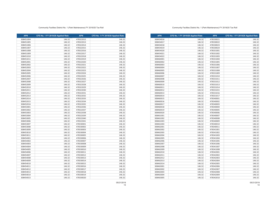| <b>APN</b> | CFD No. 1 FY 2019/20 Applied Rate | <b>APN</b> | CFD No. 1 FY 2019/20 Applied Rate |
|------------|-----------------------------------|------------|-----------------------------------|
| 308454016  | 146.32                            | 478330021  | 146.32                            |
| 308454017  | 146.32                            | 478330022  | 146.32                            |
| 308454018  | 146.32                            | 478330023  | 146.32                            |
| 308454019  | 146.32                            | 478330024  | 146.32                            |
| 308454020  | 146.32                            | 478331001  | 146.32                            |
| 308454021  | 146.32                            | 478331002  | 146.32                            |
| 308454022  | 146.32                            | 478331003  | 146.32                            |
| 308460001  | 146.32                            | 478331004  | 146.32                            |
| 308460002  | 146.32                            | 478331005  | 146.32                            |
| 308460003  | 146.32                            | 478331006  | 146.32                            |
| 308460004  | 146.32                            | 478331007  | 146.32                            |
| 308460005  | 146.32                            | 478331008  | 146.32                            |
| 308460006  | 146.32                            | 478331009  | 146.32                            |
| 308460007  | 146.32                            | 478331010  | 146.32                            |
| 308460008  | 146.32                            | 478331011  | 146.32                            |
| 308460009  | 146.32                            | 478331012  | 146.32                            |
| 308460010  | 146.32                            | 478331013  | 146.32                            |
| 308460011  | 146.32                            | 478331014  | 146.32                            |
| 308460012  | 146.32                            | 478331015  | 146.32                            |
| 308460013  | 146.32                            | 478331016  | 146.32                            |
| 308460014  | 146.32                            | 478331017  | 146.32                            |
| 308460015  | 146.32                            | 478340001  | 146.32                            |
| 308460016  | 146.32                            | 478340002  | 146.32                            |
| 308460017  | 146.32                            | 478340003  | 146.32                            |
| 308460018  | 146.32                            | 478340004  | 146.32                            |
| 308460019  | 146.32                            | 478340005  | 146.32                            |
| 308460020  | 146.32                            | 478340006  | 146.32                            |
| 308461001  | 146.32                            | 478340007  | 146.32                            |
| 308461002  | 146.32                            | 478340008  | 146.32                            |
| 308461003  | 146.32                            | 478340009  | 146.32                            |
| 308461004  | 146.32                            | 478340010  | 146.32                            |
| 308462001  | 146.32                            | 478340011  | 146.32                            |
| 308462002  | 146.32                            | 478341001  | 146.32                            |
| 308462003  | 146.32                            | 478341002  | 146.32                            |
| 308462004  | 146.32                            | 478341003  | 146.32                            |
| 308462005  | 146.32                            | 478341004  | 146.32                            |
| 308462006  | 146.32                            | 478341005  | 146.32                            |
| 308462007  | 146.32                            | 478341006  | 146.32                            |
| 308462008  | 146.32                            | 478341007  | 146.32                            |
| 308462009  | 146.32                            | 478341008  | 146.32                            |
| 308462010  | 146.32                            | 478342001  | 146.32                            |
| 308462011  | 146.32                            | 478342002  | 146.32                            |
| 308462012  | 146.32                            | 478342003  | 146.32                            |
| 308462013  | 146.32                            | 478342004  | 146.32                            |
| 308462014  | 146.32                            | 478342005  | 146.32                            |
| 308463001  | 146.32                            | 478342006  | 146.32                            |
| 308463002  | 146.32                            | 478342007  | 146.32                            |
| 308463003  | 146.32                            | 478342008  | 146.32                            |
| 308463004  | 146.32                            | 478342009  | 146.32                            |
| 308463005  | 146.32                            | 478342010  | 146.32                            |

#### Community Facilties District No. 1 (Park Maintenance) FY 2019/20 Tax Roll

| <b>APN</b> | CFD No. 1 FY 2019/20 Applied Rate | <b>APN</b> | CFD No. 1 FY 2019/20 Applied Rate |
|------------|-----------------------------------|------------|-----------------------------------|
| 308451004  | 146.32                            | 478322012  | 146.32                            |
| 308451005  | 146.32                            | 478322013  | 146.32                            |
| 308451006  | 146.32                            | 478322014  | 146.32                            |
| 308451007  | 146.32                            | 478322015  | 146.32                            |
| 308451008  | 146.32                            | 478322016  | 146.32                            |
| 308451009  | 146.32                            | 478322017  | 146.32                            |
| 308451010  | 146.32                            | 478322018  | 146.32                            |
| 308451011  | 146.32                            | 478322019  | 146.32                            |
| 308452001  | 146.32                            | 478322020  | 146.32                            |
| 308452002  | 146.32                            | 478322021  | 146.32                            |
| 308452003  | 146.32                            | 478322022  | 146.32                            |
| 308452004  | 146.32                            | 478322023  | 146.32                            |
| 308452005  | 146.32                            | 478322024  | 146.32                            |
| 308452006  | 146.32                            | 478322025  | 146.32                            |
| 308452007  | 146.32                            | 478322026  | 146.32                            |
| 308452008  | 146.32                            | 478322027  | 146.32                            |
| 308452009  | 146.32                            | 478322028  | 146.32                            |
| 308452010  | 146.32                            | 478322029  | 146.32                            |
| 308452011  | 146.32                            | 478322030  | 146.32                            |
| 308452012  | 146.32                            | 478322031  | 146.32                            |
| 308452013  | 146.32                            | 478322032  | 146.32                            |
| 308452014  | 146.32                            | 478322033  | 146.32                            |
| 308452015  | 146.32                            | 478322034  | 146.32                            |
| 308452016  | 146.32                            | 478322035  | 146.32                            |
| 308453001  | 146.32                            | 478322036  | 146.32                            |
| 308453002  | 146.32                            | 478322037  | 146.32                            |
| 308453003  | 146.32                            | 478322038  | 146.32                            |
| 308453004  | 146.32                            | 478322039  | 146.32                            |
| 308453005  | 146.32                            | 478322040  | 146.32                            |
| 308453006  | 146.32                            | 478322041  | 146.32                            |
| 308453007  | 146.32                            | 478330001  | 146.32                            |
| 308453008  | 146.32                            | 478330002  | 146.32                            |
| 308453009  | 146.32                            | 478330003  | 146.32                            |
| 308453010  | 146.32                            | 478330004  | 146.32                            |
| 308453011  | 146.32                            | 478330005  | 146.32                            |
| 308454001  | 146.32                            | 478330006  | 146.32                            |
| 308454002  | 146.32                            | 478330007  | 146.32                            |
| 308454003  | 146.32                            | 478330008  | 146.32                            |
| 308454004  | 146.32                            | 478330009  | 146.32                            |
| 308454005  | 146.32                            | 478330010  | 146.32                            |
| 308454006  | 146.32                            | 478330011  | 146.32                            |
| 308454007  | 146.32                            | 478330012  | 146.32                            |
| 308454008  | 146.32                            | 478330013  | 146.32                            |
| 308454009  | 146.32                            | 478330014  | 146.32                            |
| 308454010  | 146.32                            | 478330015  | 146.32                            |
| 308454011  | 146.32                            | 478330016  | 146.32                            |
| 308454012  | 146.32                            | 478330017  | 146.32                            |
| 308454013  | 146.32                            | 478330018  | 146.32                            |
| 308454014  | 146.32                            | 478330019  | 146.32                            |
| 308454015  | 146.32                            | 478330020  | 146.32                            |
|            |                                   |            |                                   |

05/21/2019

05/21/2019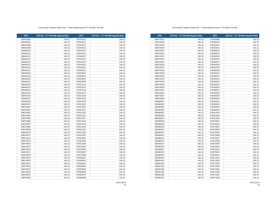| <b>APN</b> | CFD No. 1 FY 2019/20 Applied Rate | <b>APN</b> | CFD No. 1 FY 2019/20 Applied Rate |
|------------|-----------------------------------|------------|-----------------------------------|
| 308470027  | 146.32                            | 478360009  | 146.32                            |
| 308470028  | 146.32                            | 478360010  | 146.32                            |
| 308470029  | 146.32                            | 478360011  | 146.32                            |
| 308470030  | 146.32                            | 478360012  | 146.32                            |
| 308470031  | 146.32                            | 478360013  | 146.32                            |
| 308470032  | 146.32                            | 478360014  | 146.32                            |
| 308470033  | 146.32                            | 478360015  | 146.32                            |
| 308470034  | 146.32                            | 478360016  | 146.32                            |
| 308470035  | 146.32                            | 478360017  | 146.32                            |
| 308470036  | 146.32                            | 478360018  | 146.32                            |
| 308470037  | 146.32                            | 478360019  | 146.32                            |
| 308470038  | 146.32                            | 478360020  | 146.32                            |
| 308470039  | 146.32                            | 478360021  | 146.32                            |
| 308470040  | 146.32                            | 478360022  | 146.32                            |
| 308470041  | 146.32                            | 478360023  | 146.32                            |
| 308470042  | 146.32                            | 478360024  | 146.32                            |
| 308470043  | 146.32                            | 478360025  | 146.32                            |
| 308470044  | 146.32                            | 478360026  | 146.32                            |
| 308470045  | 146.32                            | 478360027  | 146.32                            |
| 308470046  | 146.32                            | 478360028  | 146.32                            |
| 308470047  | 146.32                            | 478360029  | 146.32                            |
| 308470048  | 146.32                            | 478360030  | 146.32                            |
| 308480001  | 146.32                            | 478360031  | 146.32                            |
| 308480002  | 146.32                            | 478360032  | 146.32                            |
| 308480003  | 146.32                            | 478360033  | 146.32                            |
| 308480004  | 146.32                            | 478360034  | 146.32                            |
| 308480005  | 146.32                            | 478361002  | 146.32                            |
| 308480006  | 146.32                            | 478361003  | 146.32                            |
| 308480007  | 146.32                            | 478361004  | 146.32                            |
| 308480008  | 146.32                            | 478370001  | 146.32                            |
| 308480009  | 146.32                            | 478370002  | 146.32                            |
| 308480010  | 146.32                            | 478370003  | 146.32                            |
| 308480011  | 146.32                            | 478370004  | 146.32                            |
| 308480013  | 146.32                            | 478370005  | 146.32                            |
| 308480014  | 146.32                            | 478370006  | 146.32                            |
| 308480015  | 146.32                            | 478370007  | 146.32                            |
| 308480016  | 146.32                            | 478370008  | 146.32                            |
| 308480017  | 146.32                            | 478370009  | 146.32                            |
| 308480018  | 146.32                            | 478370010  | 146.32                            |
| 308480021  | 146.32                            | 478370011  | 146.32                            |
| 308480022  | 146.32                            | 478370012  | 146.32                            |
| 308480023  | 146.32                            | 478370013  | 146.32                            |
| 308480024  | 146.32                            | 478371001  | 146.32                            |
| 308481001  | 146.32                            | 478371002  | 146.32                            |
| 308481002  | 146.32                            | 478371003  | 146.32                            |
| 308481003  | 146.32                            | 478371004  | 146.32                            |
| 308481004  | 146.32                            | 478371005  | 146.32                            |
| 308481005  | 146.32                            | 478371006  | 146.32                            |
| 308481006  | 146.32                            | 478371007  | 146.32                            |
| 308481007  | 146.32                            | 478371008  | 146.32                            |

#### Community Facilties District No. 1 (Park Maintenance) FY 2019/20 Tax Roll

| <b>APN</b> | CFD No. 1 FY 2019/20 Applied Rate | <b>APN</b> | CFD No. 1 FY 2019/20 Applied Rate |
|------------|-----------------------------------|------------|-----------------------------------|
| 308463006  | 146.32                            | 478342011  | 146.32                            |
| 308463007  | 146.32                            | 478342012  | 146.32                            |
| 308463008  | 146.32                            | 478342013  | 146.32                            |
| 308463009  | 146.32                            | 478342014  | 146.32                            |
| 308463010  | 146.32                            | 478342015  | 146.32                            |
| 308463011  | 146.32                            | 478342016  | 146.32                            |
| 308463012  | 146.32                            | 478342017  | 146.32                            |
| 308463013  | 146.32                            | 478342018  | 146.32                            |
| 308463014  | 146.32                            | 478342019  | 146.32                            |
| 308463015  | 146.32                            | 478342020  | 146.32                            |
| 308463016  | 146.32                            | 478342021  | 146.32                            |
| 308463017  | 146.32                            | 478342022  | 146.32                            |
| 308463018  | 146.32                            | 478350001  | 146.32                            |
| 308463019  | 146.32                            | 478350002  | 146.32                            |
| 308463020  | 146.32                            | 478350003  | 146.32                            |
| 308463021  | 146.32                            | 478350004  | 146.32                            |
| 308463022  | 146.32                            | 478351014  | 146.32                            |
| 308463023  | 146.32                            | 478351015  | 146.32                            |
| 308463024  | 146.32                            | 478351016  | 146.32                            |
| 308463025  | 146.32                            | 478351017  | 146.32                            |
| 308463026  | 146.32                            | 478351018  | 146.32                            |
| 308463027  | 146.32                            | 478351019  | 146.32                            |
| 308463028  | 146.32                            | 478351020  | 146.32                            |
| 308463029  | 146.32                            | 478351021  | 146.32                            |
| 308470001  | 146.32                            | 478351022  | 146.32                            |
| 308470002  | 146.32                            | 478351023  | 146.32                            |
| 308470003  | 146.32                            | 478351024  | 146.32                            |
| 308470004  | 146.32                            | 478351025  | 146.32                            |
| 308470005  | 146.32                            | 478351027  | 146.32                            |
| 308470006  | 146.32                            | 478351028  | 146.32                            |
| 308470007  | 146.32                            | 478351029  | 146.32                            |
| 308470008  | 146.32                            | 478351030  | 146.32                            |
| 308470009  | 146.32                            | 478351031  | 146.32                            |
| 308470010  | 146.32                            | 478351032  | 146.32                            |
| 308470011  | 146.32                            | 478352001  | 146.32                            |
| 308470012  | 146.32                            | 478352002  | 146.32                            |
| 308470013  | 146.32                            | 478352003  | 146.32                            |
| 308470014  | 146.32                            | 478352004  | 146.32                            |
| 308470015  | 146.32                            | 478352005  | 146.32                            |
| 308470016  | 146.32                            | 478352006  | 146.32                            |
| 308470017  | 146.32                            | 478352007  | 146.32                            |
| 308470018  | 146.32                            | 478352008  | 146.32                            |
| 308470019  | 146.32                            | 478360001  | 146.32                            |
| 308470020  | 146.32                            | 478360002  | 146.32                            |
| 308470021  | 146.32                            | 478360003  | 146.32                            |
| 308470022  | 146.32                            | 478360004  | 146.32                            |
| 308470023  | 146.32                            | 478360005  | 146.32                            |
| 308470024  | 146.32                            | 478360006  | 146.32                            |
| 308470025  | 146.32                            | 478360007  | 146.32                            |
| 308470026  | 146.32                            | 478360008  | 146.32                            |
|            |                                   |            |                                   |

05/21/2019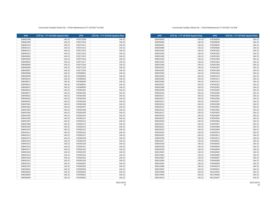| <b>APN</b> | CFD No. 1 FY 2019/20 Applied Rate | <b>APN</b> | CFD No. 1 FY 2019/20 Applied Rate |
|------------|-----------------------------------|------------|-----------------------------------|
| 308500005  | 146.32                            | 478390003  | 146.32                            |
| 308500006  | 146.32                            | 478390004  | 146.32                            |
| 308500007  | 146.32                            | 478390005  | 146.32                            |
| 308500008  | 146.32                            | 478390006  | 146.32                            |
| 308501001  | 146.32                            | 478391001  | 146.32                            |
| 308501002  | 146.32                            | 478391002  | 146.32                            |
| 308501003  | 146.32                            | 478391003  | 146.32                            |
| 308501004  | 146.32                            | 478391004  | 146.32                            |
| 308501005  | 146.32                            | 478391005  | 146.32                            |
| 308501006  | 146.32                            | 478391006  | 146.32                            |
| 308502001  | 146.32                            | 478391007  | 146.32                            |
| 308502002  | 146.32                            | 478391008  | 146.32                            |
| 308502003  | 146.32                            | 478391009  | 146.32                            |
| 308502004  | 146.32                            | 478391010  | 146.32                            |
| 308502005  | 146.32                            | 478391011  | 146.32                            |
| 308502006  | 146.32                            | 478391012  | 146.32                            |
| 308502007  | 146.32                            | 478392001  | 146.32                            |
| 308502008  | 146.32                            | 478392002  | 146.32                            |
| 308502009  | 146.32                            | 478392003  | 146.32                            |
| 308502010  | 146.32                            | 478392004  | 146.32                            |
| 308502011  | 146.32                            | 478392005  | 146.32                            |
| 308502012  | 146.32                            | 478392006  | 146.32                            |
| 308502013  | 146.32                            | 478392007  | 146.32                            |
| 308502014  | 146.32                            | 478392008  | 146.32                            |
| 308502015  | 146.32                            | 478393001  | 146.32                            |
| 308502016  | 146.32                            | 478393002  | 146.32                            |
| 308502017  | 146.32                            | 478393003  | 146.32                            |
| 308502018  | 146.32                            | 478393004  | 146.32                            |
| 308502019  | 146.32                            | 478393005  | 146.32                            |
| 308502020  | 146.32                            | 478393006  | 146.32                            |
| 308502021  | 146.32                            | 478393007  | 146.32                            |
| 308502022  | 146.32                            | 478393008  | 146.32                            |
| 308502023  | 146.32                            | 478393009  | 146.32                            |
| 308502024  | 146.32                            | 478393010  | 146.32                            |
| 308502025  | 146.32                            | 478393011  | 146.32                            |
| 308502026  | 146.32                            | 478393012  | 146.32                            |
| 308502027  | 146.32                            | 478440001  | 146.32                            |
| 308502028  | 146.32                            | 478440002  | 146.32                            |
| 308502029  | 146.32                            | 478440003  | 146.32                            |
| 308502030  | 146.32                            | 478440004  | 146.32                            |
| 308510001  | 146.32                            | 478440005  | 146.32                            |
| 308510002  | 146.32                            | 478440006  | 146.32                            |
| 308510003  | 146.32                            | 478440007  | 146.32                            |
| 308510004  | 146.32                            | 478440008  | 146.32                            |
| 308510005  | 146.32                            | 478440009  | 146.32                            |
| 308510006  | 146.32                            | 478440010  | 146.32                            |
| 308510007  | 146.32                            | 479690001  | 146.32                            |
| 308510008  | 146.32                            | 481250045  | 146.32                            |
| 308510009  | 146.32                            | 481250046  | 146.32                            |
| 308510010  | 146.32                            | 481250047  | 146.32                            |
|            |                                   |            |                                   |

### Community Facilties District No. 1 (Park Maintenance) FY 2019/20 Tax Roll

| <b>APN</b>             | CFD No. 1 FY 2019/20 Applied Rate | <b>APN</b>             | CFD No. 1 FY 2019/20 Applied Rate |
|------------------------|-----------------------------------|------------------------|-----------------------------------|
| 308481008              | 146.32                            | 478371009              | 146.32                            |
| 308481009              | 146.32                            | 478371010              | 146.32                            |
| 308481010              | 146.32                            | 478371011              | 146.32                            |
| 308481011              | 146.32                            | 478371012              | 146.32                            |
| 308481012              | 146.32                            | 478371013              | 146.32                            |
| 308481013              | 146.32                            | 478371014              | 146.32                            |
| 308490001              | 146.32                            | 478371015              | 146.32                            |
| 308490002              | 146.32                            | 478371016              | 146.32                            |
| 308490003              | 146.32                            | 478371017              | 146.32                            |
| 308490004              | 146.32                            | 478371018              | 146.32                            |
| 308490006              | 146.32                            | 478371019              | 146.32                            |
| 308490007              | 146.32                            | 478371020              | 146.32                            |
| 308490008              | 146.32                            | 478380001              | 146.32                            |
| 308490009              | 146.32                            | 478380002              | 146.32                            |
| 308490010              | 146.32                            | 478380003              | 146.32                            |
| 308490011              | 146.32                            | 478380004              | 146.32                            |
| 308490014              | 146.32                            | 478380005              | 146.32                            |
| 308490015              | 146.32                            | 478380006              | 146.32                            |
| 308490016              | 146.32                            | 478381001              | 146.32                            |
| 308490017              | 146.32                            | 478381002              | 146.32                            |
| 308490022              | 146.32                            | 478381003              | 146.32                            |
| 308490024              | 146.32                            | 478381004              | 146.32                            |
| 308490025              | 146.32                            | 478381005              | 146.32                            |
| 308491001              | 146.32                            | 478381006              | 146.32                            |
| 308491002              | 146.32                            | 478381007              | 146.32                            |
| 308491003              | 146.32                            | 478381008              | 146.32                            |
| 308491004              | 146.32                            | 478381009              | 146.32                            |
| 308491005              | 146.32                            | 478381010              | 146.32                            |
| 308491006              | 146.32                            | 478381011              | 146.32                            |
| 308491007              | 146.32                            | 478381012              | 146.32                            |
| 308491008              | 146.32                            | 478381013              | 146.32                            |
| 308491009              | 146.32                            | 478381014              | 146.32                            |
| 308491010              | 146.32                            | 478381015              | 146.32                            |
| 308491011              | 146.32                            | 478381016              | 146.32                            |
| 308491012              | 146.32                            | 478381017              | 146.32                            |
|                        | 146.32                            |                        |                                   |
| 308491013<br>308491014 | 146.32                            | 478381018<br>478381019 | 146.32<br>146.32                  |
|                        |                                   |                        |                                   |
| 308491015              | 146.32<br>146.32                  | 478381020              | 146.32                            |
| 308491016              |                                   | 478381021              | 146.32                            |
| 308491017              | 146.32                            | 478381022              | 146.32                            |
| 308491018              | 146.32                            | 478381023              | 146.32                            |
| 308491019              | 146.32                            | 478381024              | 146.32                            |
| 308491020              | 146.32                            | 478381025              | 146.32                            |
| 308491021              | 146.32                            | 478381026              | 146.32                            |
| 308491022              | 146.32                            | 478382001              | 146.32                            |
| 308491023              | 146.32                            | 478382002              | 146.32                            |
| 308500001              | 146.32                            | 478382003              | 146.32                            |
| 308500002              | 146.32                            | 478382004              | 146.32                            |
| 308500003              | 146.32                            | 478390001              | 146.32                            |
| 308500004              | 146.32                            | 478390002              | 146.32                            |

05/21/2019

05/21/2019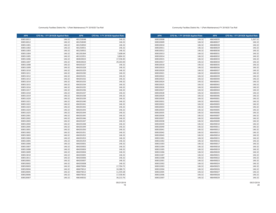| <b>APN</b> | CFD No. 1 FY 2019/20 Applied Rate | <b>APN</b> | CFD No. 1 FY 2019/20 Applied Rate |
|------------|-----------------------------------|------------|-----------------------------------|
| 308520008  | 146.32                            | 486340035  | 5,267.52                          |
| 308520009  | 146.32                            | 486480027  | 146.32                            |
| 308520010  | 146.32                            | 486480028  | 146.32                            |
| 308520011  | 146.32                            | 486480029  | 146.32                            |
| 308520012  | 146.32                            | 486480030  | 146.32                            |
| 308520013  | 146.32                            | 486480031  | 146.32                            |
| 308520014  | 146.32                            | 486480032  | 146.32                            |
| 308520015  | 146.32                            | 486480033  | 146.32                            |
| 308520017  | 146.32                            | 486480034  | 146.32                            |
| 308520018  | 146.32                            | 486480035  | 146.32                            |
| 308520019  | 146.32                            | 486480036  | 146.32                            |
| 308520020  | 146.32                            | 486480037  | 146.32                            |
| 308520021  | 146.32                            | 486480038  | 146.32                            |
| 308520022  | 146.32                            | 486480039  | 146.32                            |
| 308520023  | 146.32                            | 486480040  | 146.32                            |
| 308520024  | 146.32                            | 486480041  | 146.32                            |
| 308520025  | 146.32                            | 486480042  | 146.32                            |
| 308520026  | 146.32                            | 486480043  | 146.32                            |
| 308520027  | 146.32                            | 486480044  | 146.32                            |
| 308520028  | 146.32                            | 486480045  | 146.32                            |
| 308520029  | 146.32                            | 486480046  | 146.32                            |
| 308520030  | 146.32                            | 486490001  | 146.32                            |
| 308520031  | 146.32                            | 486490002  | 146.32                            |
| 308520032  | 146.32                            | 486490003  | 146.32                            |
| 308520033  | 146.32                            | 486490004  | 146.32                            |
| 308520034  | 146.32                            | 486490005  | 146.32                            |
| 308520035  | 146.32                            | 486490006  | 146.32                            |
| 308520036  | 146.32                            | 486490007  | 146.32                            |
| 308520037  | 146.32                            | 486490008  | 146.32                            |
| 308520038  | 146.32                            | 486490009  | 146.32                            |
| 308520039  | 146.32                            | 486490010  | 146.32                            |
| 308520040  | 146.32                            | 486490011  | 146.32                            |
| 308520041  | 146.32                            | 486490012  | 146.32                            |
| 308520042  | 146.32                            | 486490013  | 146.32                            |
| 308520043  | 146.32                            | 486490014  | 146.32                            |
| 308521001  | 146.32                            | 486490015  | 146.32                            |
| 308521002  | 146.32                            | 486490016  | 146.32                            |
| 308521003  | 146.32                            | 486490017  | 146.32                            |
| 308521004  | 146.32                            | 486490018  | 146.32                            |
| 308521005  | 146.32                            | 486490019  | 146.32                            |
| 308521006  | 146.32                            | 486490020  | 146.32                            |
| 308521007  | 146.32                            | 486490021  | 146.32                            |
| 308521008  | 146.32                            | 486490022  | 146.32                            |
| 308522001  | 146.32                            | 486490023  | 146.32                            |
| 308522002  | 146.32                            | 486490024  | 146.32                            |
| 308522003  | 146.32                            | 486490025  | 146.32                            |
| 308522004  | 146.32                            | 486490026  | 146.32                            |
| 308522005  | 146.32                            | 486490027  | 146.32                            |
| 308522006  | 146.32                            | 486490028  | 146.32                            |
| 308522007  | 146.32                            | 486490029  | 146.32                            |

#### Community Facilties District No. 1 (Park Maintenance) FY 2019/20 Tax Roll

| <b>APN</b> | CFD No. 1 FY 2019/20 Applied Rate | <b>APN</b> | CFD No. 1 FY 2019/20 Applied Rate |
|------------|-----------------------------------|------------|-----------------------------------|
| 308510011  | 146.32                            | 481250048  | 146.32                            |
| 308510012  | 146.32                            | 481250049  | 146.32                            |
| 308511001  | 146.32                            | 481250050  | 146.32                            |
| 308511002  | 146.32                            | 481250051  | 146.32                            |
| 308511003  | 146.32                            | 481250052  | 146.32                            |
| 308511004  | 146.32                            | 481281064  | 7,608.64                          |
| 308511005  | 146.32                            | 481322051  | 3,804.32                          |
| 308511006  | 146.32                            | 484020023  | 17,558.40                         |
| 308511007  | 146.32                            | 484020024  | 29,264.00                         |
| 308511008  | 146.32                            | 484201027  | 146.32                            |
| 308511009  | 146.32                            | 484201028  | 146.32                            |
| 308511010  | 146.32                            | 484201029  | 146.32                            |
| 308511011  | 146.32                            | 484201030  | 146.32                            |
| 308511012  | 146.32                            | 484201031  | 146.32                            |
| 308511013  | 146.32                            | 484201032  | 146.32                            |
| 308511014  | 146.32                            | 484201033  | 146.32                            |
| 308511015  | 146.32                            | 484201034  | 146.32                            |
| 308511016  | 146.32                            | 484201035  | 146.32                            |
| 308511017  | 146.32                            | 484201036  | 146.32                            |
| 308511018  | 146.32                            | 484201037  | 146.32                            |
| 308511019  | 146.32                            | 484201038  | 146.32                            |
| 308511020  | 146.32                            | 484201039  | 146.32                            |
| 308511021  | 146.32                            | 484201040  | 146.32                            |
| 308511022  | 146.32                            | 484201041  | 146.32                            |
| 308511023  | 146.32                            | 484201042  | 146.32                            |
| 308511024  | 146.32                            | 484201043  | 146.32                            |
| 308511025  | 146.32                            | 484201044  | 146.32                            |
| 308512001  | 146.32                            | 484201045  | 146.32                            |
| 308512002  | 146.32                            | 484201046  | 146.32                            |
| 308512003  | 146.32                            | 484201047  | 146.32                            |
| 308512004  | 146.32                            | 484201048  | 146.32                            |
| 308512005  | 146.32                            | 484201049  | 146.32                            |
| 308513001  | 146.32                            | 484201050  | 146.32                            |
| 308513002  | 146.32                            | 484201051  | 146.32                            |
| 308513003  | 146.32                            | 484201052  | 146.32                            |
| 308513004  | 146.32                            | 484201053  | 146.32                            |
| 308513005  | 146.32                            | 484201054  | 146.32                            |
| 308513006  | 146.32                            | 484203001  | 146.32                            |
| 308513007  | 146.32                            | 484203002  | 146.32                            |
| 308513008  | 146.32                            | 484203003  | 146.32                            |
| 308513009  | 146.32                            | 484203004  | 146.32                            |
| 308513010  | 146.32                            | 484203005  | 146.32                            |
| 308513011  | 146.32                            | 484203006  | 146.32                            |
| 308520001  | 146.32                            | 484203007  | 146.32                            |
| 308520002  | 146.32                            | 484203008  | 146.32                            |
| 308520003  | 146.32                            | 486070004  | 17,704.72                         |
| 308520004  | 146.32                            | 486070012  | 10,388.72                         |
| 308520005  | 146.32                            | 486070013  | 11,559.28                         |
| 308520006  | 146.32                            | 486070016  | 17,558.40                         |
| 308520007  | 146.32                            | 486340032  | 39,213.76                         |
|            |                                   |            |                                   |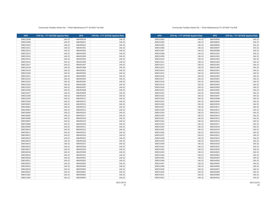| <b>APN</b> | CFD No. 1 FY 2019/20 Applied Rate | <b>APN</b> | CFD No. 1 FY 2019/20 Applied Rate |
|------------|-----------------------------------|------------|-----------------------------------|
| 308531003  | 146.32                            | 486500004  | 146.32                            |
| 308531004  | 146.32                            | 486500005  | 146.32                            |
| 308531005  | 146.32                            | 486500006  | 146.32                            |
| 308531006  | 146.32                            | 486500007  | 146.32                            |
| 308531007  | 146.32                            | 486500008  | 146.32                            |
| 308531008  | 146.32                            | 486501001  | 146.32                            |
| 308531009  | 146.32                            | 486501002  | 146.32                            |
| 308531010  | 146.32                            | 486501003  | 146.32                            |
| 308531011  | 146.32                            | 486501004  | 146.32                            |
| 308531012  | 146.32                            | 486501005  | 146.32                            |
| 308531013  | 146.32                            | 486501006  | 146.32                            |
| 308531014  | 146.32                            | 486502001  | 146.32                            |
| 308531015  | 146.32                            | 486502002  | 146.32                            |
| 308531016  | 146.32                            | 486502003  | 146.32                            |
| 308531017  | 146.32                            | 486503001  | 146.32                            |
| 308531018  | 146.32                            | 486503002  | 146.32                            |
| 308531019  | 146.32                            | 486503003  | 146.32                            |
| 308531020  | 146.32                            | 486503004  | 146.32                            |
| 308531021  | 146.32                            | 486503005  | 146.32                            |
| 308531022  | 146.32                            | 486503006  | 146.32                            |
| 308531023  | 146.32                            | 486503007  | 146.32                            |
| 308531024  | 146.32                            | 486503008  | 146.32                            |
| 308531025  | 146.32                            | 486503009  | 146.32                            |
| 308531026  | 146.32                            | 486503010  | 146.32                            |
| 308531027  | 146.32                            | 486503011  | 146.32                            |
| 308531028  | 146.32                            | 486503012  | 146.32                            |
| 308531029  | 146.32                            | 486503013  | 146.32                            |
| 308531030  | 146.32                            | 486503014  | 146.32                            |
| 308531031  | 146.32                            | 486503015  | 146.32                            |
| 308531032  | 146.32                            | 486503016  | 146.32                            |
| 308531033  | 146.32                            | 486503017  | 146.32                            |
| 308531034  | 146.32                            | 486503018  | 146.32                            |
| 308531035  | 146.32                            | 486503019  | 146.32                            |
| 308531036  | 146.32                            | 486503020  | 146.32                            |
| 308531037  | 146.32                            | 486503021  | 146.32                            |
| 308531038  | 146.32                            | 486503022  | 146.32                            |
| 308531039  | 146.32                            | 486503023  | 146.32                            |
| 308531040  | 146.32                            | 486503024  | 146.32                            |
| 308531041  | 146.32                            | 486503025  | 146.32                            |
| 308531042  | 146.32                            | 486503026  | 146.32                            |
| 308531043  | 146.32                            | 486504001  | 146.32                            |
| 308531044  | 146.32                            | 486504002  | 146.32                            |
| 308531045  | 146.32                            | 486504003  | 146.32                            |
| 308531046  | 146.32                            | 486504004  | 146.32                            |
| 308531047  | 146.32                            | 486504005  | 146.32                            |
| 308531048  | 146.32                            | 486504006  | 146.32                            |
| 308531049  | 146.32                            | 486504007  | 146.32                            |
| 308531050  | 146.32                            | 486504008  | 146.32                            |
| 308531051  | 146.32                            | 486504009  | 146.32                            |
| 308531052  | 146.32                            | 486504010  | 146.32                            |

#### Community Facilties District No. 1 (Park Maintenance) FY 2019/20 Tax Roll

| <b>APN</b> | CFD No. 1 FY 2019/20 Applied Rate | <b>APN</b> | CFD No. 1 FY 2019/20 Applied Rate |
|------------|-----------------------------------|------------|-----------------------------------|
| 308522008  | 146.32                            | 486490030  | 146.32                            |
| 308522009  | 146.32                            | 486490031  | 146.32                            |
| 308522010  | 146.32                            | 486490032  | 146.32                            |
| 308522011  | 146.32                            | 486491001  | 146.32                            |
| 308522012  | 146.32                            | 486491002  | 146.32                            |
| 308522013  | 146.32                            | 486491003  | 146.32                            |
| 308522014  | 146.32                            | 486491004  | 146.32                            |
| 308522015  | 146.32                            | 486491005  | 146.32                            |
| 308522016  | 146.32                            | 486491006  | 146.32                            |
| 308522017  | 146.32                            | 486491007  | 146.32                            |
| 308522018  | 146.32                            | 486491008  | 146.32                            |
| 308522019  | 146.32                            | 486492001  | 146.32                            |
| 308522020  | 146.32                            | 486492002  | 146.32                            |
| 308522021  | 146.32                            | 486492003  | 146.32                            |
| 308522022  | 146.32                            | 486492004  | 146.32                            |
| 308522023  | 146.32                            | 486492005  | 146.32                            |
| 308522024  | 146.32                            | 486492006  | 146.32                            |
| 308522025  | 146.32                            | 486492007  | 146.32                            |
| 308522026  | 146.32                            | 486492008  | 146.32                            |
| 308522027  | 146.32                            | 486492009  | 146.32                            |
| 308522028  | 146.32                            | 486492010  | 146.32                            |
| 308522029  | 146.32                            | 486492011  | 146.32                            |
| 308522030  | 146.32                            | 486492012  | 146.32                            |
| 308530001  | 146.32                            | 486492013  | 146.32                            |
| 308530002  | 146.32                            | 486492014  | 146.32                            |
| 308530003  | 146.32                            | 486492015  | 146.32                            |
| 308530004  | 146.32                            | 486492016  | 146.32                            |
| 308530005  | 146.32                            | 486492017  | 146.32                            |
| 308530006  | 146.32                            | 486492018  | 146.32                            |
| 308530007  | 146.32                            | 486492019  | 146.32                            |
| 308530008  | 146.32                            | 486492020  | 146.32                            |
| 308530009  | 146.32                            | 486492021  | 146.32                            |
| 308530010  | 146.32                            | 486492022  | 146.32                            |
| 308530011  | 146.32                            | 486492023  | 146.32                            |
| 308530012  | 146.32                            | 486492024  | 146.32                            |
| 308530013  | 146.32                            | 486492025  | 146.32                            |
| 308530014  | 146.32                            | 486492026  | 146.32                            |
| 308530015  | 146.32                            | 486492027  | 146.32                            |
| 308530016  | 146.32                            | 486492028  | 146.32                            |
| 308530017  | 146.32                            | 486492029  | 146.32                            |
| 308530018  | 146.32                            | 486492030  | 146.32                            |
| 308530019  | 146.32                            | 486492031  | 146.32                            |
| 308530020  | 146.32                            | 486493001  | 146.32                            |
| 308530021  | 146.32                            | 486493002  | 146.32                            |
| 308530022  | 146.32                            | 486493003  | 146.32                            |
| 308530023  | 146.32                            | 486493004  | 146.32                            |
| 308530024  | 146.32                            | 486493005  | 146.32                            |
| 308530025  | 146.32                            | 486500001  | 146.32                            |
| 308531001  | 146.32                            | 486500002  | 146.32                            |
| 308531002  | 146.32                            | 486500003  | 146.32                            |
|            |                                   |            |                                   |

05/21/2019

05/21/2019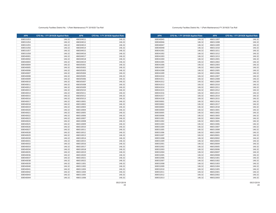| <b>APN</b> | CFD No. 1 FY 2019/20 Applied Rate | <b>APN</b> | CFD No. 1 FY 2019/20 Applied Rate |
|------------|-----------------------------------|------------|-----------------------------------|
| 308540045  | 146.32                            | 486511007  | 146.32                            |
| 308540046  | 146.32                            | 486511008  | 146.32                            |
| 308540047  | 146.32                            | 486511009  | 146.32                            |
| 308540048  | 146.32                            | 486511010  | 146.32                            |
| 308541001  | 146.32                            | 486511011  | 146.32                            |
| 308541002  | 146.32                            | 486511012  | 146.32                            |
| 308541003  | 146.32                            | 486511013  | 146.32                            |
| 308541004  | 146.32                            | 486512001  | 146.32                            |
| 308541005  | 146.32                            | 486512002  | 146.32                            |
| 308541006  | 146.32                            | 486512003  | 146.32                            |
| 308541007  | 146.32                            | 486512004  | 146.32                            |
| 308541008  | 146.32                            | 486512005  | 146.32                            |
| 308541009  | 146.32                            | 486512006  | 146.32                            |
| 308541010  | 146.32                            | 486512007  | 146.32                            |
| 308541011  | 146.32                            | 486512008  | 146.32                            |
| 308541012  | 146.32                            | 486512009  | 146.32                            |
| 308541013  | 146.32                            | 486512010  | 146.32                            |
| 308541014  | 146.32                            | 486512011  | 146.32                            |
| 308541015  | 146.32                            | 486512012  | 146.32                            |
| 308541016  | 146.32                            | 486512013  | 146.32                            |
| 308541017  | 146.32                            | 486512014  | 146.32                            |
| 308541018  | 146.32                            | 486512015  | 146.32                            |
| 308550001  | 146.32                            | 486512016  | 146.32                            |
| 308550002  | 146.32                            | 486512017  | 146.32                            |
| 308550003  | 146.32                            | 486512018  | 146.32                            |
| 308550004  | 146.32                            | 486513001  | 146.32                            |
| 308550005  | 146.32                            | 486513002  | 146.32                            |
| 308550006  | 146.32                            | 486513003  | 146.32                            |
| 308551001  | 146.32                            | 486513004  | 146.32                            |
| 308551002  | 146.32                            | 486513005  | 146.32                            |
| 308551003  | 146.32                            | 486513006  | 146.32                            |
| 308551004  | 146.32                            | 486513007  | 146.32                            |
| 308551005  | 146.32                            | 486513008  | 146.32                            |
| 308551006  | 146.32                            | 486513009  | 146.32                            |
| 308551007  | 146.32                            | 486520001  | 146.32                            |
| 308551008  | 146.32                            | 486520002  | 146.32                            |
| 308551009  | 146.32                            | 486520003  | 146.32                            |
| 308552001  | 146.32                            | 486520004  | 146.32                            |
| 308552002  | 146.32                            | 486520005  | 146.32                            |
| 308552003  | 146.32                            | 486520006  | 146.32                            |
| 308552004  | 146.32                            | 486520007  | 146.32                            |
| 308552005  | 146.32                            | 486520008  | 146.32                            |
| 308552006  | 146.32                            | 486521001  | 146.32                            |
| 308552007  | 146.32                            | 486521002  | 146.32                            |
| 308552008  | 146.32                            | 486521003  | 146.32                            |
| 308552009  | 146.32                            | 486521004  | 146.32                            |
| 308552010  | 146.32                            | 486521005  | 146.32                            |
| 308552011  | 146.32                            | 486522001  | 146.32                            |
| 308552012  | 146.32                            | 486522002  | 146.32                            |
| 308552013  | 146.32                            | 486522003  | 146.32                            |

### Community Facilties District No. 1 (Park Maintenance) FY 2019/20 Tax Roll

| <b>APN</b> | CFD No. 1 FY 2019/20 Applied Rate | <b>APN</b> | CFD No. 1 FY 2019/20 Applied Rate |
|------------|-----------------------------------|------------|-----------------------------------|
| 308531053  | 146.32                            | 486504011  | 146.32                            |
| 308531054  | 146.32                            | 486504012  | 146.32                            |
| 308531055  | 146.32                            | 486504013  | 146.32                            |
| 308531056  | 146.32                            | 486504014  | 146.32                            |
| 308531057  | 146.32                            | 486504015  | 146.32                            |
| 308531058  | 146.32                            | 486504016  | 146.32                            |
| 308540001  | 146.32                            | 486504017  | 146.32                            |
| 308540002  | 146.32                            | 486504018  | 146.32                            |
| 308540003  | 146.32                            | 486504019  | 146.32                            |
| 308540004  | 146.32                            | 486505001  | 146.32                            |
| 308540005  | 146.32                            | 486505002  | 146.32                            |
| 308540006  | 146.32                            | 486505003  | 146.32                            |
| 308540007  | 146.32                            | 486505004  | 146.32                            |
| 308540008  | 146.32                            | 486505005  | 146.32                            |
| 308540009  | 146.32                            | 486505006  | 146.32                            |
| 308540010  | 146.32                            | 486505007  | 146.32                            |
| 308540011  | 146.32                            | 486505008  | 146.32                            |
| 308540012  | 146.32                            | 486505009  | 146.32                            |
| 308540013  | 146.32                            | 486505010  | 146.32                            |
| 308540014  | 146.32                            | 486505011  | 146.32                            |
| 308540015  | 146.32                            | 486505012  | 146.32                            |
| 308540016  | 146.32                            | 486505013  | 146.32                            |
| 308540017  | 146.32                            | 486510001  | 146.32                            |
| 308540018  | 146.32                            | 486510002  | 146.32                            |
| 308540019  | 146.32                            | 486510003  | 146.32                            |
| 308540020  | 146.32                            | 486510004  | 146.32                            |
| 308540021  | 146.32                            | 486510005  | 146.32                            |
| 308540022  | 146.32                            | 486510006  | 146.32                            |
| 308540023  | 146.32                            | 486510007  | 146.32                            |
| 308540024  | 146.32                            | 486510008  | 146.32                            |
| 308540025  | 146.32                            | 486510009  | 146.32                            |
| 308540026  | 146.32                            | 486510010  | 146.32                            |
| 308540027  | 146.32                            | 486510011  | 146.32                            |
| 308540028  | 146.32                            | 486510012  | 146.32                            |
| 308540029  | 146.32                            | 486510013  | 146.32                            |
| 308540030  | 146.32                            | 486510014  | 146.32                            |
| 308540031  | 146.32                            | 486510015  | 146.32                            |
| 308540032  | 146.32                            | 486510016  | 146.32                            |
| 308540033  | 146.32                            | 486510017  | 146.32                            |
| 308540034  | 146.32                            | 486510018  | 146.32                            |
| 308540035  | 146.32                            | 486510019  | 146.32                            |
| 308540036  | 146.32                            | 486510020  | 146.32                            |
| 308540037  | 146.32                            | 486510021  | 146.32                            |
| 308540038  | 146.32                            | 486510022  | 146.32                            |
| 308540039  | 146.32                            | 486511001  | 146.32                            |
| 308540040  | 146.32                            | 486511002  | 146.32                            |
| 308540041  | 146.32                            | 486511003  | 146.32                            |
| 308540042  | 146.32                            | 486511004  | 146.32                            |
| 308540043  | 146.32                            | 486511005  | 146.32                            |
| 308540044  | 146.32                            | 486511006  | 146.32                            |
|            |                                   |            |                                   |

05/21/2019

05/21/2019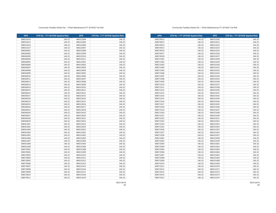| <b>APN</b> | CFD No. 1 FY 2019/20 Applied Rate | <b>APN</b> | CFD No. 1 FY 2019/20 Applied Rate |
|------------|-----------------------------------|------------|-----------------------------------|
| 308570012  | 146.32                            | 486531020  | 146.32                            |
| 308570013  | 146.32                            | 486531021  | 146.32                            |
| 308570014  | 146.32                            | 486531022  | 146.32                            |
| 308570015  | 146.32                            | 486531023  | 146.32                            |
| 308570016  | 146.32                            | 486531025  | 146.32                            |
| 308570017  | 146.32                            | 486531026  | 146.32                            |
| 308570018  | 146.32                            | 486531027  | 146.32                            |
| 308571001  | 146.32                            | 486531028  | 146.32                            |
| 308571002  | 146.32                            | 486531029  | 146.32                            |
| 308571003  | 146.32                            | 486531030  | 146.32                            |
| 308571004  | 146.32                            | 486531031  | 146.32                            |
| 308571005  | 146.32                            | 486531032  | 146.32                            |
| 308571006  | 146.32                            | 486531033  | 146.32                            |
| 308571007  | 146.32                            | 486531034  | 146.32                            |
| 308571008  | 146.32                            | 486531035  | 146.32                            |
| 308571009  | 146.32                            | 486531036  | 146.32                            |
| 308571010  | 146.32                            | 486531037  | 146.32                            |
| 308571011  | 146.32                            | 486531038  | 146.32                            |
| 308571012  | 146.32                            | 486531039  | 146.32                            |
| 308571013  | 146.32                            | 486531041  | 146.32                            |
| 308571014  | 146.32                            | 486531042  | 146.32                            |
| 308571015  | 146.32                            | 486531043  | 146.32                            |
| 308571016  | 146.32                            | 486531044  | 146.32                            |
| 308571017  | 146.32                            | 486531045  | 146.32                            |
| 308571018  | 146.32                            | 486531046  | 146.32                            |
| 308571019  | 146.32                            | 486531047  | 146.32                            |
| 308571020  | 146.32                            | 486531048  | 146.32                            |
| 308571021  | 146.32                            | 486531049  | 146.32                            |
| 308571022  | 146.32                            | 486531051  | 146.32                            |
| 308571023  | 146.32                            | 486531052  | 146.32                            |
| 308571024  | 146.32                            | 486531053  | 146.32                            |
| 308571025  | 146.32                            | 486531054  | 146.32                            |
| 308571026  | 146.32                            | 486531055  | 146.32                            |
| 308571027  | 146.32                            | 486531056  | 146.32                            |
| 308571028  | 146.32                            | 486531057  | 146.32                            |
| 308572001  | 146.32                            | 486531058  | 146.32                            |
| 308572002  | 146.32                            | 486531059  | 146.32                            |
| 308572003  | 146.32                            | 486531061  | 146.32                            |
| 308572004  | 146.32                            | 486531062  | 146.32                            |
| 308572005  | 146.32                            | 486531063  | 146.32                            |
| 308572006  | 146.32                            | 486531064  | 146.32                            |
| 308572007  | 146.32                            | 486531065  | 146.32                            |
| 308572008  | 146.32                            | 486531066  | 146.32                            |
| 308572009  | 146.32                            | 486531068  | 146.32                            |
| 308572010  | 146.32                            | 486531069  | 146.32                            |
| 308572011  | 146.32                            | 486531070  | 146.32                            |
| 308572012  | 146.32                            | 486531071  | 146.32                            |
| 308572013  | 146.32                            | 486531072  | 146.32                            |
| 308572014  | 146.32                            | 486531073  | 146.32                            |
| 308572015  | 146.32                            | 486531074  | 146.32                            |

### Community Facilties District No. 1 (Park Maintenance) FY 2019/20 Tax Roll

| <b>APN</b> | CFD No. 1 FY 2019/20 Applied Rate | <b>APN</b> | CFD No. 1 FY 2019/20 Applied Rate |
|------------|-----------------------------------|------------|-----------------------------------|
| 308552014  | 146.32                            | 486522004  | 146.32                            |
| 308552015  | 146.32                            | 486522005  | 146.32                            |
| 308552016  | 146.32                            | 486522006  | 146.32                            |
| 308552017  | 146.32                            | 486522007  | 146.32                            |
| 308560001  | 146.32                            | 486522008  | 146.32                            |
| 308560002  | 146.32                            | 486522009  | 146.32                            |
| 308560003  | 146.32                            | 486522010  | 146.32                            |
| 308560004  | 146.32                            | 486522011  | 146.32                            |
| 308560005  | 146.32                            | 486523001  | 146.32                            |
| 308560006  | 146.32                            | 486523002  | 146.32                            |
| 308560007  | 146.32                            | 486523003  | 146.32                            |
| 308560008  | 146.32                            | 486523004  | 146.32                            |
| 308560009  | 146.32                            | 486523005  | 146.32                            |
| 308560010  | 146.32                            | 486523006  | 146.32                            |
| 308560011  | 146.32                            | 486523007  | 146.32                            |
| 308560012  | 146.32                            | 486523008  | 146.32                            |
| 308560013  | 146.32                            | 486523009  | 146.32                            |
| 308560014  | 146.32                            | 486523010  | 146.32                            |
| 308560015  | 146.32                            | 486523011  | 146.32                            |
| 308560016  | 146.32                            | 486523012  | 146.32                            |
| 308560017  | 146.32                            | 486523013  | 146.32                            |
| 308560018  | 146.32                            | 486523014  | 146.32                            |
| 308560019  | 146.32                            | 486523015  | 146.32                            |
| 308560023  | 146.32                            | 486523016  | 146.32                            |
| 308560024  | 146.32                            | 486523017  | 146.32                            |
| 308560025  | 146.32                            | 486523018  | 146.32                            |
| 308560026  | 146.32                            | 486523019  | 146.32                            |
| 308560027  | 146.32                            | 486523020  | 146.32                            |
| 308560028  | 146.32                            | 486523021  | 146.32                            |
| 308560029  | 146.32                            | 486523022  | 146.32                            |
| 308561001  | 146.32                            | 486523023  | 146.32                            |
| 308561002  | 146.32                            | 486523024  | 146.32                            |
| 308561003  | 146.32                            | 486523025  | 146.32                            |
| 308561004  | 146.32                            | 486531001  | 146.32                            |
| 308561005  | 146.32                            | 486531002  | 146.32                            |
| 308561006  | 146.32                            | 486531003  | 146.32                            |
| 308561007  | 146.32                            | 486531004  | 146.32                            |
| 308561008  | 146.32                            | 486531005  | 146.32                            |
| 308561009  | 146.32                            | 486531006  | 146.32                            |
| 308570001  | 146.32                            | 486531008  | 146.32                            |
| 308570002  | 146.32                            | 486531009  | 146.32                            |
| 308570003  | 146.32                            | 486531010  | 146.32                            |
| 308570004  | 146.32                            | 486531011  | 146.32                            |
| 308570005  | 146.32                            | 486531012  | 146.32                            |
| 308570006  | 146.32                            | 486531013  | 146.32                            |
| 308570007  | 146.32                            | 486531015  | 146.32                            |
| 308570008  | 146.32                            | 486531016  | 146.32                            |
| 308570009  | 146.32                            | 486531017  | 146.32                            |
| 308570010  | 146.32                            | 486531018  | 146.32                            |
| 308570011  | 146.32                            | 486531019  | 146.32                            |
|            |                                   |            |                                   |

05/21/2019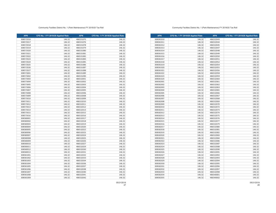| <b>APN</b> | CFD No. 1 FY 2019/20 Applied Rate | <b>APN</b> | CFD No. 1 FY 2019/20 Applied Rate |
|------------|-----------------------------------|------------|-----------------------------------|
| 308581010  | 146.32                            | 486532043  | 146.32                            |
| 308581011  | 146.32                            | 486532044  | 146.32                            |
| 308581012  | 146.32                            | 486532045  | 146.32                            |
| 308581013  | 146.32                            | 486532047  | 146.32                            |
| 308581014  | 146.32                            | 486532048  | 146.32                            |
| 308581015  | 146.32                            | 486532049  | 146.32                            |
| 308581016  | 146.32                            | 486532050  | 146.32                            |
| 308581017  | 146.32                            | 486532051  | 146.32                            |
| 308581018  | 146.32                            | 486532052  | 146.32                            |
| 308581019  | 146.32                            | 486532054  | 146.32                            |
| 308581020  | 146.32                            | 486532055  | 146.32                            |
| 308581021  | 146.32                            | 486532056  | 146.32                            |
| 308581022  | 146.32                            | 486532058  | 146.32                            |
| 308581023  | 146.32                            | 486532059  | 146.32                            |
| 308581024  | 146.32                            | 486532060  | 146.32                            |
| 308582001  | 146.32                            | 486532061  | 146.32                            |
| 308582002  | 146.32                            | 486532062  | 146.32                            |
| 308582003  | 146.32                            | 486532063  | 146.32                            |
| 308582004  | 146.32                            | 486532065  | 146.32                            |
| 308582005  | 146.32                            | 486532066  | 146.32                            |
| 308582006  | 146.32                            | 486532067  | 146.32                            |
| 308582007  | 146.32                            | 486532068  | 146.32                            |
| 308582008  | 146.32                            | 486532069  | 146.32                            |
| 308582009  | 146.32                            | 486532070  | 146.32                            |
| 308582010  | 146.32                            | 486532072  | 146.32                            |
| 308582011  | 146.32                            | 486532073  | 146.32                            |
| 308582012  | 146.32                            | 486532074  | 146.32                            |
| 308582013  | 146.32                            | 486532075  | 146.32                            |
| 308582014  | 146.32                            | 486532076  | 146.32                            |
| 308582015  | 146.32                            | 486532077  | 146.32                            |
| 308582016  | 146.32                            | 486532079  | 146.32                            |
| 308582017  | 146.32                            | 486532080  | 146.32                            |
| 308582018  | 146.32                            | 486532081  | 146.32                            |
| 308582019  | 146.32                            | 486532082  | 146.32                            |
| 308582020  | 146.32                            | 486532083  | 146.32                            |
| 308582021  | 146.32                            | 486532084  | 146.32                            |
| 308582022  | 146.32                            | 486532086  | 146.32                            |
| 308582023  | 146.32                            | 486532087  | 146.32                            |
| 308582024  | 146.32                            | 486532088  | 146.32                            |
| 308582025  | 146.32                            | 486532090  | 146.32                            |
| 308582026  | 146.32                            | 486532091  | 146.32                            |
| 308582027  | 146.32                            | 486532092  | 146.32                            |
| 308582028  | 146.32                            | 486532093  | 146.32                            |
| 308582029  | 146.32                            | 486532094  | 146.32                            |
| 308582030  | 146.32                            | 486532095  | 146.32                            |
| 308582031  | 146.32                            | 486532096  | 146.32                            |
| 308582032  | 146.32                            | 486532097  | 146.32                            |
| 308582033  | 146.32                            | 486532098  | 146.32                            |
| 308582034  | 146.32                            | 486540001  | 146.32                            |
| 308582035  | 146.32                            | 486540002  | 146.32                            |

### Community Facilties District No. 1 (Park Maintenance) FY 2019/20 Tax Roll

| <b>APN</b>             | CFD No. 1 FY 2019/20 Applied Rate | <b>APN</b>             | CFD No. 1 FY 2019/20 Applied Rate |
|------------------------|-----------------------------------|------------------------|-----------------------------------|
| 308572016              | 146.32                            | 486531075              | 146.32                            |
| 308572017              | 146.32                            | 486531076              | 146.32                            |
| 308572018              | 146.32                            | 486531078              | 146.32                            |
| 308572019              | 146.32                            | 486531079              | 146.32                            |
| 308572020              | 146.32                            | 486531080              | 146.32                            |
| 308572021              | 146.32                            | 486531081              | 146.32                            |
| 308572022              | 146.32                            | 486531082              | 146.32                            |
| 308572023              | 146.32                            | 486531083              | 146.32                            |
| 308572024              | 146.32                            | 486531085              | 146.32                            |
| 308572025              | 146.32                            | 486531086              | 146.32                            |
| 308572026              | 146.32                            | 486531087              | 146.32                            |
| 308572027              | 146.32                            | 486531088              | 146.32                            |
| 308573001              | 146.32                            | 486531089              | 146.32                            |
| 308573002              | 146.32                            | 486531090              | 146.32                            |
| 308573003              | 146.32                            | 486532001              | 146.32                            |
| 308573004              | 146.32                            | 486532002              | 146.32                            |
| 308573005              | 146.32                            | 486532003              | 146.32                            |
| 308573006              | 146.32                            | 486532004              | 146.32                            |
| 308573007              | 146.32                            | 486532005              | 146.32                            |
| 308573008              | 146.32                            | 486532006              | 146.32                            |
| 308573009              | 146.32                            | 486532008              | 146.32                            |
| 308573010              | 146.32                            | 486532009              | 146.32                            |
| 308573011              | 146.32                            | 486532010              | 146.32                            |
| 308573012              | 146.32                            | 486532011              | 146.32                            |
| 308573013              | 146.32                            | 486532012              | 146.32                            |
| 308573014              | 146.32                            | 486532013              | 146.32                            |
| 308573015              | 146.32                            | 486532015              | 146.32                            |
| 308573016              | 146.32                            | 486532016              | 146.32                            |
| 308580001              | 146.32                            | 486532017              | 146.32                            |
| 308580002              | 146.32                            | 486532018              | 146.32                            |
| 308580003              | 146.32                            | 486532019              | 146.32                            |
| 308580004              | 146.32                            | 486532020              | 146.32                            |
| 308580005              | 146.32                            | 486532022              | 146.32                            |
| 308580006              | 146.32                            | 486532023              | 146.32                            |
| 308580007              | 146.32                            | 486532024              | 146.32                            |
| 308580008              | 146.32                            | 486532025              | 146.32                            |
| 308580009              | 146.32                            | 486532026              | 146.32                            |
| 308580010              | 146.32                            | 486532027              | 146.32                            |
| 308580011              | 146.32                            | 486532029              | 146.32                            |
| 308580012              | 146.32                            | 486532030              | 146.32                            |
| 308580013              | 146.32                            | 486532031              | 146.32                            |
| 308581001              | 146.32                            | 486532032              | 146.32                            |
| 308581002              | 146.32                            | 486532033              | 146.32                            |
| 308581003              | 146.32                            | 486532034              | 146.32                            |
| 308581004              | 146.32                            | 486532036              | 146.32                            |
|                        |                                   |                        |                                   |
| 308581005<br>308581006 | 146.32<br>146.32                  | 486532037<br>486532038 | 146.32<br>146.32                  |
|                        |                                   |                        |                                   |
| 308581007              | 146.32                            | 486532040<br>486532041 | 146.32                            |
| 308581008<br>308581009 | 146.32                            |                        | 146.32                            |
|                        | 146.32                            | 486532042              | 146.32                            |

05/21/2019

05/21/2019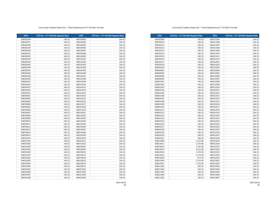| <b>APN</b> | CFD No. 1 FY 2019/20 Applied Rate | <b>APN</b> | CFD No. 1 FY 2019/20 Applied Rate |
|------------|-----------------------------------|------------|-----------------------------------|
| 308592009  | 146.32                            | 486551005  | 146.32                            |
| 308592010  | 146.32                            | 486551006  | 146.32                            |
| 308592011  | 146.32                            | 486551007  | 146.32                            |
| 308592012  | 146.32                            | 486551008  | 146.32                            |
| 308592013  | 146.32                            | 486551009  | 146.32                            |
| 308592014  | 146.32                            | 486551010  | 146.32                            |
| 308592015  | 146.32                            | 486551011  | 146.32                            |
| 308592016  | 146.32                            | 486551012  | 146.32                            |
| 308592017  | 146.32                            | 486552001  | 146.32                            |
| 308592018  | 146.32                            | 486552002  | 146.32                            |
| 308592019  | 146.32                            | 486552003  | 146.32                            |
| 308600001  | 146.32                            | 486552004  | 146.32                            |
| 308600002  | 146.32                            | 486552005  | 146.32                            |
| 308600003  | 146.32                            | 486552006  | 146.32                            |
| 308600004  | 146.32                            | 486552007  | 146.32                            |
| 308601001  | 146.32                            | 486552008  | 146.32                            |
| 308601002  | 146.32                            | 486552009  | 146.32                            |
| 308601003  | 146.32                            | 486552010  | 146.32                            |
| 308601004  | 146.32                            | 486552011  | 146.32                            |
| 308601005  | 146.32                            | 486552012  | 146.32                            |
| 308601006  | 146.32                            | 486552013  | 146.32                            |
| 308601007  | 146.32                            | 486552014  | 146.32                            |
| 308601008  | 146.32                            | 486552015  | 146.32                            |
| 308601009  | 146.32                            | 486552016  | 146.32                            |
| 308601010  | 146.32                            | 486552017  | 146.32                            |
| 308601011  | 146.32                            | 486552018  | 146.32                            |
| 308601012  | 146.32                            | 486552019  | 146.32                            |
| 308601013  | 146.32                            | 486552020  | 146.32                            |
| 308601014  | 146.32                            | 486552021  | 146.32                            |
| 308601015  | 146.32                            | 486552022  | 146.32                            |
| 308601016  | 146.32                            | 486552023  | 146.32                            |
| 308601017  | 146.32                            | 486552024  | 146.32                            |
| 308601018  | 146.32                            | 486552025  | 146.32                            |
| 308601019  | 146.32                            | 486552026  | 146.32                            |
| 308601020  | 146.32                            | 486552027  | 146.32                            |
| 308601021  | 146.32                            | 486552028  | 146.32                            |
| 308610009  | 1,755.84                          | 486552029  | 146.32                            |
| 308610011  | 1,755.84                          | 486552030  | 146.32                            |
| 308610012  | 1,755.84                          | 486552031  | 146.32                            |
| 308610013  | 3,511.68                          | 486552032  | 146.32                            |
| 308610014  | 1,170.56                          | 486552033  | 146.32                            |
| 308610015  | 1,170.56                          | 486552034  | 146.32                            |
| 308610036  | 877.92                            | 486552035  | 146.32                            |
| 308610039  | 1,170.56                          | 486553001  | 146.32                            |
| 308610041  | 1,755.84                          | 486553002  | 146.32                            |
| 308611001  | 146.32                            | 486553003  | 146.32                            |
| 308611002  | 146.32                            | 486553004  | 146.32                            |
| 308611003  | 146.32                            | 486553005  | 146.32                            |
| 308611004  | 146.32                            | 486553006  | 146.32                            |
| 308611005  | 146.32                            | 486553007  | 146.32                            |

### Community Facilties District No. 1 (Park Maintenance) FY 2019/20 Tax Roll

| <b>APN</b> | CFD No. 1 FY 2019/20 Applied Rate | <b>APN</b> | CFD No. 1 FY 2019/20 Applied Rate |
|------------|-----------------------------------|------------|-----------------------------------|
| 308582036  | 146.32                            | 486540003  | 146.32                            |
| 308582037  | 146.32                            | 486540004  | 146.32                            |
| 308582038  | 146.32                            | 486540005  | 146.32                            |
| 308582039  | 146.32                            | 486540006  | 146.32                            |
| 308582040  | 146.32                            | 486540007  | 146.32                            |
| 308582041  | 146.32                            | 486540008  | 146.32                            |
| 308582042  | 146.32                            | 486540009  | 146.32                            |
| 308582043  | 146.32                            | 486541001  | 146.32                            |
| 308582044  | 146.32                            | 486541002  | 146.32                            |
| 308582045  | 146.32                            | 486541003  | 146.32                            |
| 308582046  | 146.32                            | 486541004  | 146.32                            |
| 308582047  | 146.32                            | 486541005  | 146.32                            |
| 308582048  | 146.32                            | 486541006  | 146.32                            |
| 308582049  | 146.32                            | 486541007  | 146.32                            |
| 308582050  | 146.32                            | 486541008  | 146.32                            |
| 308582051  | 146.32                            | 486541009  | 146.32                            |
| 308582052  | 146.32                            | 486541010  | 146.32                            |
| 308582053  | 146.32                            | 486541011  | 146.32                            |
| 308582054  | 146.32                            | 486541012  | 146.32                            |
| 308582055  | 146.32                            | 486541013  | 146.32                            |
| 308590001  | 146.32                            | 486541014  | 146.32                            |
| 308590002  | 146.32                            | 486541015  | 146.32                            |
| 308590003  | 146.32                            | 486541016  | 146.32                            |
| 308590004  | 146.32                            | 486541017  | 146.32                            |
| 308590005  | 146.32                            | 486541018  | 146.32                            |
| 308590006  | 146.32                            | 486541019  | 146.32                            |
| 308590007  | 146.32                            | 486542001  | 146.32                            |
| 308590008  | 146.32                            | 486542002  | 146.32                            |
| 308590009  | 146.32                            | 486542003  | 146.32                            |
| 308590010  | 146.32                            | 486542004  | 146.32                            |
| 308590011  | 146.32                            | 486542005  | 146.32                            |
| 308590012  | 146.32                            | 486542006  | 146.32                            |
| 308590013  | 146.32                            | 486542007  | 146.32                            |
| 308590014  | 146.32                            | 486542008  | 146.32                            |
| 308590015  | 146.32                            | 486542009  | 146.32                            |
| 308591001  | 146.32                            | 486542010  | 146.32                            |
| 308591002  | 146.32                            | 486542011  | 146.32                            |
| 308591003  | 146.32                            | 486542012  | 146.32                            |
| 308591004  | 146.32                            | 486550001  | 146.32                            |
| 308591005  | 146.32                            | 486550002  | 146.32                            |
| 308591006  | 146.32                            | 486550012  | 146.32                            |
| 308591007  | 146.32                            | 486550013  | 146.32                            |
| 308592001  | 146.32                            | 486550014  | 146.32                            |
| 308592002  | 146.32                            | 486550015  | 146.32                            |
| 308592003  | 146.32                            | 486550016  | 146.32                            |
| 308592004  | 146.32                            | 486550017  | 146.32                            |
| 308592005  | 146.32                            | 486551001  | 146.32                            |
| 308592006  | 146.32                            | 486551002  | 146.32                            |
| 308592007  | 146.32                            | 486551003  | 146.32                            |
| 308592008  | 146.32                            | 486551004  | 146.32                            |

05/21/2019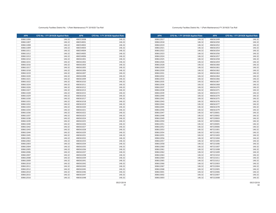**APN CFD No. 1 FY 2019/20 Applied Rate APN CFD No. 1 FY 2019/20 Applied Rate** 146.32 486561049 146.32 **146.32** 146.32 486561050 146.32 146.32 486561052 146.32 308612021 146.32 486561053 146.32 486561053 146.32 146.32 146.32 146.32 146.32 146.32 146.32 146.32 486561054 146.32 146.32 486561056 146.32 146.32 486561057 146.32 146.32 486561058 146.32 146.32 486561059 146.32 146.32 486561060 146.32 146.32 486561061 146.32 146.32 486561062 146.32 146.32 486561063 146.32 146.32 486561064 146.32 146.32 486561066 146.32 146.32 486561067 146.32 146.32 486561068 146.32 146.32 486561070 146.32 146.32 486561071 146.32 146.32 486561072 146.32 146.32 486561074 146.32 146.32 486561075 146.32 146.32 486561076 146.32 146.32 486561077 146.32 146.32 486561078 146.32 146.32 486561079 146.32 146.32 487220001 146.32 146.32 487220002 146.32 146.32 487220003 146.32 146.32 487220004 146.32 146.32 487220005 146.32 146.32 487220006 146.32 146.32 487221001 146.32 146.32 487221002 146.32 146.32 487221003 146.32 146.32 487221004 146.32 146.32 487221005 146.32 146.32 487221006 146.32 146.32 487221007 146.32 146.32 487221008 146.32 146.32 487221009 146.32 146.32 487221010 146.32 146.32 487221011 146.32 146.32 487221012 146.32 146.32 487222003 146.32 146.32 487222004 146.32 146.32 487222005 146.32 146.32 487222006 146.32 146.32 487222007 146.32 146.32 487222008 146.32

#### Community Facilties District No. 1 (Park Maintenance) FY 2019/20 Tax Roll

| <b>APN</b> | CFD No. 1 FY 2019/20 Applied Rate | <b>APN</b> | CFD No. 1 FY 2019/20 Applied Rate |
|------------|-----------------------------------|------------|-----------------------------------|
| 308611006  | 146.32                            | 486553008  | 146.32                            |
| 308611007  | 146.32                            | 486554001  | 146.32                            |
| 308611008  | 146.32                            | 486554002  | 146.32                            |
| 308611009  | 146.32                            | 486554003  | 146.32                            |
| 308611011  | 146.32                            | 486554004  | 146.32                            |
| 308611012  | 146.32                            | 486554005  | 146.32                            |
| 308611013  | 146.32                            | 486554006  | 146.32                            |
| 308611014  | 146.32                            | 486561001  | 146.32                            |
| 308611015  | 146.32                            | 486561002  | 146.32                            |
| 308611016  | 146.32                            | 486561003  | 146.32                            |
| 308611017  | 146.32                            | 486561005  | 146.32                            |
| 308611018  | 146.32                            | 486561006  | 146.32                            |
| 308611019  | 146.32                            | 486561007  | 146.32                            |
| 308611020  | 146.32                            | 486561008  | 146.32                            |
| 308611021  | 146.32                            | 486561009  | 146.32                            |
| 308611022  | 146.32                            | 486561010  | 146.32                            |
| 308611024  | 146.32                            | 486561011  | 146.32                            |
| 308611026  | 146.32                            | 486561012  | 146.32                            |
| 308611027  | 146.32                            | 486561013  | 146.32                            |
| 308611028  | 146.32                            | 486561015  | 146.32                            |
| 308611029  | 146.32                            | 486561016  | 146.32                            |
| 308611030  | 146.32                            | 486561017  | 146.32                            |
| 308611031  | 146.32                            | 486561018  | 146.32                            |
| 308611032  | 146.32                            | 486561019  | 146.32                            |
| 308611033  | 146.32                            | 486561020  | 146.32                            |
| 308611034  | 146.32                            | 486561021  | 146.32                            |
| 308611036  | 146.32                            | 486561022  | 146.32                            |
| 308611037  | 146.32                            | 486561023  | 146.32                            |
| 308611038  | 146.32                            | 486561024  | 146.32                            |
| 308611039  | 146.32                            | 486561025  | 146.32                            |
| 308611040  | 146.32                            | 486561026  | 146.32                            |
| 308611042  | 146.32                            | 486561027  | 146.32                            |
| 308611043  | 146.32                            | 486561028  | 146.32                            |
| 308611044  | 146.32                            | 486561029  | 146.32                            |
| 308611045  | 146.32                            | 486561031  | 146.32                            |
| 308612001  | 146.32                            | 486561032  | 146.32                            |
| 308612002  | 146.32                            | 486561033  | 146.32                            |
| 308612003  | 146.32                            | 486561034  | 146.32                            |
| 308612004  | 146.32                            | 486561035  | 146.32                            |
| 308612005  | 146.32                            | 486561036  | 146.32                            |
| 308612006  | 146.32                            | 486561037  | 146.32                            |
| 308612007  | 146.32                            | 486561038  | 146.32                            |
| 308612008  | 146.32                            | 486561039  | 146.32                            |
| 308612009  | 146.32                            | 486561041  | 146.32                            |
| 308612010  | 146.32                            | 486561042  | 146.32                            |
| 308612011  | 146.32                            | 486561043  | 146.32                            |
| 308612012  | 146.32                            | 486561045  | 146.32                            |
| 308612014  | 146.32                            | 486561046  | 146.32                            |
| 308612015  | 146.32                            | 486561047  | 146.32                            |
| 308612016  | 146.32                            | 486561048  | 146.32                            |
|            |                                   |            |                                   |

05/21/2019

05/21/2019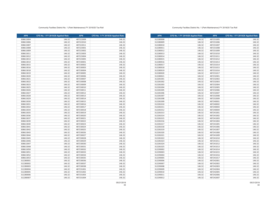| <b>APN</b> | CFD No. 1 FY 2019/20 Applied Rate | <b>APN</b> | CFD No. 1 FY 2019/20 Applied Rate |
|------------|-----------------------------------|------------|-----------------------------------|
| 312280008  | 146.32                            | 487231005  | 146.32                            |
| 312280009  | 146.32                            | 487231006  | 146.32                            |
| 312280010  | 146.32                            | 487231007  | 146.32                            |
| 312280011  | 146.32                            | 487231008  | 146.32                            |
| 312280012  | 146.32                            | 487231009  | 146.32                            |
| 312280013  | 146.32                            | 487231010  | 146.32                            |
| 312280014  | 146.32                            | 487231011  | 146.32                            |
| 312280015  | 146.32                            | 487231012  | 146.32                            |
| 312280016  | 146.32                            | 487231013  | 146.32                            |
| 312280017  | 146.32                            | 487231014  | 146.32                            |
| 312280018  | 146.32                            | 487231015  | 146.32                            |
| 312280019  | 146.32                            | 487231016  | 146.32                            |
| 312280020  | 146.32                            | 487231017  | 146.32                            |
| 312280021  | 146.32                            | 487232001  | 146.32                            |
| 312281001  | 146.32                            | 487232002  | 146.32                            |
| 312281002  | 146.32                            | 487232003  | 146.32                            |
| 312281003  | 146.32                            | 487232004  | 146.32                            |
| 312281004  | 146.32                            | 487232005  | 146.32                            |
| 312281005  | 146.32                            | 487232006  | 146.32                            |
| 312281006  | 146.32                            | 487232007  | 146.32                            |
| 312281007  | 146.32                            | 487232008  | 146.32                            |
| 312281008  | 146.32                            | 487232009  | 146.32                            |
| 312281009  | 146.32                            | 487240001  | 146.32                            |
| 312281010  | 146.32                            | 487240002  | 146.32                            |
| 312281011  | 146.32                            | 487240003  | 146.32                            |
| 312281012  | 146.32                            | 487240004  | 146.32                            |
| 312281013  | 146.32                            | 487241001  | 146.32                            |
| 312281014  | 146.32                            | 487241002  | 146.32                            |
| 312281015  | 146.32                            | 487241003  | 146.32                            |
| 312281016  | 146.32                            | 487241004  | 146.32                            |
| 312281017  | 146.32                            | 487241005  | 146.32                            |
| 312281018  | 146.32                            | 487241006  | 146.32                            |
| 312281019  | 146.32                            | 487241007  | 146.32                            |
| 312281020  | 146.32                            | 487241008  | 146.32                            |
| 312281021  | 146.32                            | 487241009  | 146.32                            |
| 312281022  | 146.32                            | 487241010  | 146.32                            |
| 312281023  | 146.32                            | 487241011  | 146.32                            |
| 312281024  | 146.32                            | 487241012  | 146.32                            |
| 312281025  | 146.32                            | 487241013  | 146.32                            |
| 312290002  | 146.32                            | 487241014  | 146.32                            |
| 312290003  | 146.32                            | 487241015  | 146.32                            |
| 312290004  | 146.32                            | 487241016  | 146.32                            |
| 312290005  | 146.32                            | 487241017  | 146.32                            |
| 312290006  | 146.32                            | 487242001  | 146.32                            |
| 312290007  | 146.32                            | 487242002  | 146.32                            |
| 312290008  | 146.32                            | 487242003  | 146.32                            |
| 312290009  | 146.32                            | 487242004  | 146.32                            |
| 312290010  | 146.32                            | 487242005  | 146.32                            |
| 312290011  | 146.32                            | 487242006  | 146.32                            |
| 312290012  | 146.32                            | 487242007  | 146.32                            |

#### Community Facilties District No. 1 (Park Maintenance) FY 2019/20 Tax Roll

| <b>APN</b> | CFD No. 1 FY 2019/20 Applied Rate | <b>APN</b> | CFD No. 1 FY 2019/20 Applied Rate |
|------------|-----------------------------------|------------|-----------------------------------|
| 308613004  | 146.32                            | 487222009  | 146.32                            |
| 308613006  | 146.32                            | 487222010  | 146.32                            |
| 308613007  | 146.32                            | 487222011  | 146.32                            |
| 308613008  | 146.32                            | 487223001  | 146.32                            |
| 308613009  | 146.32                            | 487223002  | 146.32                            |
| 308613011  | 146.32                            | 487223003  | 146.32                            |
| 308613012  | 146.32                            | 487223004  | 146.32                            |
| 308613013  | 146.32                            | 487223005  | 146.32                            |
| 308613014  | 146.32                            | 487230001  | 146.32                            |
| 308613015  | 146.32                            | 487230002  | 146.32                            |
| 308613016  | 146.32                            | 487230003  | 146.32                            |
| 308613018  | 146.32                            | 487230004  | 146.32                            |
| 308613019  | 146.32                            | 487230005  | 146.32                            |
| 308613020  | 146.32                            | 487230006  | 146.32                            |
| 308613021  | 146.32                            | 487230007  | 146.32                            |
| 308613022  | 146.32                            | 487230008  | 146.32                            |
| 308613023  | 146.32                            | 487230009  | 146.32                            |
| 308613025  | 146.32                            | 487230010  | 146.32                            |
| 308613026  | 146.32                            | 487230011  | 146.32                            |
| 308613027  | 146.32                            | 487230012  | 146.32                            |
| 308613028  | 146.32                            | 487230013  | 146.32                            |
| 308613029  | 146.32                            | 487230014  | 146.32                            |
| 308613030  | 146.32                            | 487230015  | 146.32                            |
| 308613031  | 146.32                            | 487230016  | 146.32                            |
| 308613032  | 146.32                            | 487230017  | 146.32                            |
| 308613034  | 146.32                            | 487230018  | 146.32                            |
| 308613035  | 146.32                            | 487230019  | 146.32                            |
| 308613036  | 146.32                            | 487230020  | 146.32                            |
| 308613037  | 146.32                            | 487230021  | 146.32                            |
| 308613039  | 146.32                            | 487230022  | 146.32                            |
| 308613040  | 146.32                            | 487230023  | 146.32                            |
| 308613041  | 146.32                            | 487230024  | 146.32                            |
| 308613042  | 146.32                            | 487230025  | 146.32                            |
| 308613043  | 146.32                            | 487230026  | 146.32                            |
| 308613044  | 146.32                            | 487230027  | 146.32                            |
| 308613045  | 146.32                            | 487230028  | 146.32                            |
| 308613046  | 146.32                            | 487230029  | 146.32                            |
| 308613047  | 146.32                            | 487230030  | 146.32                            |
| 308613048  | 146.32                            | 487230031  | 146.32                            |
| 308613050  | 146.32                            | 487230032  | 146.32                            |
| 308613051  | 146.32                            | 487230033  | 146.32                            |
| 308613052  | 146.32                            | 487230034  | 146.32                            |
| 308613053  | 146.32                            | 487230035  | 146.32                            |
| 312280001  | 146.32                            | 487230036  | 146.32                            |
| 312280002  | 146.32                            | 487230037  | 146.32                            |
| 312280003  | 146.32                            | 487230038  | 146.32                            |
| 312280004  | 146.32                            | 487231001  | 146.32                            |
| 312280005  | 146.32                            | 487231002  | 146.32                            |
| 312280006  | 146.32                            | 487231003  | 146.32                            |
| 312280007  | 146.32                            | 487231004  | 146.32                            |

05/21/2019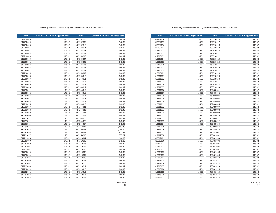| <b>APN</b> | CFD No. 1 FY 2019/20 Applied Rate | <b>APN</b> | CFD No. 1 FY 2019/20 Applied Rate |
|------------|-----------------------------------|------------|-----------------------------------|
| 312292014  | 146.32                            | 487310016  | 146.32                            |
| 312292015  | 146.32                            | 487310017  | 146.32                            |
| 312292016  | 146.32                            | 487310018  | 146.32                            |
| 312292017  | 146.32                            | 487310019  | 146.32                            |
| 312310001  | 146.32                            | 487310020  | 146.32                            |
| 312310002  | 146.32                            | 487310021  | 146.32                            |
| 312310003  | 146.32                            | 487310022  | 146.32                            |
| 312310004  | 146.32                            | 487310023  | 146.32                            |
| 312310005  | 146.32                            | 487310024  | 146.32                            |
| 312310006  | 146.32                            | 487310025  | 146.32                            |
| 312310007  | 146.32                            | 487310026  | 146.32                            |
| 312310008  | 146.32                            | 487310027  | 146.32                            |
| 312310009  | 146.32                            | 487310028  | 146.32                            |
| 312311001  | 146.32                            | 487310029  | 146.32                            |
| 312311002  | 146.32                            | 487310030  | 146.32                            |
| 312311003  | 146.32                            | 487310031  | 146.32                            |
| 312311004  | 146.32                            | 487310032  | 146.32                            |
| 312311005  | 146.32                            | 487310033  | 146.32                            |
| 312311006  | 146.32                            | 487480001  | 146.32                            |
| 312311007  | 146.32                            | 487480002  | 146.32                            |
| 312311008  | 146.32                            | 487480003  | 146.32                            |
| 312311009  | 146.32                            | 487480004  | 146.32                            |
| 312311010  | 146.32                            | 487480005  | 146.32                            |
| 312311011  | 146.32                            | 487480006  | 146.32                            |
| 312311012  | 146.32                            | 487480007  | 146.32                            |
| 312311013  | 146.32                            | 487480008  | 146.32                            |
| 312311014  | 146.32                            | 487480009  | 146.32                            |
| 312312001  | 146.32                            | 487480010  | 146.32                            |
| 312312002  | 146.32                            | 487480011  | 146.32                            |
| 312312003  | 146.32                            | 487480012  | 146.32                            |
| 312312004  | 146.32                            | 487480013  | 146.32                            |
| 312312005  | 146.32                            | 487480014  | 146.32                            |
| 312312006  | 146.32                            | 487480015  | 146.32                            |
| 312312007  | 146.32                            | 487481001  | 146.32                            |
| 312312008  | 146.32                            | 487481002  | 146.32                            |
| 312312009  | 146.32                            | 487481003  | 146.32                            |
| 312312010  | 146.32                            | 487481004  | 146.32                            |
| 312312011  | 146.32                            | 487481005  | 146.32                            |
| 312312012  | 146.32                            | 487481006  | 146.32                            |
| 312313001  | 146.32                            | 487481007  | 146.32                            |
| 312313002  | 146.32                            | 487481008  | 146.32                            |
| 312313003  | 146.32                            | 487481009  | 146.32                            |
| 312313004  | 146.32                            | 487481010  | 146.32                            |
| 312313005  | 146.32                            | 487481011  | 146.32                            |
| 312313006  | 146.32                            | 487481012  | 146.32                            |
| 312313007  | 146.32                            | 487481013  | 146.32                            |
| 312313008  | 146.32                            | 487481014  | 146.32                            |
| 312313009  | 146.32                            | 487481015  | 146.32                            |
| 312313010  | 146.32                            | 487481016  | 146.32                            |
| 312313011  | 146.32                            | 487481017  | 146.32                            |

#### Community Facilties District No. 1 (Park Maintenance) FY 2019/20 Tax Roll

| <b>APN</b> | CFD No. 1 FY 2019/20 Applied Rate | <b>APN</b> | CFD No. 1 FY 2019/20 Applied Rate |
|------------|-----------------------------------|------------|-----------------------------------|
| 312290013  | 146.32                            | 487242008  | 146.32                            |
| 312290014  | 146.32                            | 487242009  | 146.32                            |
| 312290015  | 146.32                            | 487242010  | 146.32                            |
| 312290016  | 146.32                            | 487242011  | 146.32                            |
| 312290017  | 146.32                            | 487243001  | 146.32                            |
| 312290018  | 146.32                            | 487243002  | 146.32                            |
| 312290019  | 146.32                            | 487243003  | 146.32                            |
| 312290020  | 146.32                            | 487243004  | 146.32                            |
| 312290021  | 146.32                            | 487243005  | 146.32                            |
| 312290022  | 146.32                            | 487243006  | 146.32                            |
| 312290023  | 146.32                            | 487243007  | 146.32                            |
| 312290024  | 146.32                            | 487243008  | 146.32                            |
| 312290025  | 146.32                            | 487243009  | 146.32                            |
| 312290026  | 146.32                            | 487243010  | 146.32                            |
| 312290027  | 146.32                            | 487243011  | 146.32                            |
| 312290028  | 146.32                            | 487243012  | 146.32                            |
| 312290029  | 146.32                            | 487243013  | 146.32                            |
| 312290030  | 146.32                            | 487243014  | 146.32                            |
| 312290031  | 146.32                            | 487243015  | 146.32                            |
| 312290032  | 146.32                            | 487243016  | 146.32                            |
| 312290033  | 146.32                            | 487243017  | 146.32                            |
| 312290034  | 146.32                            | 487243018  | 146.32                            |
| 312290035  | 146.32                            | 487243019  | 146.32                            |
| 312290036  | 146.32                            | 487243020  | 146.32                            |
| 312290037  | 146.32                            | 487243021  | 146.32                            |
| 312290038  | 146.32                            | 487243022  | 146.32                            |
| 312290039  | 146.32                            | 487243023  | 146.32                            |
| 312290040  | 146.32                            | 487243024  | 146.32                            |
| 312291001  | 146.32                            | 487243025  | 146.32                            |
| 312291002  | 146.32                            | 487243026  | 146.32                            |
| 312291003  | 146.32                            | 487243027  | 146.32                            |
| 312291004  | 146.32                            | 487260002  | 1,463.20                          |
| 312291005  | 146.32                            | 487260003  | 1,463.20                          |
| 312291006  | 146.32                            | 487260004  | 877.92                            |
| 312291007  | 146.32                            | 487260005  | 877.92                            |
| 312291008  | 146.32                            | 487310001  | 146.32                            |
| 312291009  | 146.32                            | 487310002  | 146.32                            |
| 312291010  | 146.32                            | 487310003  | 146.32                            |
| 312292001  | 146.32                            | 487310004  | 146.32                            |
| 312292002  | 146.32                            | 487310005  | 146.32                            |
| 312292003  | 146.32                            | 487310006  | 146.32                            |
| 312292004  | 146.32                            | 487310007  | 146.32                            |
| 312292005  | 146.32                            | 487310008  | 146.32                            |
| 312292006  | 146.32                            | 487310009  | 146.32                            |
| 312292007  | 146.32                            | 487310010  | 146.32                            |
| 312292008  | 146.32                            | 487310011  | 146.32                            |
| 312292009  | 146.32                            | 487310012  | 146.32                            |
| 312292011  | 146.32                            | 487310013  | 146.32                            |
| 312292012  | 146.32                            | 487310014  | 146.32                            |
| 312292013  | 146.32                            | 487310015  | 146.32                            |
|            |                                   |            |                                   |

05/21/2019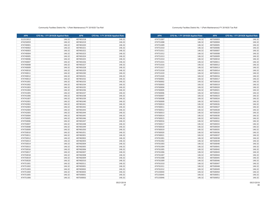| <b>APN</b> | CFD No. 1 FY 2019/20 Applied Rate | <b>APN</b> | CFD No. 1 FY 2019/20 Applied Rate |
|------------|-----------------------------------|------------|-----------------------------------|
| 474751007  | 146.32                            | 487500003  | 146.32                            |
| 474751008  | 146.32                            | 487500004  | 146.32                            |
| 474751009  | 146.32                            | 487500005  | 146.32                            |
| 474751010  | 146.32                            | 487500006  | 146.32                            |
| 474751011  | 146.32                            | 487500007  | 146.32                            |
| 474751012  | 146.32                            | 487500008  | 146.32                            |
| 474751013  | 146.32                            | 487500009  | 146.32                            |
| 474751014  | 146.32                            | 487500010  | 146.32                            |
| 474751015  | 146.32                            | 487500011  | 146.32                            |
| 474751016  | 146.32                            | 487500012  | 146.32                            |
| 474751017  | 146.32                            | 487500013  | 146.32                            |
| 474751018  | 146.32                            | 487500014  | 146.32                            |
| 474751019  | 146.32                            | 487500015  | 146.32                            |
| 474751020  | 146.32                            | 487500016  | 146.32                            |
| 474760001  | 146.32                            | 487500017  | 146.32                            |
| 474760002  | 146.32                            | 487500018  | 146.32                            |
| 474760003  | 146.32                            | 487500019  | 146.32                            |
| 474760004  | 146.32                            | 487500020  | 146.32                            |
| 474760005  | 146.32                            | 487500021  | 146.32                            |
| 474760006  | 146.32                            | 487500022  | 146.32                            |
| 474760007  | 146.32                            | 487500023  | 146.32                            |
| 474760008  | 146.32                            | 487500024  | 146.32                            |
| 474760009  | 146.32                            | 487500025  | 146.32                            |
| 474760010  | 146.32                            | 487500026  | 146.32                            |
| 474760011  | 146.32                            | 487500027  | 146.32                            |
| 474760012  | 146.32                            | 487500028  | 146.32                            |
| 474760013  | 146.32                            | 487500029  | 146.32                            |
| 474760014  | 146.32                            | 487500030  | 146.32                            |
| 474760015  | 146.32                            | 487500031  | 146.32                            |
| 474760016  | 146.32                            | 487500032  | 146.32                            |
| 474760017  | 146.32                            | 487500033  | 146.32                            |
| 474760018  | 146.32                            | 487500034  | 146.32                            |
| 474760019  | 146.32                            | 487500035  | 146.32                            |
| 474760020  | 146.32                            | 487500036  | 146.32                            |
| 474760021  | 146.32                            | 487500037  | 146.32                            |
| 474761001  | 146.32                            | 487500038  | 146.32                            |
| 474761002  | 146.32                            | 487500039  | 146.32                            |
| 474761003  | 146.32                            | 487500040  | 146.32                            |
| 474761004  | 146.32                            | 487500041  | 146.32                            |
| 474761005  | 146.32                            | 487500042  | 146.32                            |
| 474761006  | 146.32                            | 487500043  | 146.32                            |
| 474761007  | 146.32                            | 487500044  | 146.32                            |
| 474761008  | 146.32                            | 487500045  | 146.32                            |
| 474761009  | 146.32                            | 487500046  | 146.32                            |
| 474761010  | 146.32                            | 487500047  | 146.32                            |
| 474761011  | 146.32                            | 487500048  | 146.32                            |
| 474761012  | 146.32                            | 487500049  | 146.32                            |
| 475150044  | 146.32                            | 487500050  | 146.32                            |
| 475150045  | 146.32                            | 487500051  | 146.32                            |
| 475150046  | 146.32                            | 487500052  | 146.32                            |

### Community Facilties District No. 1 (Park Maintenance) FY 2019/20 Tax Roll

| <b>APN</b> | CFD No. 1 FY 2019/20 Applied Rate | <b>APN</b> | CFD No. 1 FY 2019/20 Applied Rate |
|------------|-----------------------------------|------------|-----------------------------------|
| 312313012  | 146.32                            | 487481018  | 146.32                            |
| 474250059  | 146.32                            | 487481019  | 146.32                            |
| 474740001  | 146.32                            | 487481020  | 146.32                            |
| 474740002  | 146.32                            | 487481021  | 146.32                            |
| 474740003  | 146.32                            | 487481022  | 146.32                            |
| 474740004  | 146.32                            | 487481023  | 146.32                            |
| 474740005  | 146.32                            | 487481024  | 146.32                            |
| 474740006  | 146.32                            | 487481025  | 146.32                            |
| 474740007  | 146.32                            | 487481026  | 146.32                            |
| 474740008  | 146.32                            | 487481027  | 146.32                            |
| 474740009  | 146.32                            | 487481028  | 146.32                            |
| 474740010  | 146.32                            | 487481029  | 146.32                            |
| 474740011  | 146.32                            | 487481030  | 146.32                            |
| 474740012  | 146.32                            | 487481031  | 146.32                            |
| 474740013  | 146.32                            | 487481032  | 146.32                            |
| 474741001  | 146.32                            | 487481033  | 146.32                            |
| 474741002  | 146.32                            | 487481034  | 146.32                            |
| 474741003  | 146.32                            | 487481035  | 146.32                            |
| 474741004  | 146.32                            | 487481036  | 146.32                            |
| 474741005  | 146.32                            | 487481037  | 146.32                            |
| 474741006  | 146.32                            | 487481038  | 146.32                            |
| 474741007  | 146.32                            | 487481039  | 146.32                            |
| 474742001  | 146.32                            | 487481040  | 146.32                            |
| 474742002  | 146.32                            | 487481041  | 146.32                            |
| 474742003  | 146.32                            | 487481042  | 146.32                            |
| 474742004  | 146.32                            | 487481043  | 146.32                            |
| 474742005  | 146.32                            | 487481044  | 146.32                            |
| 474750004  | 146.32                            | 487481045  | 146.32                            |
| 474750005  | 146.32                            | 487481046  | 146.32                            |
| 474750006  | 146.32                            | 487481047  | 146.32                            |
| 474750007  | 146.32                            | 487481048  | 146.32                            |
| 474750008  | 146.32                            | 487481049  | 146.32                            |
| 474750009  | 146.32                            | 487481050  | 146.32                            |
| 474750010  | 146.32                            | 487481051  | 146.32                            |
| 474750011  | 146.32                            | 487482001  | 146.32                            |
| 474750012  | 146.32                            | 487482002  | 146.32                            |
| 474750013  | 146.32                            | 487482003  | 146.32                            |
| 474750014  | 146.32                            | 487482004  | 146.32                            |
| 474750015  | 146.32                            | 487482005  | 146.32                            |
| 474750016  | 146.32                            | 487482006  | 146.32                            |
| 474750017  | 146.32                            | 487482007  | 146.32                            |
| 474750018  | 146.32                            | 487482008  | 146.32                            |
| 474750019  | 146.32                            | 487482009  | 146.32                            |
| 474750020  | 146.32                            | 487482010  | 146.32                            |
| 474751001  | 146.32                            | 487482011  | 146.32                            |
| 474751002  | 146.32                            | 487483001  | 146.32                            |
| 474751003  | 146.32                            | 487483002  | 146.32                            |
| 474751004  | 146.32                            | 487483003  | 146.32                            |
| 474751005  | 146.32                            | 487500001  | 146.32                            |
| 474751006  | 146.32                            | 487500002  | 146.32                            |
|            |                                   |            |                                   |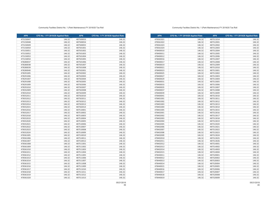**APN CFD No. 1 FY 2019/20 Applied Rate APN CFD No. 1 FY 2019/20 Applied Rate** 478361021 146.32 487511014 146.32 **146.32** 146.32 **146.32** 146.32 **146.32** 146.32 146.32 487512002 146.32 146.32 487512003 146.32 146.32 487512004 146.32 478400011 146.32 487512005 146.32 146.32 487512006 146.32 146.32 487512007 146.32 146.32 487512008 146.32 146.32 487512009 146.32 146.32 487512010 146.32 146.32 487513001 146.32 146.32 487513002 146.32 146.32 487513003 146.32 146.32 487513004 146.32 146.32 487513005 146.32 146.32 487513006 146.32 146.32 487513007 146.32 146.32 487513008 146.32 146.32 487513009 146.32 146.32 487513010 146.32 478401001 146.32 487513011 146.32 146.32 487513012 146.32 146.32 487513013 146.32 146.32 487513014 146.32 146.32 487513015 146.32 146.32 487513016 146.32 478402002 146.32 487513017 146.32 146.32 487513018 146.32 146.32 487513019 146.32 146.32 487513020 146.32 146.32 487513021 146.32 478402007 146.32 487513022 146.32 146.32 487513023 146.32 146.32 487513024 146.32 146.32 487513025 146.32 146.32 487513026 146.32 146.32 487514001 146.32 **146.32** 146.32 487514002 146.32 478402014 146.32 146.32 487514003 146.32 146.32 487514004 146.32 146.32 487520001 146.32 146.32 487520002 146.32 478440013 146.32 487520003 146.32 478440014 146.32 146.32 487520004 146.32 146.32 487520005 146.32 146.32 487520006 146.32 146.32 487520007 146.32 146.32 487520008 146.32 146.32 487520009 146.32

#### Community Facilties District No. 1 (Park Maintenance) FY 2019/20 Tax Roll

| <b>APN</b> | CFD No. 1 FY 2019/20 Applied Rate | <b>APN</b> | CFD No. 1 FY 2019/20 Applied Rate |
|------------|-----------------------------------|------------|-----------------------------------|
| 475150047  | 146.32                            | 487500053  | 146.32                            |
| 475150048  | 146.32                            | 487500054  | 146.32                            |
| 475150049  | 146.32                            | 487500055  | 146.32                            |
| 475150050  | 146.32                            | 487501001  | 146.32                            |
| 475150051  | 146.32                            | 487501002  | 146.32                            |
| 475150052  | 146.32                            | 487501003  | 146.32                            |
| 475150053  | 146.32                            | 487501004  | 146.32                            |
| 475150054  | 146.32                            | 487501005  | 146.32                            |
| 478280037  | 146.32                            | 487501006  | 146.32                            |
| 478280038  | 146.32                            | 487501007  | 146.32                            |
| 478280039  | 146.32                            | 487501008  | 146.32                            |
| 478280040  | 146.32                            | 487502001  | 146.32                            |
| 478291005  | 146.32                            | 487502002  | 146.32                            |
| 478291006  | 146.32                            | 487502003  | 146.32                            |
| 478291007  | 146.32                            | 487502004  | 146.32                            |
| 478291008  | 146.32                            | 487502005  | 146.32                            |
| 478291009  | 146.32                            | 487502006  | 146.32                            |
| 478291010  | 146.32                            | 487502007  | 146.32                            |
| 478352009  | 146.32                            | 487502008  | 146.32                            |
| 478352010  | 146.32                            | 487502009  | 146.32                            |
| 478352011  | 146.32                            | 487502010  | 146.32                            |
| 478352012  | 146.32                            | 487502011  | 146.32                            |
| 478352013  | 146.32                            | 487502012  | 146.32                            |
| 478352014  | 146.32                            | 487502013  | 146.32                            |
| 478352015  | 146.32                            | 487502014  | 146.32                            |
| 478352016  | 146.32                            | 487510001  | 146.32                            |
| 478352017  | 146.32                            | 487510002  | 146.32                            |
| 478352018  | 146.32                            | 487510003  | 146.32                            |
| 478352019  | 146.32                            | 487510004  | 146.32                            |
| 478352020  | 146.32                            | 487510005  | 146.32                            |
| 478352021  | 146.32                            | 487510006  | 146.32                            |
| 478352022  | 146.32                            | 487510007  | 146.32                            |
| 478352023  | 146.32                            | 487510008  | 146.32                            |
| 478352024  | 146.32                            | 487510009  | 146.32                            |
| 478361005  | 146.32                            | 487510010  | 146.32                            |
| 478361006  | 146.32                            | 487510011  | 146.32                            |
| 478361007  | 146.32                            | 487510012  | 146.32                            |
| 478361008  | 146.32                            | 487511001  | 146.32                            |
| 478361009  | 146.32                            | 487511002  | 146.32                            |
| 478361010  | 146.32                            | 487511003  | 146.32                            |
| 478361011  | 146.32                            | 487511004  | 146.32                            |
| 478361012  | 146.32                            | 487511005  | 146.32                            |
| 478361013  | 146.32                            | 487511006  | 146.32                            |
| 478361014  | 146.32                            | 487511007  | 146.32                            |
| 478361015  | 146.32                            | 487511008  | 146.32                            |
| 478361016  | 146.32                            | 487511009  | 146.32                            |
| 478361017  | 146.32                            | 487511010  | 146.32                            |
| 478361018  | 146.32                            | 487511011  | 146.32                            |
| 478361019  | 146.32                            | 487511012  | 146.32                            |
| 478361020  | 146.32                            | 487511013  | 146.32                            |
|            |                                   |            |                                   |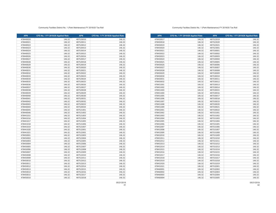**APN CFD No. 1 FY 2019/20 Applied Rate APN CFD No. 1 FY 2019/20 Applied Rate** 478450017 146.32 487522019 146.32 **146.32** 146.32 487522020 **146.32** 146.32 146.32 487522021 146.32 146.32 487523001 146.32 146.32 487530001 146.32 146.32 487530002 146.32 146.32 487530003 146.32 146.32 487530004 146.32 146.32 487530005 146.32 146.32 487530006 146.32 146.32 487530007 146.32 146.32 487530008 146.32 146.32 487530009 146.32 146.32 487530010 146.32 146.32 487530011 146.32 146.32 487530012 146.32 146.32 487530013 146.32 146.32 487530014 146.32 146.32 487530015 146.32 478451004 | 146.32| | 487530016 | 146.32 146.32 487530017 146.32 146.32 487530018 146.32 146.32 487530019 146.32 146.32 487530020 146.32 478451009 | 146.32 | | 487530021 | 146.32 146.32 487530022 146.32 146.32 487531001 146.32 146.32 487531002 146.32 146.32 487531003 146.32 146.32 487531004 146.32 146.32 487531005 146.32 146.32 487531006 146.32 146.32 487531007 146.32 146.32 487531008 146.32 146.32 487531009 146.32 146.32 487531010 146.32 146.32 487531011 146.32 146.32 487531012 146.32 146.32 487531013 146.32 478452015 146.32 487531014 146.32 146.32 487531015 146.32 146.32 487531016 146.32 146.32 487531017 146.32 146.32 487531018 146.32 146.32 487531019 146.32 146.32 487532001 146.32 146.32 487532002 146.32 146.32 487532003 146.32 146.32 487532004 146.32 146.32 487532005 146.32

#### Community Facilties District No. 1 (Park Maintenance) FY 2019/20 Tax Roll

| 478440020<br>487520010<br>146.32<br>478440021<br>146.32<br>487520011<br>478440022<br>146.32<br>487520012<br>478440023<br>146.32<br>487520013<br>478440024<br>146.32<br>487520014<br>478440025<br>146.32<br>487520015<br>146.32<br>478440026<br>487520016<br>478440027<br>146.32<br>487520017<br>478440028<br>146.32<br>487520018<br>478440029<br>146.32<br>487520019<br>478440030<br>146.32<br>487520020<br>146.32<br>146.32<br>478440031<br>487520021<br>146.32<br>478440032<br>146.32<br>487520022<br>478440033<br>146.32<br>487520023<br>478440034<br>146.32<br>487520024<br>146.32<br>487520025<br>146.32<br>478440035<br>478440036<br>146.32<br>487520026<br>478440037<br>146.32<br>487520027<br>478440038<br>146.32<br>487520028<br>478440039<br>146.32<br>487520029<br>146.32<br>487520030<br>478440040<br>478440041<br>146.32<br>487520031<br>478440042<br>146.32<br>487520032<br>478440043<br>146.32<br>487520033<br>478440044<br>146.32<br>487520034<br>478440045<br>146.32<br>487521001<br>478440046<br>146.32<br>487521002<br>478441015<br>146.32<br>487521003<br>478441016<br>146.32<br>487521004<br>478441017<br>146.32<br>487521005<br>146.32<br>487521006<br>146.32<br>478441018<br>478441019<br>146.32<br>487521007<br>146.32<br>487522001<br>478441020<br>146.32<br>487522002<br>478441021<br>146.32<br>478450001<br>146.32<br>487522003<br>478450002<br>146.32<br>487522004<br>146.32<br>487522005<br>478450003<br>487522006<br>478450004<br>146.32<br>478450005<br>146.32<br>487522007<br>478450006<br>146.32<br>487522008<br>478450007<br>146.32<br>487522009<br>478450008<br>146.32<br>487522010<br>478450009<br>146.32<br>487522011<br>478450010<br>146.32<br>487522012<br>478450011<br>146.32<br>487522013<br>478450012<br>146.32<br>487522014<br>478450013<br>146.32<br>487522015<br>146.32<br>478450014<br>487522016<br>478450015<br>146.32<br>487522017<br>478450016<br>146.32<br>487522018 | <b>APN</b> | CFD No. 1 FY 2019/20 Applied Rate | <b>APN</b> | CFD No. 1 FY 2019/20 Applied Rate |
|------------------------------------------------------------------------------------------------------------------------------------------------------------------------------------------------------------------------------------------------------------------------------------------------------------------------------------------------------------------------------------------------------------------------------------------------------------------------------------------------------------------------------------------------------------------------------------------------------------------------------------------------------------------------------------------------------------------------------------------------------------------------------------------------------------------------------------------------------------------------------------------------------------------------------------------------------------------------------------------------------------------------------------------------------------------------------------------------------------------------------------------------------------------------------------------------------------------------------------------------------------------------------------------------------------------------------------------------------------------------------------------------------------------------------------------------------------------------------------------------------------------------------------------------------------------------------------------------------------------------------------------------------------------------------------------------------------------------------------------------------------------------------------------------------------------------------------------------------------------------------------------------------------------------|------------|-----------------------------------|------------|-----------------------------------|
|                                                                                                                                                                                                                                                                                                                                                                                                                                                                                                                                                                                                                                                                                                                                                                                                                                                                                                                                                                                                                                                                                                                                                                                                                                                                                                                                                                                                                                                                                                                                                                                                                                                                                                                                                                                                                                                                                                                        |            |                                   |            | 146.32                            |
|                                                                                                                                                                                                                                                                                                                                                                                                                                                                                                                                                                                                                                                                                                                                                                                                                                                                                                                                                                                                                                                                                                                                                                                                                                                                                                                                                                                                                                                                                                                                                                                                                                                                                                                                                                                                                                                                                                                        |            |                                   |            | 146.32                            |
|                                                                                                                                                                                                                                                                                                                                                                                                                                                                                                                                                                                                                                                                                                                                                                                                                                                                                                                                                                                                                                                                                                                                                                                                                                                                                                                                                                                                                                                                                                                                                                                                                                                                                                                                                                                                                                                                                                                        |            |                                   |            | 146.32                            |
|                                                                                                                                                                                                                                                                                                                                                                                                                                                                                                                                                                                                                                                                                                                                                                                                                                                                                                                                                                                                                                                                                                                                                                                                                                                                                                                                                                                                                                                                                                                                                                                                                                                                                                                                                                                                                                                                                                                        |            |                                   |            | 146.32                            |
|                                                                                                                                                                                                                                                                                                                                                                                                                                                                                                                                                                                                                                                                                                                                                                                                                                                                                                                                                                                                                                                                                                                                                                                                                                                                                                                                                                                                                                                                                                                                                                                                                                                                                                                                                                                                                                                                                                                        |            |                                   |            | 146.32                            |
|                                                                                                                                                                                                                                                                                                                                                                                                                                                                                                                                                                                                                                                                                                                                                                                                                                                                                                                                                                                                                                                                                                                                                                                                                                                                                                                                                                                                                                                                                                                                                                                                                                                                                                                                                                                                                                                                                                                        |            |                                   |            | 146.32                            |
|                                                                                                                                                                                                                                                                                                                                                                                                                                                                                                                                                                                                                                                                                                                                                                                                                                                                                                                                                                                                                                                                                                                                                                                                                                                                                                                                                                                                                                                                                                                                                                                                                                                                                                                                                                                                                                                                                                                        |            |                                   |            | 146.32                            |
|                                                                                                                                                                                                                                                                                                                                                                                                                                                                                                                                                                                                                                                                                                                                                                                                                                                                                                                                                                                                                                                                                                                                                                                                                                                                                                                                                                                                                                                                                                                                                                                                                                                                                                                                                                                                                                                                                                                        |            |                                   |            | 146.32                            |
|                                                                                                                                                                                                                                                                                                                                                                                                                                                                                                                                                                                                                                                                                                                                                                                                                                                                                                                                                                                                                                                                                                                                                                                                                                                                                                                                                                                                                                                                                                                                                                                                                                                                                                                                                                                                                                                                                                                        |            |                                   |            | 146.32                            |
|                                                                                                                                                                                                                                                                                                                                                                                                                                                                                                                                                                                                                                                                                                                                                                                                                                                                                                                                                                                                                                                                                                                                                                                                                                                                                                                                                                                                                                                                                                                                                                                                                                                                                                                                                                                                                                                                                                                        |            |                                   |            | 146.32                            |
|                                                                                                                                                                                                                                                                                                                                                                                                                                                                                                                                                                                                                                                                                                                                                                                                                                                                                                                                                                                                                                                                                                                                                                                                                                                                                                                                                                                                                                                                                                                                                                                                                                                                                                                                                                                                                                                                                                                        |            |                                   |            |                                   |
|                                                                                                                                                                                                                                                                                                                                                                                                                                                                                                                                                                                                                                                                                                                                                                                                                                                                                                                                                                                                                                                                                                                                                                                                                                                                                                                                                                                                                                                                                                                                                                                                                                                                                                                                                                                                                                                                                                                        |            |                                   |            |                                   |
|                                                                                                                                                                                                                                                                                                                                                                                                                                                                                                                                                                                                                                                                                                                                                                                                                                                                                                                                                                                                                                                                                                                                                                                                                                                                                                                                                                                                                                                                                                                                                                                                                                                                                                                                                                                                                                                                                                                        |            |                                   |            | 146.32                            |
|                                                                                                                                                                                                                                                                                                                                                                                                                                                                                                                                                                                                                                                                                                                                                                                                                                                                                                                                                                                                                                                                                                                                                                                                                                                                                                                                                                                                                                                                                                                                                                                                                                                                                                                                                                                                                                                                                                                        |            |                                   |            | 146.32                            |
|                                                                                                                                                                                                                                                                                                                                                                                                                                                                                                                                                                                                                                                                                                                                                                                                                                                                                                                                                                                                                                                                                                                                                                                                                                                                                                                                                                                                                                                                                                                                                                                                                                                                                                                                                                                                                                                                                                                        |            |                                   |            | 146.32                            |
|                                                                                                                                                                                                                                                                                                                                                                                                                                                                                                                                                                                                                                                                                                                                                                                                                                                                                                                                                                                                                                                                                                                                                                                                                                                                                                                                                                                                                                                                                                                                                                                                                                                                                                                                                                                                                                                                                                                        |            |                                   |            |                                   |
|                                                                                                                                                                                                                                                                                                                                                                                                                                                                                                                                                                                                                                                                                                                                                                                                                                                                                                                                                                                                                                                                                                                                                                                                                                                                                                                                                                                                                                                                                                                                                                                                                                                                                                                                                                                                                                                                                                                        |            |                                   |            | 146.32                            |
|                                                                                                                                                                                                                                                                                                                                                                                                                                                                                                                                                                                                                                                                                                                                                                                                                                                                                                                                                                                                                                                                                                                                                                                                                                                                                                                                                                                                                                                                                                                                                                                                                                                                                                                                                                                                                                                                                                                        |            |                                   |            | 146.32                            |
|                                                                                                                                                                                                                                                                                                                                                                                                                                                                                                                                                                                                                                                                                                                                                                                                                                                                                                                                                                                                                                                                                                                                                                                                                                                                                                                                                                                                                                                                                                                                                                                                                                                                                                                                                                                                                                                                                                                        |            |                                   |            | 146.32                            |
|                                                                                                                                                                                                                                                                                                                                                                                                                                                                                                                                                                                                                                                                                                                                                                                                                                                                                                                                                                                                                                                                                                                                                                                                                                                                                                                                                                                                                                                                                                                                                                                                                                                                                                                                                                                                                                                                                                                        |            |                                   |            | 146.32                            |
|                                                                                                                                                                                                                                                                                                                                                                                                                                                                                                                                                                                                                                                                                                                                                                                                                                                                                                                                                                                                                                                                                                                                                                                                                                                                                                                                                                                                                                                                                                                                                                                                                                                                                                                                                                                                                                                                                                                        |            |                                   |            | 146.32                            |
|                                                                                                                                                                                                                                                                                                                                                                                                                                                                                                                                                                                                                                                                                                                                                                                                                                                                                                                                                                                                                                                                                                                                                                                                                                                                                                                                                                                                                                                                                                                                                                                                                                                                                                                                                                                                                                                                                                                        |            |                                   |            | 146.32                            |
|                                                                                                                                                                                                                                                                                                                                                                                                                                                                                                                                                                                                                                                                                                                                                                                                                                                                                                                                                                                                                                                                                                                                                                                                                                                                                                                                                                                                                                                                                                                                                                                                                                                                                                                                                                                                                                                                                                                        |            |                                   |            | 146.32                            |
|                                                                                                                                                                                                                                                                                                                                                                                                                                                                                                                                                                                                                                                                                                                                                                                                                                                                                                                                                                                                                                                                                                                                                                                                                                                                                                                                                                                                                                                                                                                                                                                                                                                                                                                                                                                                                                                                                                                        |            |                                   |            | 146.32                            |
|                                                                                                                                                                                                                                                                                                                                                                                                                                                                                                                                                                                                                                                                                                                                                                                                                                                                                                                                                                                                                                                                                                                                                                                                                                                                                                                                                                                                                                                                                                                                                                                                                                                                                                                                                                                                                                                                                                                        |            |                                   |            | 146.32                            |
|                                                                                                                                                                                                                                                                                                                                                                                                                                                                                                                                                                                                                                                                                                                                                                                                                                                                                                                                                                                                                                                                                                                                                                                                                                                                                                                                                                                                                                                                                                                                                                                                                                                                                                                                                                                                                                                                                                                        |            |                                   |            | 146.32                            |
|                                                                                                                                                                                                                                                                                                                                                                                                                                                                                                                                                                                                                                                                                                                                                                                                                                                                                                                                                                                                                                                                                                                                                                                                                                                                                                                                                                                                                                                                                                                                                                                                                                                                                                                                                                                                                                                                                                                        |            |                                   |            | 146.32                            |
|                                                                                                                                                                                                                                                                                                                                                                                                                                                                                                                                                                                                                                                                                                                                                                                                                                                                                                                                                                                                                                                                                                                                                                                                                                                                                                                                                                                                                                                                                                                                                                                                                                                                                                                                                                                                                                                                                                                        |            |                                   |            | 146.32                            |
|                                                                                                                                                                                                                                                                                                                                                                                                                                                                                                                                                                                                                                                                                                                                                                                                                                                                                                                                                                                                                                                                                                                                                                                                                                                                                                                                                                                                                                                                                                                                                                                                                                                                                                                                                                                                                                                                                                                        |            |                                   |            | 146.32                            |
|                                                                                                                                                                                                                                                                                                                                                                                                                                                                                                                                                                                                                                                                                                                                                                                                                                                                                                                                                                                                                                                                                                                                                                                                                                                                                                                                                                                                                                                                                                                                                                                                                                                                                                                                                                                                                                                                                                                        |            |                                   |            | 146.32                            |
|                                                                                                                                                                                                                                                                                                                                                                                                                                                                                                                                                                                                                                                                                                                                                                                                                                                                                                                                                                                                                                                                                                                                                                                                                                                                                                                                                                                                                                                                                                                                                                                                                                                                                                                                                                                                                                                                                                                        |            |                                   |            |                                   |
|                                                                                                                                                                                                                                                                                                                                                                                                                                                                                                                                                                                                                                                                                                                                                                                                                                                                                                                                                                                                                                                                                                                                                                                                                                                                                                                                                                                                                                                                                                                                                                                                                                                                                                                                                                                                                                                                                                                        |            |                                   |            | 146.32                            |
|                                                                                                                                                                                                                                                                                                                                                                                                                                                                                                                                                                                                                                                                                                                                                                                                                                                                                                                                                                                                                                                                                                                                                                                                                                                                                                                                                                                                                                                                                                                                                                                                                                                                                                                                                                                                                                                                                                                        |            |                                   |            |                                   |
|                                                                                                                                                                                                                                                                                                                                                                                                                                                                                                                                                                                                                                                                                                                                                                                                                                                                                                                                                                                                                                                                                                                                                                                                                                                                                                                                                                                                                                                                                                                                                                                                                                                                                                                                                                                                                                                                                                                        |            |                                   |            | 146.32                            |
|                                                                                                                                                                                                                                                                                                                                                                                                                                                                                                                                                                                                                                                                                                                                                                                                                                                                                                                                                                                                                                                                                                                                                                                                                                                                                                                                                                                                                                                                                                                                                                                                                                                                                                                                                                                                                                                                                                                        |            |                                   |            | 146.32                            |
|                                                                                                                                                                                                                                                                                                                                                                                                                                                                                                                                                                                                                                                                                                                                                                                                                                                                                                                                                                                                                                                                                                                                                                                                                                                                                                                                                                                                                                                                                                                                                                                                                                                                                                                                                                                                                                                                                                                        |            |                                   |            | 146.32                            |
|                                                                                                                                                                                                                                                                                                                                                                                                                                                                                                                                                                                                                                                                                                                                                                                                                                                                                                                                                                                                                                                                                                                                                                                                                                                                                                                                                                                                                                                                                                                                                                                                                                                                                                                                                                                                                                                                                                                        |            |                                   |            | 146.32                            |
|                                                                                                                                                                                                                                                                                                                                                                                                                                                                                                                                                                                                                                                                                                                                                                                                                                                                                                                                                                                                                                                                                                                                                                                                                                                                                                                                                                                                                                                                                                                                                                                                                                                                                                                                                                                                                                                                                                                        |            |                                   |            | 146.32                            |
|                                                                                                                                                                                                                                                                                                                                                                                                                                                                                                                                                                                                                                                                                                                                                                                                                                                                                                                                                                                                                                                                                                                                                                                                                                                                                                                                                                                                                                                                                                                                                                                                                                                                                                                                                                                                                                                                                                                        |            |                                   |            | 146.32                            |
|                                                                                                                                                                                                                                                                                                                                                                                                                                                                                                                                                                                                                                                                                                                                                                                                                                                                                                                                                                                                                                                                                                                                                                                                                                                                                                                                                                                                                                                                                                                                                                                                                                                                                                                                                                                                                                                                                                                        |            |                                   |            | 146.32                            |
|                                                                                                                                                                                                                                                                                                                                                                                                                                                                                                                                                                                                                                                                                                                                                                                                                                                                                                                                                                                                                                                                                                                                                                                                                                                                                                                                                                                                                                                                                                                                                                                                                                                                                                                                                                                                                                                                                                                        |            |                                   |            | 146.32                            |
|                                                                                                                                                                                                                                                                                                                                                                                                                                                                                                                                                                                                                                                                                                                                                                                                                                                                                                                                                                                                                                                                                                                                                                                                                                                                                                                                                                                                                                                                                                                                                                                                                                                                                                                                                                                                                                                                                                                        |            |                                   |            | 146.32                            |
|                                                                                                                                                                                                                                                                                                                                                                                                                                                                                                                                                                                                                                                                                                                                                                                                                                                                                                                                                                                                                                                                                                                                                                                                                                                                                                                                                                                                                                                                                                                                                                                                                                                                                                                                                                                                                                                                                                                        |            |                                   |            | 146.32                            |
|                                                                                                                                                                                                                                                                                                                                                                                                                                                                                                                                                                                                                                                                                                                                                                                                                                                                                                                                                                                                                                                                                                                                                                                                                                                                                                                                                                                                                                                                                                                                                                                                                                                                                                                                                                                                                                                                                                                        |            |                                   |            | 146.32                            |
|                                                                                                                                                                                                                                                                                                                                                                                                                                                                                                                                                                                                                                                                                                                                                                                                                                                                                                                                                                                                                                                                                                                                                                                                                                                                                                                                                                                                                                                                                                                                                                                                                                                                                                                                                                                                                                                                                                                        |            |                                   |            | 146.32                            |
|                                                                                                                                                                                                                                                                                                                                                                                                                                                                                                                                                                                                                                                                                                                                                                                                                                                                                                                                                                                                                                                                                                                                                                                                                                                                                                                                                                                                                                                                                                                                                                                                                                                                                                                                                                                                                                                                                                                        |            |                                   |            | 146.32                            |
|                                                                                                                                                                                                                                                                                                                                                                                                                                                                                                                                                                                                                                                                                                                                                                                                                                                                                                                                                                                                                                                                                                                                                                                                                                                                                                                                                                                                                                                                                                                                                                                                                                                                                                                                                                                                                                                                                                                        |            |                                   |            | 146.32                            |
|                                                                                                                                                                                                                                                                                                                                                                                                                                                                                                                                                                                                                                                                                                                                                                                                                                                                                                                                                                                                                                                                                                                                                                                                                                                                                                                                                                                                                                                                                                                                                                                                                                                                                                                                                                                                                                                                                                                        |            |                                   |            | 146.32                            |
|                                                                                                                                                                                                                                                                                                                                                                                                                                                                                                                                                                                                                                                                                                                                                                                                                                                                                                                                                                                                                                                                                                                                                                                                                                                                                                                                                                                                                                                                                                                                                                                                                                                                                                                                                                                                                                                                                                                        |            |                                   |            | 146.32                            |
|                                                                                                                                                                                                                                                                                                                                                                                                                                                                                                                                                                                                                                                                                                                                                                                                                                                                                                                                                                                                                                                                                                                                                                                                                                                                                                                                                                                                                                                                                                                                                                                                                                                                                                                                                                                                                                                                                                                        |            |                                   |            | 146.32                            |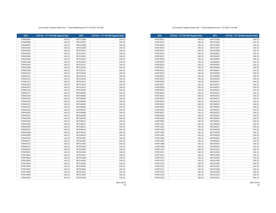**APN CFD No. 1 FY 2019/20 Applied Rate APN CFD No. 1 FY 2019/20 Applied Rate** 479670011 146.32 487551004 146.32 479670012 146.32 487551005 146.32 146.32 487551006 146.32 479670014 | 146.32| | 487551007 | 146.32 146.32 487551008 146.32 479670016 146.32 | | 487560001 | 146.32 146.32 487560002 146.32 146.32 487560003 146.32 479670019 | 146.32 | 487560004 | 146.32 146.32 487560005 146.32 146.32 487560006 146.32 146.32 487560007 146.32 146.32 487560008 146.32 146.32 487560009 146.32 146.32 487560010 146.32 146.32 487560011 146.32 479670027 | 146.32| | 487560012 | 146.32 146.32 487560013 146.32 146.32 487560014 146.32 479670030 | 146.32| | 487560015 | 146.32 146.32 487560016 146.32 146.32 487560017 146.32 146.32 487560018 146.32 146.32 487560019 146.32 479670035 146.32 | | 487560020 146.32 146.32 487560021 146.32 146.32 487560022 146.32 146.32 487560023 146.32 146.32 487560024 146.32 479670040 146.32 | | 487560025 | 146.32 479671001 | 146.32| | 487560026 | 146.32 146.32 487560027 146.32 **146.32** 146.32 487560028 146.32 479671004 146.32 487560029 146.32 479671005 | 146.32| | 487560030 | 146.32 479671006 146.32 | | 487560031 | 146.32 146.32 487560032 146.32 146.32 487560033 146.32 479671009 146.32 487560034 146.32 479671010 146.32 487561001 146.32 479671011 | 146.32| | 487561002 | 146.32 146.32 487561003 146.32 146.32 487561004 146.32 479671014 146.32 487561005 146.32 479671015 146.32 487561006 146.32 146.32 487561007 146.32 146.32 487561008 146.32 146.32 487561009 146.32 479671019 | 146.32| | 487561010 | 146.32 479671020 146.32 487561011 146.32 487561011 146.32

#### Community Facilties District No. 1 (Park Maintenance) FY 2019/20 Tax Roll

| <b>APN</b> | CFD No. 1 FY 2019/20 Applied Rate | <b>APN</b> | CFD No. 1 FY 2019/20 Applied Rate |
|------------|-----------------------------------|------------|-----------------------------------|
| 478460005  | 146.32                            | 487532006  | 146.32                            |
| 478460006  | 146.32                            | 487532007  | 146.32                            |
| 478460007  | 146.32                            | 487532008  | 146.32                            |
| 478461001  | 146.32                            | 487532009  | 146.32                            |
| 478461002  | 146.32                            | 487532010  | 146.32                            |
| 478461003  | 146.32                            | 487532011  | 146.32                            |
| 478461004  | 146.32                            | 487532012  | 146.32                            |
| 478461005  | 146.32                            | 487532013  | 146.32                            |
| 478461006  | 146.32                            | 487532014  | 146.32                            |
| 478461007  | 146.32                            | 487532015  | 146.32                            |
| 478461008  | 146.32                            | 487532016  | 146.32                            |
| 478461009  | 146.32                            | 487532017  | 146.32                            |
| 478461010  | 146.32                            | 487532018  | 146.32                            |
| 478461011  | 146.32                            | 487532019  | 146.32                            |
| 478461012  | 146.32                            | 487532020  | 146.32                            |
| 478461013  | 146.32                            | 487532021  | 146.32                            |
| 478461014  | 146.32                            | 487532022  | 146.32                            |
| 478461015  | 146.32                            | 487532023  | 146.32                            |
| 478461016  | 146.32                            | 487532024  | 146.32                            |
| 478461017  | 146.32                            | 487540001  | 146.32                            |
| 478461018  | 146.32                            | 487540002  | 146.32                            |
| 478461019  | 146.32                            | 487540003  | 146.32                            |
| 478461020  | 146.32                            | 487540004  | 146.32                            |
| 478461021  | 146.32                            | 487540005  | 146.32                            |
| 478461022  | 146.32                            | 487540006  | 146.32                            |
| 478461023  | 146.32                            | 487540007  | 146.32                            |
| 478462001  | 146.32                            | 487540008  | 146.32                            |
| 478462002  | 146.32                            | 487540009  | 146.32                            |
| 478462003  | 146.32                            | 487540010  | 146.32                            |
| 478462004  | 146.32                            | 487540011  | 146.32                            |
| 478462005  | 146.32                            | 487540012  | 146.32                            |
| 478462006  | 146.32                            | 487540013  | 146.32                            |
| 478462007  | 146.32                            | 487540014  | 146.32                            |
| 478462008  | 146.32                            | 487540015  | 146.32                            |
| 478462009  | 146.32                            | 487540016  | 146.32                            |
| 478462010  | 146.32                            | 487541001  | 146.32                            |
| 478462011  | 146.32                            | 487541002  | 146.32                            |
| 478462012  | 146.32                            | 487541003  | 146.32                            |
| 478462013  | 146.32                            | 487541004  | 146.32                            |
| 478462014  | 146.32                            | 487541005  | 146.32                            |
| 479670001  | 146.32                            | 487541006  | 146.32                            |
| 479670002  | 146.32                            | 487541007  | 146.32                            |
| 479670003  | 146.32                            | 487541008  | 146.32                            |
| 479670004  | 146.32                            | 487550001  | 146.32                            |
| 479670005  | 146.32                            | 487550002  | 146.32                            |
| 479670006  | 146.32                            | 487550003  | 146.32                            |
| 479670007  | 146.32                            | 487550004  | 146.32                            |
| 479670008  | 146.32                            | 487551001  | 146.32                            |
| 479670009  | 146.32                            | 487551002  | 146.32                            |
| 479670010  | 146.32                            | 487551003  | 146.32                            |
|            |                                   |            |                                   |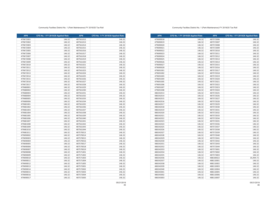**APN CFD No. 1 FY 2019/20 Applied Rate APN CFD No. 1 FY 2019/20 Applied Rate 146.32** 487572006 **146.32** 146.32 479690019 146.32 487572007 146.32 146.32 487572008 146.32 146.32 487572009 146.32 146.32 487572010 146.32 479690023 146.32 487572011 146.32 487572011 146.32 146.32 487572012 146.32 146.32 487572013 146.32 146.32 487572014 146.32 146.32 487572015 146.32 146.32 487572016 146.32 146.32 487572017 146.32 146.32 487572018 146.32 146.32 487572019 146.32 146.32 487572020 146.32 146.32 487572021 146.32 479691006 146.32 | | 487572022 146.32 146.32 487572023 146.32 146.32 487572024 146.32 146.32 487572025 146.32 146.32 487572026 146.32 146.32 487572027 146.32 146.32 487572028 146.32 146.32 487572029 146.32 146.32 487572030 146.32 146.32 487572031 146.32 146.32 487572032 146.32 146.32 487572033 146.32 146.32 487572034 146.32 146.32 487572035 146.32 146.32 487572036 146.32 146.32 487572037 146.32 146.32 487572038 146.32 146.32 487572039 146.32 146.32 487572040 146.32 146.32 487572041 146.32 146.32 487572042 146.32 146.32 487572043 146.32 486542032 146.32 146.32 487572044 146.32 146.32 487573001 146.32 146.32 487573002 146.32 146.32 487573003 146.32 486542036 146.32 488100022 35,994.72 486542037 146.32 488110001 146.32 146.32 488110002 146.32 146.32 488110003 146.32 146.32 488110004 146.32 146.32 488110005 146.32 146.32 488110006 146.32 146.32 488110007 146.32

#### Community Facilties District No. 1 (Park Maintenance) FY 2019/20 Tax Roll

| <b>APN</b> | CFD No. 1 FY 2019/20 Applied Rate | <b>APN</b> | CFD No. 1 FY 2019/20 Applied Rate |
|------------|-----------------------------------|------------|-----------------------------------|
| 479672001  | 146.32                            | 487561012  | 146.32                            |
| 479672002  | 146.32                            | 487561013  | 146.32                            |
| 479672003  | 146.32                            | 487561014  | 146.32                            |
| 479672004  | 146.32                            | 487561015  | 146.32                            |
| 479672005  | 146.32                            | 487561016  | 146.32                            |
| 479672006  | 146.32                            | 487561017  | 146.32                            |
| 479672007  | 146.32                            | 487561018  | 146.32                            |
| 479672008  | 146.32                            | 487561019  | 146.32                            |
| 479672009  | 146.32                            | 487561020  | 146.32                            |
| 479672010  | 146.32                            | 487561021  | 146.32                            |
| 479672011  | 146.32                            | 487561022  | 146.32                            |
| 479672012  | 146.32                            | 487561023  | 146.32                            |
| 479672013  | 146.32                            | 487561024  | 146.32                            |
| 479672014  | 146.32                            | 487561025  | 146.32                            |
| 479672015  | 146.32                            | 487561026  | 146.32                            |
| 479672016  | 146.32                            | 487561027  | 146.32                            |
| 479672017  | 146.32                            | 487561028  | 146.32                            |
| 479680001  | 146.32                            | 487561029  | 146.32                            |
| 479680002  | 146.32                            | 487561030  | 146.32                            |
| 479680003  | 146.32                            | 487561031  | 146.32                            |
| 479680004  | 146.32                            | 487561032  | 146.32                            |
| 479680005  | 146.32                            | 487561033  | 146.32                            |
| 479680006  | 146.32                            | 487561034  | 146.32                            |
| 479681001  | 146.32                            | 487561035  | 146.32                            |
| 479681002  | 146.32                            | 487561036  | 146.32                            |
| 479681003  | 146.32                            | 487561037  | 146.32                            |
| 479681004  | 146.32                            | 487561038  | 146.32                            |
| 479681005  | 146.32                            | 487561039  | 146.32                            |
| 479681006  | 146.32                            | 487561040  | 146.32                            |
| 479681007  | 146.32                            | 487561041  | 146.32                            |
| 479681008  | 146.32                            | 487561042  | 146.32                            |
| 479681009  | 146.32                            | 487561043  | 146.32                            |
| 479681010  | 146.32                            | 487561044  | 146.32                            |
| 479681011  | 146.32                            | 487570013  | 146.32                            |
| 479690002  | 146.32                            | 487570014  | 146.32                            |
| 479690003  | 146.32                            | 487570015  | 146.32                            |
| 479690004  | 146.32                            | 487570016  | 146.32                            |
| 479690005  | 146.32                            | 487570017  | 146.32                            |
| 479690006  | 146.32                            | 487570018  | 146.32                            |
| 479690007  | 146.32                            | 487570019  | 146.32                            |
| 479690008  | 146.32                            | 487571001  | 146.32                            |
| 479690009  | 146.32                            | 487571002  | 146.32                            |
| 479690010  | 146.32                            | 487571003  | 146.32                            |
| 479690011  | 146.32                            | 487571004  | 146.32                            |
| 479690012  | 146.32                            | 487571005  | 146.32                            |
| 479690013  | 146.32                            | 487572001  | 146.32                            |
| 479690014  | 146.32                            | 487572002  | 146.32                            |
| 479690015  | 146.32                            | 487572003  | 146.32                            |
| 479690016  | 146.32                            | 487572004  | 146.32                            |
| 479690017  | 146.32                            | 487572005  | 146.32                            |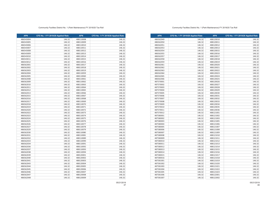| <b>APN</b> | CFD No. 1 FY 2019/20 Applied Rate | <b>APN</b> | CFD No. 1 FY 2019/20 Applied Rate |
|------------|-----------------------------------|------------|-----------------------------------|
| 486562049  | 146.32                            | 488120010  | 146.32                            |
| 486562050  | 146.32                            | 488120011  | 146.32                            |
| 486562051  | 146.32                            | 488120012  | 146.32                            |
| 486562053  | 146.32                            | 488120013  | 146.32                            |
| 486562054  | 146.32                            | 488120015  | 146.32                            |
| 486562055  | 146.32                            | 488120016  | 146.32                            |
| 486562057  | 146.32                            | 488120017  | 146.32                            |
| 486562058  | 146.32                            | 488120018  | 146.32                            |
| 486562059  | 146.32                            | 488120019  | 146.32                            |
| 486562061  | 146.32                            | 488120020  | 146.32                            |
| 486562062  | 146.32                            | 488120021  | 146.32                            |
| 486562063  | 146.32                            | 488120022  | 146.32                            |
| 486562064  | 146.32                            | 488120023  | 146.32                            |
| 486562065  | 146.32                            | 488120024  | 146.32                            |
| 486562066  | 146.32                            | 488120025  | 146.32                            |
| 487570001  | 146.32                            | 488120026  | 146.32                            |
| 487570002  | 146.32                            | 488120027  | 146.32                            |
| 487570003  | 146.32                            | 488120028  | 146.32                            |
| 487570004  | 146.32                            | 488120029  | 146.32                            |
| 487570005  | 146.32                            | 488120030  | 146.32                            |
| 487570006  | 146.32                            | 488120031  | 146.32                            |
| 487570007  | 146.32                            | 488120032  | 146.32                            |
| 487570008  | 146.32                            | 488120033  | 146.32                            |
| 487570009  | 146.32                            | 488120034  | 146.32                            |
| 487570010  | 146.32                            | 488120035  | 146.32                            |
| 487570011  | 146.32                            | 488120036  | 146.32                            |
| 487570012  | 146.32                            | 488121001  | 146.32                            |
| 487580001  | 146.32                            | 488121002  | 146.32                            |
| 487580002  | 146.32                            | 488121003  | 146.32                            |
| 487580003  | 146.32                            | 488121005  | 146.32                            |
| 487580004  | 146.32                            | 488121006  | 146.32                            |
| 487580005  | 146.32                            | 488121007  | 146.32                            |
| 487580006  | 146.32                            | 488121008  | 146.32                            |
| 487580007  | 146.32                            | 488121009  | 146.32                            |
| 487580008  | 146.32                            | 488121010  | 146.32                            |
| 487580009  | 146.32                            | 488121011  | 146.32                            |
| 487580010  | 146.32                            | 488121012  | 146.32                            |
| 487580011  | 146.32                            | 488121013  | 146.32                            |
| 487580012  | 146.32                            | 488121014  | 146.32                            |
| 487580013  | 146.32                            | 488121015  | 146.32                            |
| 487580014  | 146.32                            | 488121016  | 146.32                            |
| 487580015  | 146.32                            | 488121017  | 146.32                            |
| 487580016  | 146.32                            | 488121018  | 146.32                            |
| 487581001  | 146.32                            | 488121019  | 146.32                            |
| 487581002  | 146.32                            | 488121020  | 146.32                            |
| 487581003  | 146.32                            | 488121021  | 146.32                            |
| 487581004  | 146.32                            | 488121022  | 146.32                            |
| 487581005  | 146.32                            | 488121023  | 146.32                            |
| 487581006  | 146.32                            | 488122001  | 146.32                            |
| 487581007  | 146.32                            | 488122002  | 146.32                            |

### Community Facilties District No. 1 (Park Maintenance) FY 2019/20 Tax Roll

| <b>APN</b> | CFD No. 1 FY 2019/20 Applied Rate | <b>APN</b> | CFD No. 1 FY 2019/20 Applied Rate |
|------------|-----------------------------------|------------|-----------------------------------|
| 486543004  | 146.32                            | 488110008  | 146.32                            |
| 486543005  | 146.32                            | 488110009  | 146.32                            |
| 486543006  | 146.32                            | 488110010  | 146.32                            |
| 486543007  | 146.32                            | 488110011  | 146.32                            |
| 486543008  | 146.32                            | 488110012  | 146.32                            |
| 486543009  | 146.32                            | 488110013  | 146.32                            |
| 486543010  | 146.32                            | 488110014  | 146.32                            |
| 486543011  | 146.32                            | 488110015  | 146.32                            |
| 486543012  | 146.32                            | 488110016  | 146.32                            |
| 486562001  | 146.32                            | 488110017  | 146.32                            |
| 486562002  | 146.32                            | 488110018  | 146.32                            |
| 486562003  | 146.32                            | 488110019  | 146.32                            |
| 486562004  | 146.32                            | 488110059  | 146.32                            |
| 486562005  | 146.32                            | 488110060  | 146.32                            |
| 486562008  | 146.32                            | 488110061  | 146.32                            |
| 486562009  | 146.32                            | 488110062  | 146.32                            |
| 486562010  | 146.32                            | 488110063  | 146.32                            |
| 486562011  | 146.32                            | 488110064  | 146.32                            |
| 486562012  | 146.32                            | 488110065  | 146.32                            |
| 486562013  | 146.32                            | 488110066  | 146.32                            |
| 486562015  | 146.32                            | 488110067  | 146.32                            |
| 486562016  | 146.32                            | 488110068  | 146.32                            |
| 486562017  | 146.32                            | 488110069  | 146.32                            |
| 486562018  | 146.32                            | 488110070  | 146.32                            |
| 486562019  | 146.32                            | 488110071  | 146.32                            |
| 486562020  | 146.32                            | 488110072  | 146.32                            |
| 486562022  | 146.32                            | 488110073  | 146.32                            |
| 486562023  | 146.32                            | 488110074  | 146.32                            |
| 486562024  | 146.32                            | 488110075  | 146.32                            |
| 486562025  | 146.32                            | 488110076  | 146.32                            |
| 486562026  | 146.32                            | 488110077  | 146.32                            |
| 486562027  | 146.32                            | 488110078  | 146.32                            |
| 486562029  | 146.32                            | 488110079  | 146.32                            |
| 486562030  | 146.32                            | 488110080  | 146.32                            |
| 486562031  | 146.32                            | 488110081  | 146.32                            |
| 486562032  | 146.32                            | 488110089  | 146.32                            |
| 486562033  | 146.32                            | 488110090  | 146.32                            |
| 486562034  | 146.32                            | 488110091  | 146.32                            |
| 486562036  | 146.32                            | 488110092  | 146.32                            |
| 486562037  | 146.32                            | 488110093  | 146.32                            |
| 486562038  | 146.32                            | 488110094  | 146.32                            |
| 486562039  | 146.32                            | 488120001  | 146.32                            |
| 486562040  | 146.32                            | 488120002  | 146.32                            |
| 486562041  | 146.32                            | 488120003  | 146.32                            |
| 486562043  | 146.32                            | 488120004  | 146.32                            |
| 486562044  | 146.32                            | 488120005  | 146.32                            |
| 486562045  | 146.32                            | 488120006  | 146.32                            |
| 486562046  | 146.32                            | 488120007  | 146.32                            |
| 486562047  | 146.32                            | 488120008  | 146.32                            |
| 486562048  | 146.32                            | 488120009  | 146.32                            |
|            |                                   |            |                                   |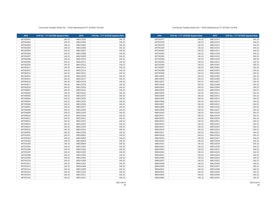**APN CFD No. 1 FY 2019/20 Applied Rate APN CFD No. 1 FY 2019/20 Applied Rate** 487591017 146.32 488131013 146.32 **146.32** 146.32 **488131014** 146.32 146.32 488131015 146.32 146.32 488131016 146.32 146.32 488131017 146.32 146.32 488131018 146.32 146.32 488131019 146.32 146.32 488131020 146.32 146.32 488131021 146.32 146.32 488132001 146.32 146.32 488132002 146.32 146.32 488132003 146.32 146.32 488132004 146.32 146.32 488132005 146.32 146.32 488132006 146.32 146.32 488132007 146.32 146.32 488132008 146.32 146.32 488132009 146.32 146.32 488132010 146.32 146.32 488132011 146.32 146.32 488132012 146.32 146.32 488132013 146.32 146.32 488132014 146.32 146.32 488132015 146.32 146.32 488132016 146.32 146.32 488132017 146.32 146.32 488132018 146.32 488410011 146.32 488132019 146.32 146.32 488132020 146.32 146.32 488132021 146.32 146.32 488132022 146.32 146.32 488132023 146.32 146.32 488132024 146.32 146.32 488132025 146.32 146.32 488132026 146.32 146.32 488132027 146.32 146.32 488132028 146.32 146.32 488132029 146.32 488410022 146.32 146.32 488132030 146.32 **146.32** 146.32 488132031 146.32 146.32 488132032 146.32 146.32 488132033 146.32 146.32 488132034 146.32 488410057 146.32 488132035 146.32 146.32 488132036 146.32 146.32 488132037 146.32 146.32 488132038 146.32 146.32 488132039 146.32 146.32 488132040 146.32 146.32 488132041 146.32

#### Community Facilties District No. 1 (Park Maintenance) FY 2019/20 Tax Roll

| 487582001<br>146.32<br>488122003<br>487582002<br>146.32<br>488122004<br>146.32<br>487582003<br>488122005<br>487582004<br>146.32<br>488122006<br>487582005<br>146.32<br>488122007<br>487582006<br>146.32<br>488122008<br>487582007<br>146.32<br>488122009<br>487582008<br>146.32<br>488122010<br>487582009<br>146.32<br>488122011<br>487582010<br>146.32<br>488122012<br>146.32<br>487582011<br>488122013<br>487582012<br>146.32<br>488122014<br>487582013<br>146.32<br>488122015<br>487582014<br>146.32<br>488122016<br>487582015<br>146.32<br>488122017<br>487582016<br>146.32<br>488122018<br>487582017<br>146.32<br>488122019<br>487582018<br>146.32<br>488122020<br>487590001<br>146.32<br>488122021<br>487590002<br>146.32<br>488122022<br>146.32<br>487590003<br>488122023<br>487590004<br>146.32<br>488122024<br>487590005<br>146.32<br>488122025<br>487590006<br>146.32<br>488122026<br>487590007<br>146.32<br>488122027<br>487590008<br>146.32<br>488122028<br>487590009<br>146.32<br>488122029<br>487590010<br>146.32<br>488122030<br>487590011<br>146.32<br>488122031<br>487590012<br>146.32<br>488122032<br>487590013<br>146.32<br>488122033<br>487590014<br>146.32<br>488122034<br>487590015<br>146.32<br>488122035<br>487590016<br>146.32<br>488122036<br>487591001<br>146.32<br>488130001<br>487591002<br>146.32<br>488130002<br>487591003<br>146.32<br>488130003<br>487591004<br>146.32<br>488130004<br>487591005<br>146.32<br>488131001<br>487591006<br>146.32<br>488131002<br>487591007<br>146.32<br>488131003<br>487591008<br>146.32<br>488131004<br>487591009<br>146.32<br>488131005<br>487591010<br>146.32<br>488131006<br>487591011<br>146.32<br>488131007<br>487591012<br>146.32<br>488131008<br>487591013<br>146.32<br>488131009<br>487591014<br>146.32<br>488131010<br>487591015<br>146.32<br>488131011<br>487591016<br>146.32<br>488131012 | <b>APN</b> | CFD No. 1 FY 2019/20 Applied Rate | <b>APN</b> | CFD No. 1 FY 2019/20 Applied Rate |
|----------------------------------------------------------------------------------------------------------------------------------------------------------------------------------------------------------------------------------------------------------------------------------------------------------------------------------------------------------------------------------------------------------------------------------------------------------------------------------------------------------------------------------------------------------------------------------------------------------------------------------------------------------------------------------------------------------------------------------------------------------------------------------------------------------------------------------------------------------------------------------------------------------------------------------------------------------------------------------------------------------------------------------------------------------------------------------------------------------------------------------------------------------------------------------------------------------------------------------------------------------------------------------------------------------------------------------------------------------------------------------------------------------------------------------------------------------------------------------------------------------------------------------------------------------------------------------------------------------------------------------------------------------------------------------------------------------------------------------------------------------------------------------------------------------------------------------------------------------------------|------------|-----------------------------------|------------|-----------------------------------|
|                                                                                                                                                                                                                                                                                                                                                                                                                                                                                                                                                                                                                                                                                                                                                                                                                                                                                                                                                                                                                                                                                                                                                                                                                                                                                                                                                                                                                                                                                                                                                                                                                                                                                                                                                                                                                                                                      |            |                                   |            | 146.32                            |
|                                                                                                                                                                                                                                                                                                                                                                                                                                                                                                                                                                                                                                                                                                                                                                                                                                                                                                                                                                                                                                                                                                                                                                                                                                                                                                                                                                                                                                                                                                                                                                                                                                                                                                                                                                                                                                                                      |            |                                   |            | 146.32                            |
|                                                                                                                                                                                                                                                                                                                                                                                                                                                                                                                                                                                                                                                                                                                                                                                                                                                                                                                                                                                                                                                                                                                                                                                                                                                                                                                                                                                                                                                                                                                                                                                                                                                                                                                                                                                                                                                                      |            |                                   |            | 146.32                            |
|                                                                                                                                                                                                                                                                                                                                                                                                                                                                                                                                                                                                                                                                                                                                                                                                                                                                                                                                                                                                                                                                                                                                                                                                                                                                                                                                                                                                                                                                                                                                                                                                                                                                                                                                                                                                                                                                      |            |                                   |            | 146.32                            |
|                                                                                                                                                                                                                                                                                                                                                                                                                                                                                                                                                                                                                                                                                                                                                                                                                                                                                                                                                                                                                                                                                                                                                                                                                                                                                                                                                                                                                                                                                                                                                                                                                                                                                                                                                                                                                                                                      |            |                                   |            | 146.32                            |
|                                                                                                                                                                                                                                                                                                                                                                                                                                                                                                                                                                                                                                                                                                                                                                                                                                                                                                                                                                                                                                                                                                                                                                                                                                                                                                                                                                                                                                                                                                                                                                                                                                                                                                                                                                                                                                                                      |            |                                   |            | 146.32                            |
|                                                                                                                                                                                                                                                                                                                                                                                                                                                                                                                                                                                                                                                                                                                                                                                                                                                                                                                                                                                                                                                                                                                                                                                                                                                                                                                                                                                                                                                                                                                                                                                                                                                                                                                                                                                                                                                                      |            |                                   |            | 146.32                            |
|                                                                                                                                                                                                                                                                                                                                                                                                                                                                                                                                                                                                                                                                                                                                                                                                                                                                                                                                                                                                                                                                                                                                                                                                                                                                                                                                                                                                                                                                                                                                                                                                                                                                                                                                                                                                                                                                      |            |                                   |            | 146.32                            |
|                                                                                                                                                                                                                                                                                                                                                                                                                                                                                                                                                                                                                                                                                                                                                                                                                                                                                                                                                                                                                                                                                                                                                                                                                                                                                                                                                                                                                                                                                                                                                                                                                                                                                                                                                                                                                                                                      |            |                                   |            | 146.32                            |
|                                                                                                                                                                                                                                                                                                                                                                                                                                                                                                                                                                                                                                                                                                                                                                                                                                                                                                                                                                                                                                                                                                                                                                                                                                                                                                                                                                                                                                                                                                                                                                                                                                                                                                                                                                                                                                                                      |            |                                   |            | 146.32                            |
|                                                                                                                                                                                                                                                                                                                                                                                                                                                                                                                                                                                                                                                                                                                                                                                                                                                                                                                                                                                                                                                                                                                                                                                                                                                                                                                                                                                                                                                                                                                                                                                                                                                                                                                                                                                                                                                                      |            |                                   |            | 146.32                            |
|                                                                                                                                                                                                                                                                                                                                                                                                                                                                                                                                                                                                                                                                                                                                                                                                                                                                                                                                                                                                                                                                                                                                                                                                                                                                                                                                                                                                                                                                                                                                                                                                                                                                                                                                                                                                                                                                      |            |                                   |            | 146.32                            |
|                                                                                                                                                                                                                                                                                                                                                                                                                                                                                                                                                                                                                                                                                                                                                                                                                                                                                                                                                                                                                                                                                                                                                                                                                                                                                                                                                                                                                                                                                                                                                                                                                                                                                                                                                                                                                                                                      |            |                                   |            | 146.32                            |
|                                                                                                                                                                                                                                                                                                                                                                                                                                                                                                                                                                                                                                                                                                                                                                                                                                                                                                                                                                                                                                                                                                                                                                                                                                                                                                                                                                                                                                                                                                                                                                                                                                                                                                                                                                                                                                                                      |            |                                   |            | 146.32                            |
|                                                                                                                                                                                                                                                                                                                                                                                                                                                                                                                                                                                                                                                                                                                                                                                                                                                                                                                                                                                                                                                                                                                                                                                                                                                                                                                                                                                                                                                                                                                                                                                                                                                                                                                                                                                                                                                                      |            |                                   |            | 146.32                            |
|                                                                                                                                                                                                                                                                                                                                                                                                                                                                                                                                                                                                                                                                                                                                                                                                                                                                                                                                                                                                                                                                                                                                                                                                                                                                                                                                                                                                                                                                                                                                                                                                                                                                                                                                                                                                                                                                      |            |                                   |            | 146.32                            |
|                                                                                                                                                                                                                                                                                                                                                                                                                                                                                                                                                                                                                                                                                                                                                                                                                                                                                                                                                                                                                                                                                                                                                                                                                                                                                                                                                                                                                                                                                                                                                                                                                                                                                                                                                                                                                                                                      |            |                                   |            | 146.32                            |
|                                                                                                                                                                                                                                                                                                                                                                                                                                                                                                                                                                                                                                                                                                                                                                                                                                                                                                                                                                                                                                                                                                                                                                                                                                                                                                                                                                                                                                                                                                                                                                                                                                                                                                                                                                                                                                                                      |            |                                   |            | 146.32                            |
|                                                                                                                                                                                                                                                                                                                                                                                                                                                                                                                                                                                                                                                                                                                                                                                                                                                                                                                                                                                                                                                                                                                                                                                                                                                                                                                                                                                                                                                                                                                                                                                                                                                                                                                                                                                                                                                                      |            |                                   |            | 146.32                            |
|                                                                                                                                                                                                                                                                                                                                                                                                                                                                                                                                                                                                                                                                                                                                                                                                                                                                                                                                                                                                                                                                                                                                                                                                                                                                                                                                                                                                                                                                                                                                                                                                                                                                                                                                                                                                                                                                      |            |                                   |            | 146.32                            |
|                                                                                                                                                                                                                                                                                                                                                                                                                                                                                                                                                                                                                                                                                                                                                                                                                                                                                                                                                                                                                                                                                                                                                                                                                                                                                                                                                                                                                                                                                                                                                                                                                                                                                                                                                                                                                                                                      |            |                                   |            | 146.32                            |
|                                                                                                                                                                                                                                                                                                                                                                                                                                                                                                                                                                                                                                                                                                                                                                                                                                                                                                                                                                                                                                                                                                                                                                                                                                                                                                                                                                                                                                                                                                                                                                                                                                                                                                                                                                                                                                                                      |            |                                   |            | 146.32                            |
|                                                                                                                                                                                                                                                                                                                                                                                                                                                                                                                                                                                                                                                                                                                                                                                                                                                                                                                                                                                                                                                                                                                                                                                                                                                                                                                                                                                                                                                                                                                                                                                                                                                                                                                                                                                                                                                                      |            |                                   |            | 146.32                            |
|                                                                                                                                                                                                                                                                                                                                                                                                                                                                                                                                                                                                                                                                                                                                                                                                                                                                                                                                                                                                                                                                                                                                                                                                                                                                                                                                                                                                                                                                                                                                                                                                                                                                                                                                                                                                                                                                      |            |                                   |            | 146.32                            |
|                                                                                                                                                                                                                                                                                                                                                                                                                                                                                                                                                                                                                                                                                                                                                                                                                                                                                                                                                                                                                                                                                                                                                                                                                                                                                                                                                                                                                                                                                                                                                                                                                                                                                                                                                                                                                                                                      |            |                                   |            | 146.32                            |
|                                                                                                                                                                                                                                                                                                                                                                                                                                                                                                                                                                                                                                                                                                                                                                                                                                                                                                                                                                                                                                                                                                                                                                                                                                                                                                                                                                                                                                                                                                                                                                                                                                                                                                                                                                                                                                                                      |            |                                   |            | 146.32                            |
|                                                                                                                                                                                                                                                                                                                                                                                                                                                                                                                                                                                                                                                                                                                                                                                                                                                                                                                                                                                                                                                                                                                                                                                                                                                                                                                                                                                                                                                                                                                                                                                                                                                                                                                                                                                                                                                                      |            |                                   |            | 146.32                            |
|                                                                                                                                                                                                                                                                                                                                                                                                                                                                                                                                                                                                                                                                                                                                                                                                                                                                                                                                                                                                                                                                                                                                                                                                                                                                                                                                                                                                                                                                                                                                                                                                                                                                                                                                                                                                                                                                      |            |                                   |            | 146.32                            |
|                                                                                                                                                                                                                                                                                                                                                                                                                                                                                                                                                                                                                                                                                                                                                                                                                                                                                                                                                                                                                                                                                                                                                                                                                                                                                                                                                                                                                                                                                                                                                                                                                                                                                                                                                                                                                                                                      |            |                                   |            | 146.32                            |
|                                                                                                                                                                                                                                                                                                                                                                                                                                                                                                                                                                                                                                                                                                                                                                                                                                                                                                                                                                                                                                                                                                                                                                                                                                                                                                                                                                                                                                                                                                                                                                                                                                                                                                                                                                                                                                                                      |            |                                   |            | 146.32                            |
|                                                                                                                                                                                                                                                                                                                                                                                                                                                                                                                                                                                                                                                                                                                                                                                                                                                                                                                                                                                                                                                                                                                                                                                                                                                                                                                                                                                                                                                                                                                                                                                                                                                                                                                                                                                                                                                                      |            |                                   |            | 146.32                            |
|                                                                                                                                                                                                                                                                                                                                                                                                                                                                                                                                                                                                                                                                                                                                                                                                                                                                                                                                                                                                                                                                                                                                                                                                                                                                                                                                                                                                                                                                                                                                                                                                                                                                                                                                                                                                                                                                      |            |                                   |            | 146.32                            |
|                                                                                                                                                                                                                                                                                                                                                                                                                                                                                                                                                                                                                                                                                                                                                                                                                                                                                                                                                                                                                                                                                                                                                                                                                                                                                                                                                                                                                                                                                                                                                                                                                                                                                                                                                                                                                                                                      |            |                                   |            | 146.32                            |
|                                                                                                                                                                                                                                                                                                                                                                                                                                                                                                                                                                                                                                                                                                                                                                                                                                                                                                                                                                                                                                                                                                                                                                                                                                                                                                                                                                                                                                                                                                                                                                                                                                                                                                                                                                                                                                                                      |            |                                   |            | 146.32                            |
|                                                                                                                                                                                                                                                                                                                                                                                                                                                                                                                                                                                                                                                                                                                                                                                                                                                                                                                                                                                                                                                                                                                                                                                                                                                                                                                                                                                                                                                                                                                                                                                                                                                                                                                                                                                                                                                                      |            |                                   |            | 146.32                            |
|                                                                                                                                                                                                                                                                                                                                                                                                                                                                                                                                                                                                                                                                                                                                                                                                                                                                                                                                                                                                                                                                                                                                                                                                                                                                                                                                                                                                                                                                                                                                                                                                                                                                                                                                                                                                                                                                      |            |                                   |            | 146.32                            |
|                                                                                                                                                                                                                                                                                                                                                                                                                                                                                                                                                                                                                                                                                                                                                                                                                                                                                                                                                                                                                                                                                                                                                                                                                                                                                                                                                                                                                                                                                                                                                                                                                                                                                                                                                                                                                                                                      |            |                                   |            | 146.32                            |
|                                                                                                                                                                                                                                                                                                                                                                                                                                                                                                                                                                                                                                                                                                                                                                                                                                                                                                                                                                                                                                                                                                                                                                                                                                                                                                                                                                                                                                                                                                                                                                                                                                                                                                                                                                                                                                                                      |            |                                   |            | 146.32                            |
|                                                                                                                                                                                                                                                                                                                                                                                                                                                                                                                                                                                                                                                                                                                                                                                                                                                                                                                                                                                                                                                                                                                                                                                                                                                                                                                                                                                                                                                                                                                                                                                                                                                                                                                                                                                                                                                                      |            |                                   |            | 146.32                            |
|                                                                                                                                                                                                                                                                                                                                                                                                                                                                                                                                                                                                                                                                                                                                                                                                                                                                                                                                                                                                                                                                                                                                                                                                                                                                                                                                                                                                                                                                                                                                                                                                                                                                                                                                                                                                                                                                      |            |                                   |            | 146.32                            |
|                                                                                                                                                                                                                                                                                                                                                                                                                                                                                                                                                                                                                                                                                                                                                                                                                                                                                                                                                                                                                                                                                                                                                                                                                                                                                                                                                                                                                                                                                                                                                                                                                                                                                                                                                                                                                                                                      |            |                                   |            | 146.32                            |
|                                                                                                                                                                                                                                                                                                                                                                                                                                                                                                                                                                                                                                                                                                                                                                                                                                                                                                                                                                                                                                                                                                                                                                                                                                                                                                                                                                                                                                                                                                                                                                                                                                                                                                                                                                                                                                                                      |            |                                   |            | 146.32                            |
|                                                                                                                                                                                                                                                                                                                                                                                                                                                                                                                                                                                                                                                                                                                                                                                                                                                                                                                                                                                                                                                                                                                                                                                                                                                                                                                                                                                                                                                                                                                                                                                                                                                                                                                                                                                                                                                                      |            |                                   |            | 146.32                            |
|                                                                                                                                                                                                                                                                                                                                                                                                                                                                                                                                                                                                                                                                                                                                                                                                                                                                                                                                                                                                                                                                                                                                                                                                                                                                                                                                                                                                                                                                                                                                                                                                                                                                                                                                                                                                                                                                      |            |                                   |            | 146.32                            |
|                                                                                                                                                                                                                                                                                                                                                                                                                                                                                                                                                                                                                                                                                                                                                                                                                                                                                                                                                                                                                                                                                                                                                                                                                                                                                                                                                                                                                                                                                                                                                                                                                                                                                                                                                                                                                                                                      |            |                                   |            | 146.32                            |
|                                                                                                                                                                                                                                                                                                                                                                                                                                                                                                                                                                                                                                                                                                                                                                                                                                                                                                                                                                                                                                                                                                                                                                                                                                                                                                                                                                                                                                                                                                                                                                                                                                                                                                                                                                                                                                                                      |            |                                   |            | 146.32                            |
|                                                                                                                                                                                                                                                                                                                                                                                                                                                                                                                                                                                                                                                                                                                                                                                                                                                                                                                                                                                                                                                                                                                                                                                                                                                                                                                                                                                                                                                                                                                                                                                                                                                                                                                                                                                                                                                                      |            |                                   |            | 146.32                            |
|                                                                                                                                                                                                                                                                                                                                                                                                                                                                                                                                                                                                                                                                                                                                                                                                                                                                                                                                                                                                                                                                                                                                                                                                                                                                                                                                                                                                                                                                                                                                                                                                                                                                                                                                                                                                                                                                      |            |                                   |            | 146.32                            |
|                                                                                                                                                                                                                                                                                                                                                                                                                                                                                                                                                                                                                                                                                                                                                                                                                                                                                                                                                                                                                                                                                                                                                                                                                                                                                                                                                                                                                                                                                                                                                                                                                                                                                                                                                                                                                                                                      |            |                                   |            | 146.32                            |
|                                                                                                                                                                                                                                                                                                                                                                                                                                                                                                                                                                                                                                                                                                                                                                                                                                                                                                                                                                                                                                                                                                                                                                                                                                                                                                                                                                                                                                                                                                                                                                                                                                                                                                                                                                                                                                                                      |            |                                   |            | 146.32                            |

05/21/2019

05/21/2019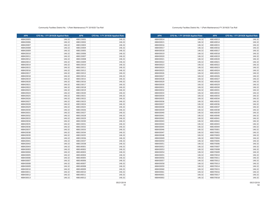| <b>APN</b> | CFD No. 1 FY 2019/20 Applied Rate | <b>APN</b> | CFD No. 1 FY 2019/20 Applied Rate |
|------------|-----------------------------------|------------|-----------------------------------|
| 488430014  | 146.32                            | 488140013  | 146.32                            |
| 488430015  | 146.32                            | 488140014  | 146.32                            |
| 488430016  | 146.32                            | 488140015  | 146.32                            |
| 488430017  | 146.32                            | 488140016  | 146.32                            |
| 488430018  | 146.32                            | 488140017  | 146.32                            |
| 488430019  | 146.32                            | 488140018  | 146.32                            |
| 488430020  | 146.32                            | 488140019  | 146.32                            |
| 488430021  | 146.32                            | 488140020  | 146.32                            |
| 488430022  | 146.32                            | 488140021  | 146.32                            |
| 488430023  | 146.32                            | 488140022  | 146.32                            |
| 488430024  | 146.32                            | 488140023  | 146.32                            |
| 488430025  | 146.32                            | 488140024  | 146.32                            |
| 488430026  | 146.32                            | 488140025  | 146.32                            |
| 488430027  | 146.32                            | 488140026  | 146.32                            |
| 488430028  | 146.32                            | 488140027  | 146.32                            |
| 488430029  | 146.32                            | 488140028  | 146.32                            |
| 488430030  | 146.32                            | 488140029  | 146.32                            |
| 488430031  | 146.32                            | 488140030  | 146.32                            |
| 488430032  | 146.32                            | 488140031  | 146.32                            |
| 488430033  | 146.32                            | 488140032  | 146.32                            |
| 488430034  | 146.32                            | 488140033  | 146.32                            |
| 488430035  | 146.32                            | 488140034  | 146.32                            |
| 488430036  | 146.32                            | 488140035  | 146.32                            |
| 488430037  | 146.32                            | 488140036  | 146.32                            |
| 488430038  | 146.32                            | 488140037  | 146.32                            |
| 488430039  | 146.32                            | 488140038  | 146.32                            |
| 488430040  | 146.32                            | 488140039  | 146.32                            |
| 488430041  | 146.32                            | 488140040  | 146.32                            |
| 488430042  | 146.32                            | 488140041  | 146.32                            |
| 488430043  | 146.32                            | 488140042  | 146.32                            |
| 488430044  | 146.32                            | 488140043  | 146.32                            |
| 488430045  | 146.32                            | 488140044  | 146.32                            |
| 488430046  | 146.32                            | 488370001  | 146.32                            |
| 488430047  | 146.32                            | 488370002  | 146.32                            |
| 488430048  | 146.32                            | 488370003  | 146.32                            |
| 488430049  | 146.32                            | 488370004  | 146.32                            |
| 488430050  | 146.32                            | 488370005  | 146.32                            |
| 488430051  | 146.32                            | 488370006  | 146.32                            |
| 488430052  | 146.32                            | 488370007  | 146.32                            |
| 488430053  | 146.32                            | 488370008  | 146.32                            |
| 488430054  | 146.32                            | 488370009  | 146.32                            |
| 488430055  | 146.32                            | 488370010  | 146.32                            |
| 488430056  | 146.32                            | 488370011  | 146.32                            |
| 488430057  | 146.32                            | 488370012  | 146.32                            |
| 488430058  | 146.32                            | 488370013  | 146.32                            |
| 488430059  | 146.32                            | 488370014  | 146.32                            |
| 488430060  | 146.32                            | 488370015  | 146.32                            |
| 488430061  | 146.32                            | 488370016  | 146.32                            |
| 488440001  | 146.32                            | 488370017  | 146.32                            |
| 488440002  | 146.32                            | 488370018  | 146.32                            |

#### Community Facilties District No. 1 (Park Maintenance) FY 2019/20 Tax Roll

| <b>APN</b> | CFD No. 1 FY 2019/20 Applied Rate | <b>APN</b> | CFD No. 1 FY 2019/20 Applied Rate |
|------------|-----------------------------------|------------|-----------------------------------|
| 488420005  | 146.32                            | 488133001  | 146.32                            |
| 488420006  | 146.32                            | 488133002  | 146.32                            |
| 488420007  | 146.32                            | 488133003  | 146.32                            |
| 488420008  | 146.32                            | 488133004  | 146.32                            |
| 488420009  | 146.32                            | 488133005  | 146.32                            |
| 488420010  | 146.32                            | 488133006  | 146.32                            |
| 488420011  | 146.32                            | 488133007  | 146.32                            |
| 488420012  | 146.32                            | 488133008  | 146.32                            |
| 488420013  | 146.32                            | 488133009  | 146.32                            |
| 488420014  | 146.32                            | 488133010  | 146.32                            |
| 488420015  | 146.32                            | 488133011  | 146.32                            |
| 488420016  | 146.32                            | 488133012  | 146.32                            |
| 488420017  | 146.32                            | 488133013  | 146.32                            |
| 488420018  | 146.32                            | 488133014  | 146.32                            |
| 488420019  | 146.32                            | 488133015  | 146.32                            |
| 488420020  | 146.32                            | 488133016  | 146.32                            |
| 488420021  | 146.32                            | 488133017  | 146.32                            |
| 488420022  | 146.32                            | 488133018  | 146.32                            |
| 488420023  | 146.32                            | 488133019  | 146.32                            |
| 488420024  | 146.32                            | 488133020  | 146.32                            |
| 488420025  | 146.32                            | 488133021  | 146.32                            |
| 488420026  | 146.32                            | 488133022  | 146.32                            |
| 488420027  | 146.32                            | 488133023  | 146.32                            |
| 488420028  | 146.32                            | 488133024  | 146.32                            |
| 488420029  | 146.32                            | 488133025  | 146.32                            |
| 488420030  | 146.32                            | 488133026  | 146.32                            |
| 488420031  | 146.32                            | 488133027  | 146.32                            |
| 488420032  | 146.32                            | 488133028  | 146.32                            |
| 488420033  | 146.32                            | 488133029  | 146.32                            |
| 488420034  | 146.32                            | 488133030  | 146.32                            |
| 488420035  | 146.32                            | 488133031  | 146.32                            |
| 488420036  | 146.32                            | 488133032  | 146.32                            |
| 488420037  | 146.32                            | 488133033  | 146.32                            |
| 488420038  | 146.32                            | 488133034  | 146.32                            |
| 488420039  | 146.32                            | 488133035  | 146.32                            |
| 488420040  | 146.32                            | 488133036  | 146.32                            |
| 488420041  | 146.32                            | 488133037  | 146.32                            |
| 488420042  | 146.32                            | 488133038  | 146.32                            |
| 488420043  | 146.32                            | 488140001  | 146.32                            |
| 488430003  | 146.32                            | 488140002  | 146.32                            |
| 488430004  | 146.32                            | 488140003  | 146.32                            |
| 488430005  | 146.32                            | 488140004  | 146.32                            |
| 488430006  | 146.32                            | 488140005  | 146.32                            |
| 488430007  | 146.32                            | 488140006  | 146.32                            |
| 488430008  | 146.32                            | 488140007  | 146.32                            |
| 488430009  | 146.32                            | 488140008  | 146.32                            |
| 488430010  | 146.32                            | 488140009  | 146.32                            |
| 488430011  | 146.32                            | 488140010  | 146.32                            |
| 488430012  | 146.32                            | 488140011  | 146.32                            |
| 488430013  | 146.32                            | 488140012  | 146.32                            |
|            |                                   |            |                                   |

05/21/2019

05/21/2019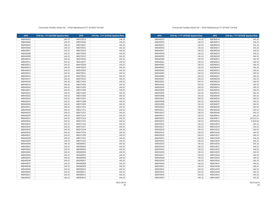| <b>APN</b> | CFD No. 1 FY 2019/20 Applied Rate | <b>APN</b> | CFD No. 1 FY 2019/20 Applied Rate |
|------------|-----------------------------------|------------|-----------------------------------|
| 488440053  | 146.32                            | 488380014  | 146.32                            |
| 488440054  | 146.32                            | 488380015  | 146.32                            |
| 488440055  | 146.32                            | 488380016  | 146.32                            |
| 488440056  | 146.32                            | 488380017  | 146.32                            |
| 488440057  | 146.32                            | 488380018  | 146.32                            |
| 488440058  | 146.32                            | 488380019  | 146.32                            |
| 488440059  | 146.32                            | 488380020  | 146.32                            |
| 488440060  | 146.32                            | 488380021  | 146.32                            |
| 488440061  | 146.32                            | 488380022  | 146.32                            |
| 488440062  | 146.32                            | 488380023  | 146.32                            |
| 488440063  | 146.32                            | 488380024  | 146.32                            |
| 488440064  | 146.32                            | 488380025  | 146.32                            |
| 488440065  | 146.32                            | 488380026  | 146.32                            |
| 488440066  | 146.32                            | 488380027  | 146.32                            |
| 488440067  | 146.32                            | 488380028  | 146.32                            |
| 488450001  | 146.32                            | 488380029  | 146.32                            |
| 488450002  | 146.32                            | 488380030  | 146.32                            |
| 488450003  | 146.32                            | 488380031  | 146.32                            |
| 488450004  | 146.32                            | 488380032  | 146.32                            |
| 488450005  | 146.32                            | 488380033  | 146.32                            |
| 488450006  | 146.32                            | 488380034  | 146.32                            |
| 488450007  | 146.32                            | 488380035  | 146.32                            |
| 488450008  | 146.32                            | 488380036  | 146.32                            |
| 488450009  | 146.32                            | 488380037  | 146.32                            |
| 488450010  | 146.32                            | 488380038  | 146.32                            |
| 488450011  | 146.32                            | 488380039  | 146.32                            |
| 488450012  | 146.32                            | 488380040  | 146.32                            |
| 488450013  | 146.32                            | 488380041  | 146.32                            |
| 488450014  | 146.32                            | 488390017  | 34,531.52                         |
| 488450015  | 146.32                            | 488390018  | 2,926.40                          |
| 488450016  | 146.32                            | 488410023  | 146.32                            |
| 488450017  | 146.32                            | 488410024  | 146.32                            |
| 488450018  | 146.32                            | 488410025  | 146.32                            |
| 488450019  | 146.32                            | 488410026  | 146.32                            |
| 488450020  | 146.32                            | 488410027  | 146.32                            |
| 488450021  | 146.32                            | 488410028  | 146.32                            |
| 488450022  | 146.32                            | 488410029  | 146.32                            |
| 488450023  | 146.32                            | 488410030  | 146.32                            |
| 488450024  | 146.32                            | 488410031  | 146.32                            |
| 488450025  | 146.32                            | 488410032  | 146.32                            |
| 488450026  | 146.32                            | 488410033  | 146.32                            |
| 488450027  | 146.32                            | 488410034  | 146.32                            |
| 488450028  | 146.32                            | 488410035  | 146.32                            |
| 488450029  | 146.32                            | 488410036  | 146.32                            |
| 488450030  | 146.32                            | 488410037  | 146.32                            |
| 488450031  | 146.32                            | 488410038  | 146.32                            |
| 488450032  | 146.32                            | 488410039  | 146.32                            |
| 488450033  | 146.32                            | 488410040  | 146.32                            |
| 488450034  | 146.32                            | 488410041  | 146.32                            |
| 488450035  | 146.32                            | 488410042  | 146.32                            |

#### Community Facilties District No. 1 (Park Maintenance) FY 2019/20 Tax Roll

| <b>APN</b> | CFD No. 1 FY 2019/20 Applied Rate | <b>APN</b> | CFD No. 1 FY 2019/20 Applied Rate |
|------------|-----------------------------------|------------|-----------------------------------|
| 488440003  | 146.32                            | 488370019  | 146.32                            |
| 488440004  | 146.32                            | 488370020  | 146.32                            |
| 488440005  | 146.32                            | 488370021  | 146.32                            |
| 488440006  | 146.32                            | 488370022  | 146.32                            |
| 488440007  | 146.32                            | 488370023  | 146.32                            |
| 488440008  | 146.32                            | 488370024  | 146.32                            |
| 488440009  | 146.32                            | 488370025  | 146.32                            |
| 488440010  | 146.32                            | 488370026  | 146.32                            |
| 488440011  | 146.32                            | 488370027  | 146.32                            |
| 488440012  | 146.32                            | 488370028  | 146.32                            |
| 488440013  | 146.32                            | 488370029  | 146.32                            |
| 488440014  | 146.32                            | 488370030  | 146.32                            |
| 488440015  | 146.32                            | 488370031  | 146.32                            |
| 488440016  | 146.32                            | 488370032  | 146.32                            |
| 488440017  | 146.32                            | 488370033  | 146.32                            |
| 488440018  | 146.32                            | 488371001  | 146.32                            |
| 488440019  | 146.32                            | 488371002  | 146.32                            |
| 488440020  | 146.32                            | 488371003  | 146.32                            |
| 488440021  | 146.32                            | 488371004  | 146.32                            |
| 488440022  | 146.32                            | 488371005  | 146.32                            |
| 488440023  | 146.32                            | 488371006  | 146.32                            |
| 488440024  | 146.32                            | 488371007  | 146.32                            |
| 488440025  | 146.32                            | 488371008  | 146.32                            |
| 488440026  | 146.32                            | 488371009  | 146.32                            |
| 488440027  | 146.32                            | 488371010  | 146.32                            |
| 488440028  | 146.32                            | 488371011  | 146.32                            |
| 488440029  | 146.32                            | 488371012  | 146.32                            |
| 488440030  | 146.32                            | 488371013  | 146.32                            |
| 488440031  | 146.32                            | 488371014  | 146.32                            |
| 488440032  | 146.32                            | 488371015  | 146.32                            |
| 488440033  | 146.32                            | 488371016  | 146.32                            |
| 488440034  | 146.32                            | 488371017  | 146.32                            |
| 488440035  | 146.32                            | 488371018  | 146.32                            |
| 488440036  | 146.32                            | 488371019  | 146.32                            |
| 488440037  | 146.32                            | 488371020  | 146.32                            |
| 488440038  | 146.32                            | 488371021  | 146.32                            |
| 488440039  | 146.32                            | 488371022  | 146.32                            |
| 488440040  | 146.32                            | 488380001  | 146.32                            |
| 488440041  | 146.32                            | 488380002  | 146.32                            |
| 488440042  | 146.32                            | 488380003  | 146.32                            |
| 488440043  | 146.32                            | 488380004  | 146.32                            |
| 488440044  | 146.32                            | 488380005  | 146.32                            |
| 488440045  | 146.32                            | 488380006  | 146.32                            |
| 488440046  | 146.32                            | 488380007  | 146.32                            |
| 488440047  | 146.32                            | 488380008  | 146.32                            |
| 488440048  | 146.32                            | 488380009  | 146.32                            |
| 488440049  | 146.32                            | 488380010  | 146.32                            |
| 488440050  | 146.32                            | 488380011  | 146.32                            |
| 488440051  | 146.32                            | 488380012  | 146.32                            |
| 488440052  | 146.32                            | 488380013  | 146.32                            |
|            |                                   |            |                                   |

05/21/2019